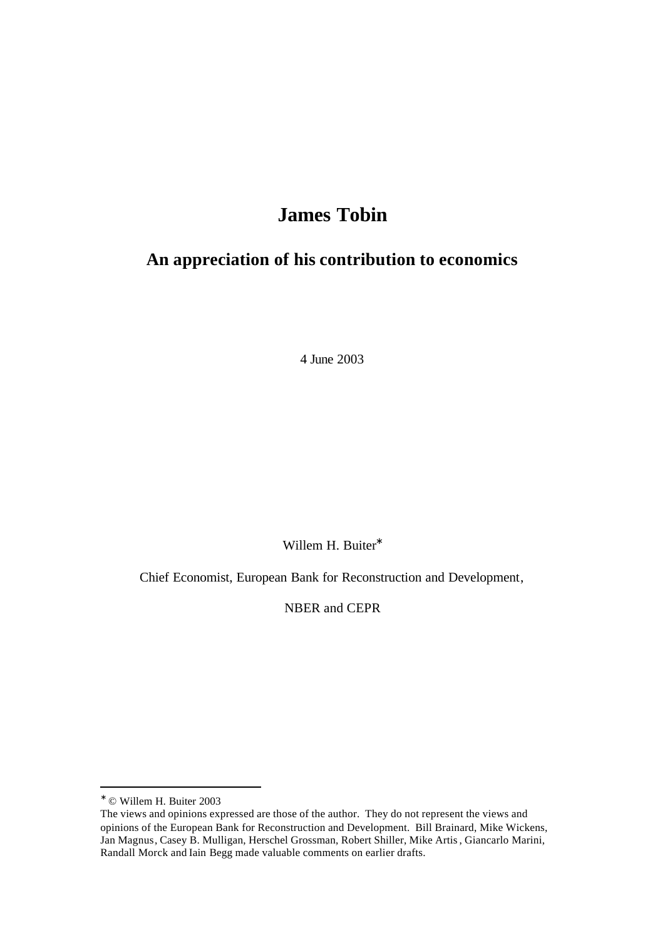# **James Tobin**

# **An appreciation of his contribution to economics**

4 June 2003

Willem H. Buiter<sup>\*</sup>

Chief Economist, European Bank for Reconstruction and Development,

NBER and CEPR

<sup>∗</sup> © Willem H. Buiter 2003

The views and opinions expressed are those of the author. They do not represent the views and opinions of the European Bank for Reconstruction and Development. Bill Brainard, Mike Wickens, Jan Magnus, Casey B. Mulligan, Herschel Grossman, Robert Shiller, Mike Artis, Giancarlo Marini, Randall Morck and Iain Begg made valuable comments on earlier drafts.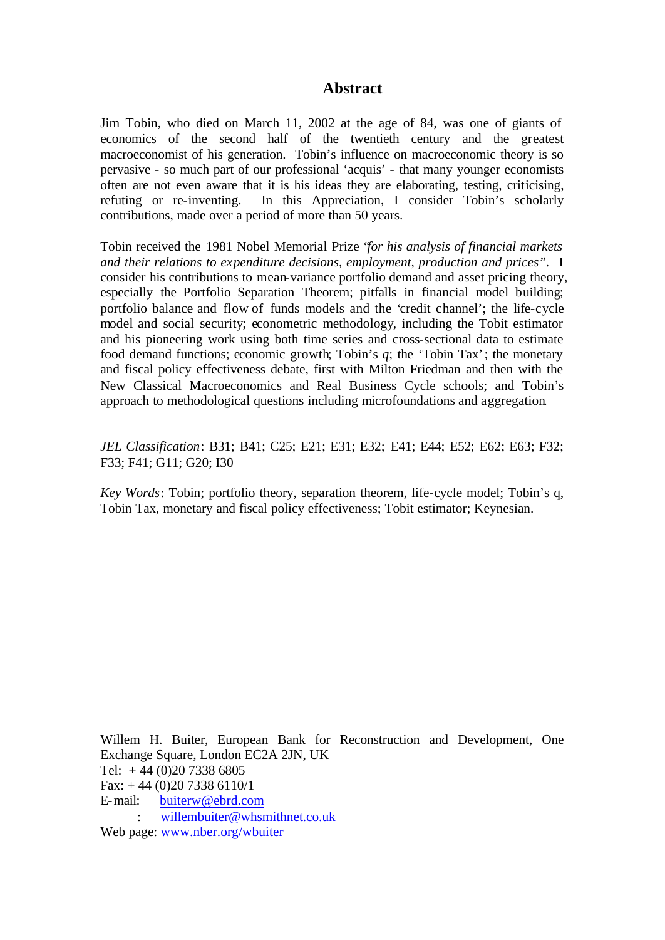#### **Abstract**

Jim Tobin, who died on March 11, 2002 at the age of 84, was one of giants of economics of the second half of the twentieth century and the greatest macroeconomist of his generation. Tobin's influence on macroeconomic theory is so pervasive - so much part of our professional 'acquis' - that many younger economists often are not even aware that it is his ideas they are elaborating, testing, criticising, refuting or re-inventing. In this Appreciation, I consider Tobin's scholarly contributions, made over a period of more than 50 years.

Tobin received the 1981 Nobel Memorial Prize "*for his analysis of financial markets and their relations to expenditure decisions, employment, production and prices".* I consider his contributions to mean-variance portfolio demand and asset pricing theory, especially the Portfolio Separation Theorem; pitfalls in financial model building; portfolio balance and flow of funds models and the 'credit channel'; the life-cycle model and social security; econometric methodology, including the Tobit estimator and his pioneering work using both time series and cross-sectional data to estimate food demand functions; economic growth; Tobin's *q*; the 'Tobin Tax'; the monetary and fiscal policy effectiveness debate, first with Milton Friedman and then with the New Classical Macroeconomics and Real Business Cycle schools; and Tobin's approach to methodological questions including microfoundations and aggregation.

*JEL Classification*: B31; B41; C25; E21; E31; E32; E41; E44; E52; E62; E63; F32; F33; F41; G11; G20; I30

*Key Words*: Tobin; portfolio theory, separation theorem, life-cycle model; Tobin's q, Tobin Tax, monetary and fiscal policy effectiveness; Tobit estimator; Keynesian.

Willem H. Buiter, European Bank for Reconstruction and Development, One Exchange Square, London EC2A 2JN, UK Tel:  $+44(0)2073386805$ Fax:  $+ 44 (0)20 7338 6110/1$ E-mail: buiterw@ebrd.com : willembuiter@whsmithnet.co.uk Web page: www.nber.org/wbuiter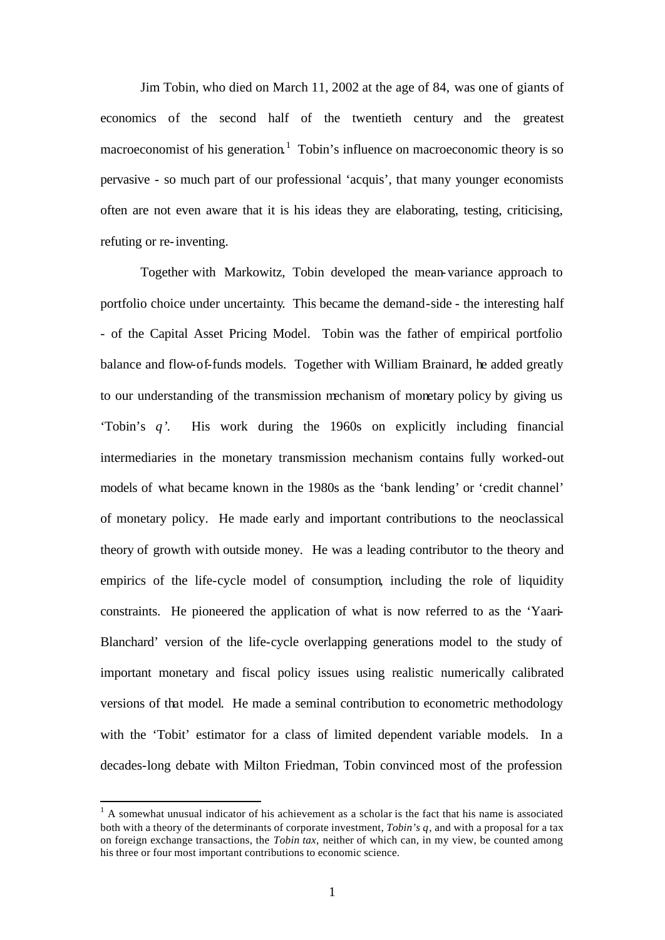Jim Tobin, who died on March 11, 2002 at the age of 84, was one of giants of economics of the second half of the twentieth century and the greatest macroeconomist of his generation.<sup>1</sup> Tobin's influence on macroeconomic theory is so pervasive - so much part of our professional 'acquis', that many younger economists often are not even aware that it is his ideas they are elaborating, testing, criticising, refuting or re-inventing.

Together with Markowitz, Tobin developed the mean-variance approach to portfolio choice under uncertainty. This became the demand-side - the interesting half - of the Capital Asset Pricing Model. Tobin was the father of empirical portfolio balance and flow-of-funds models. Together with William Brainard, he added greatly to our understanding of the transmission mechanism of monetary policy by giving us 'Tobin's *q'.* His work during the 1960s on explicitly including financial intermediaries in the monetary transmission mechanism contains fully worked-out models of what became known in the 1980s as the 'bank lending' or 'credit channel' of monetary policy. He made early and important contributions to the neoclassical theory of growth with outside money. He was a leading contributor to the theory and empirics of the life-cycle model of consumption, including the role of liquidity constraints. He pioneered the application of what is now referred to as the 'Yaari-Blanchard' version of the life-cycle overlapping generations model to the study of important monetary and fiscal policy issues using realistic numerically calibrated versions of that model. He made a seminal contribution to econometric methodology with the 'Tobit' estimator for a class of limited dependent variable models. In a decades-long debate with Milton Friedman, Tobin convinced most of the profession

 $<sup>1</sup>$  A somewhat unusual indicator of his achievement as a scholar is the fact that his name is associated</sup> both with a theory of the determinants of corporate investment, *Tobin's q*, and with a proposal for a tax on foreign exchange transactions, the *Tobin tax,* neither of which can, in my view, be counted among his three or four most important contributions to economic science.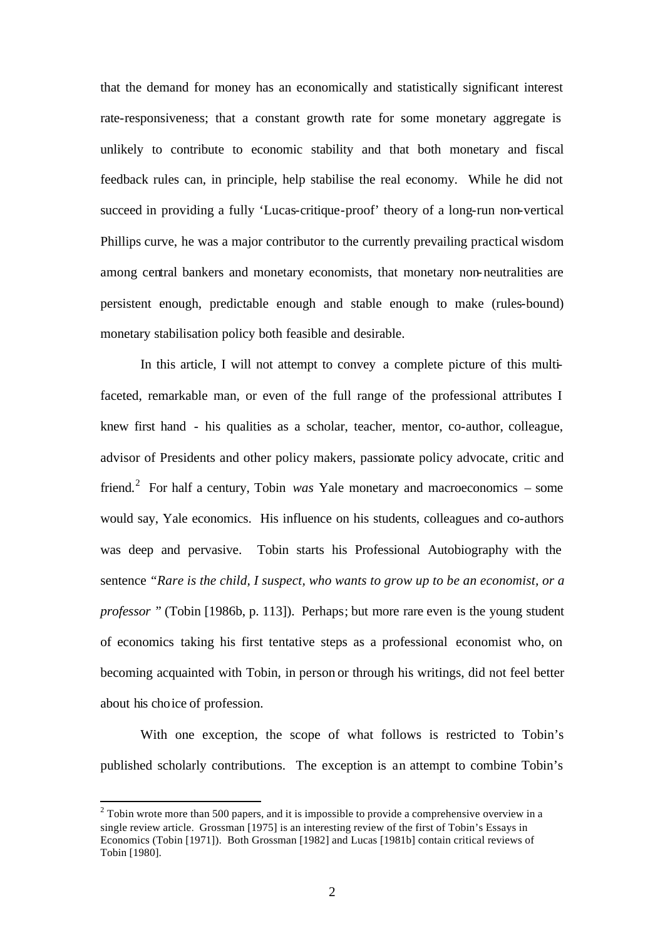that the demand for money has an economically and statistically significant interest rate-responsiveness; that a constant growth rate for some monetary aggregate is unlikely to contribute to economic stability and that both monetary and fiscal feedback rules can, in principle, help stabilise the real economy. While he did not succeed in providing a fully 'Lucas-critique-proof' theory of a long-run non-vertical Phillips curve, he was a major contributor to the currently prevailing practical wisdom among central bankers and monetary economists, that monetary non-neutralities are persistent enough, predictable enough and stable enough to make (rules-bound) monetary stabilisation policy both feasible and desirable.

In this article, I will not attempt to convey a complete picture of this multifaceted, remarkable man, or even of the full range of the professional attributes I knew first hand - his qualities as a scholar, teacher, mentor, co-author, colleague, advisor of Presidents and other policy makers, passionate policy advocate, critic and friend.<sup>2</sup> For half a century, Tobin *was* Yale monetary and macroeconomics – some would say, Yale economics. His influence on his students, colleagues and co-authors was deep and pervasive. Tobin starts his Professional Autobiography with the sentence *"Rare is the child, I suspect, who wants to grow up to be an economist, or a professor* " (Tobin [1986b, p. 113]). Perhaps; but more rare even is the young student of economics taking his first tentative steps as a professional economist who, on becoming acquainted with Tobin, in person or through his writings, did not feel better about his choice of profession.

With one exception, the scope of what follows is restricted to Tobin's published scholarly contributions. The exception is an attempt to combine Tobin's

 $2$  Tobin wrote more than 500 papers, and it is impossible to provide a comprehensive overview in a single review article. Grossman [1975] is an interesting review of the first of Tobin's Essays in Economics (Tobin [1971]). Both Grossman [1982] and Lucas [1981b] contain critical reviews of Tobin [1980].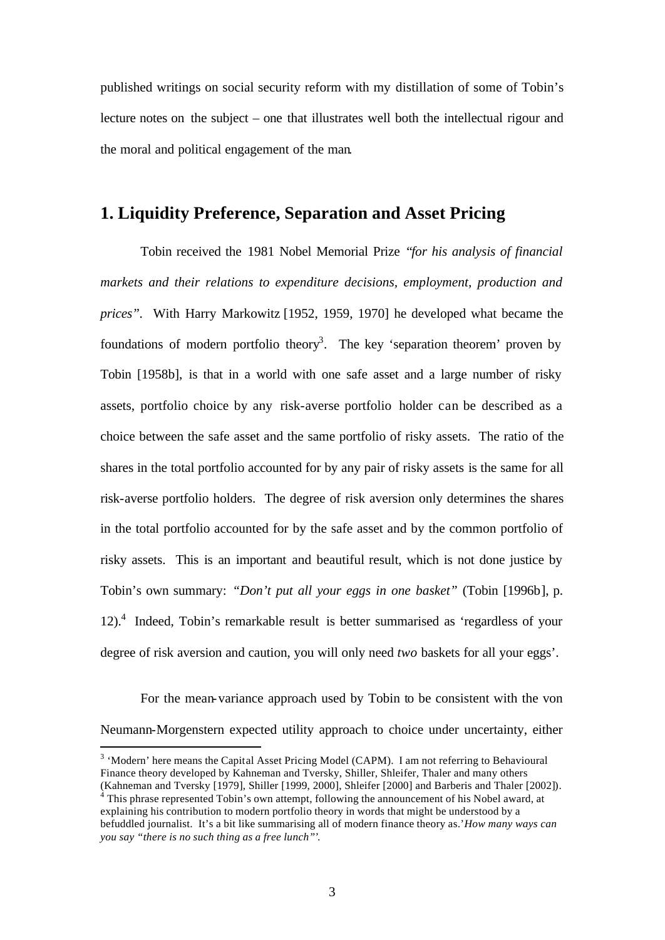published writings on social security reform with my distillation of some of Tobin's lecture notes on the subject – one that illustrates well both the intellectual rigour and the moral and political engagement of the man.

### **1. Liquidity Preference, Separation and Asset Pricing**

Tobin received the 1981 Nobel Memorial Prize "*for his analysis of financial markets and their relations to expenditure decisions, employment, production and prices".* With Harry Markowitz [1952, 1959, 1970] he developed what became the foundations of modern portfolio theory<sup>3</sup>. The key 'separation theorem' proven by Tobin [1958b], is that in a world with one safe asset and a large number of risky assets, portfolio choice by any risk-averse portfolio holder can be described as a choice between the safe asset and the same portfolio of risky assets. The ratio of the shares in the total portfolio accounted for by any pair of risky assets is the same for all risk-averse portfolio holders. The degree of risk aversion only determines the shares in the total portfolio accounted for by the safe asset and by the common portfolio of risky assets. This is an important and beautiful result, which is not done justice by Tobin's own summary: *"Don't put all your eggs in one basket"* (Tobin [1996b], p. 12).<sup>4</sup> Indeed, Tobin's remarkable result is better summarised as 'regardless of your degree of risk aversion and caution, you will only need *two* baskets for all your eggs'.

For the mean-variance approach used by Tobin to be consistent with the von Neumann-Morgenstern expected utility approach to choice under uncertainty, either

<sup>&</sup>lt;sup>3</sup> 'Modern' here means the Capital Asset Pricing Model (CAPM). I am not referring to Behavioural Finance theory developed by Kahneman and Tversky, Shiller, Shleifer, Thaler and many others (Kahneman and Tversky [1979], Shiller [1999, 2000], Shleifer [2000] and Barberis and Thaler [2002]). <sup>4</sup> This phrase represented Tobin's own attempt, following the announcement of his Nobel award, at explaining his contribution to modern portfolio theory in words that might be understood by a befuddled journalist. It's a bit like summarising all of modern finance theory as.'*How many ways can you say "there is no such thing as a free lunch"'.*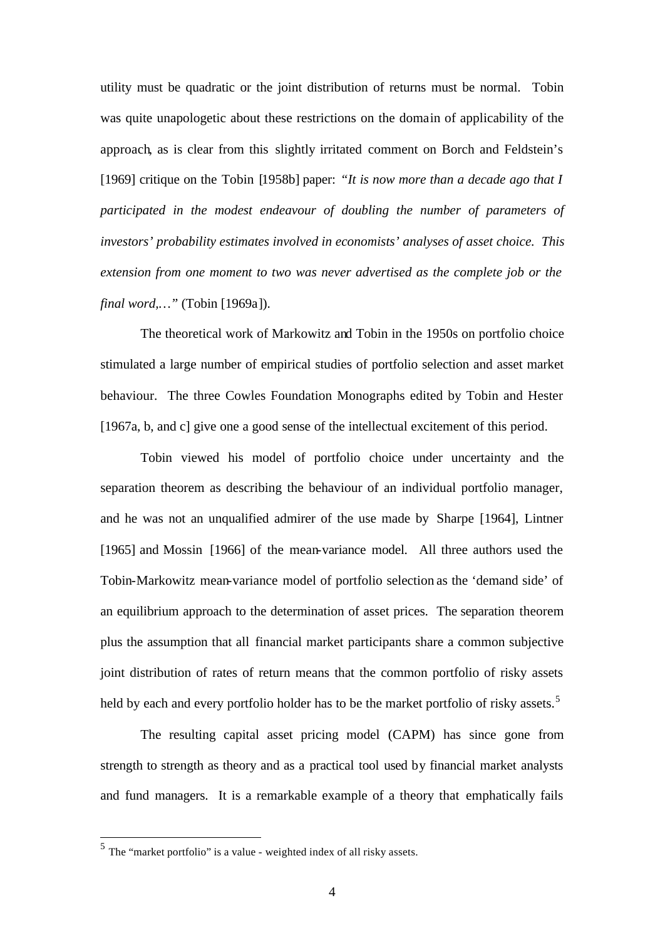utility must be quadratic or the joint distribution of returns must be normal. Tobin was quite unapologetic about these restrictions on the domain of applicability of the approach, as is clear from this slightly irritated comment on Borch and Feldstein's [1969] critique on the Tobin [1958b] paper: *"It is now more than a decade ago that I participated in the modest endeavour of doubling the number of parameters of investors' probability estimates involved in economists' analyses of asset choice. This extension from one moment to two was never advertised as the complete job or the final word,…"* (Tobin [1969a]).

The theoretical work of Markowitz and Tobin in the 1950s on portfolio choice stimulated a large number of empirical studies of portfolio selection and asset market behaviour. The three Cowles Foundation Monographs edited by Tobin and Hester [1967a, b, and c] give one a good sense of the intellectual excitement of this period.

Tobin viewed his model of portfolio choice under uncertainty and the separation theorem as describing the behaviour of an individual portfolio manager, and he was not an unqualified admirer of the use made by Sharpe [1964], Lintner [1965] and Mossin [1966] of the mean-variance model. All three authors used the Tobin-Markowitz mean-variance model of portfolio selection as the 'demand side' of an equilibrium approach to the determination of asset prices. The separation theorem plus the assumption that all financial market participants share a common subjective joint distribution of rates of return means that the common portfolio of risky assets held by each and every portfolio holder has to be the market portfolio of risky assets.<sup>5</sup>

The resulting capital asset pricing model (CAPM) has since gone from strength to strength as theory and as a practical tool used by financial market analysts and fund managers. It is a remarkable example of a theory that emphatically fails

 5 The "market portfolio" is a value - weighted index of all risky assets.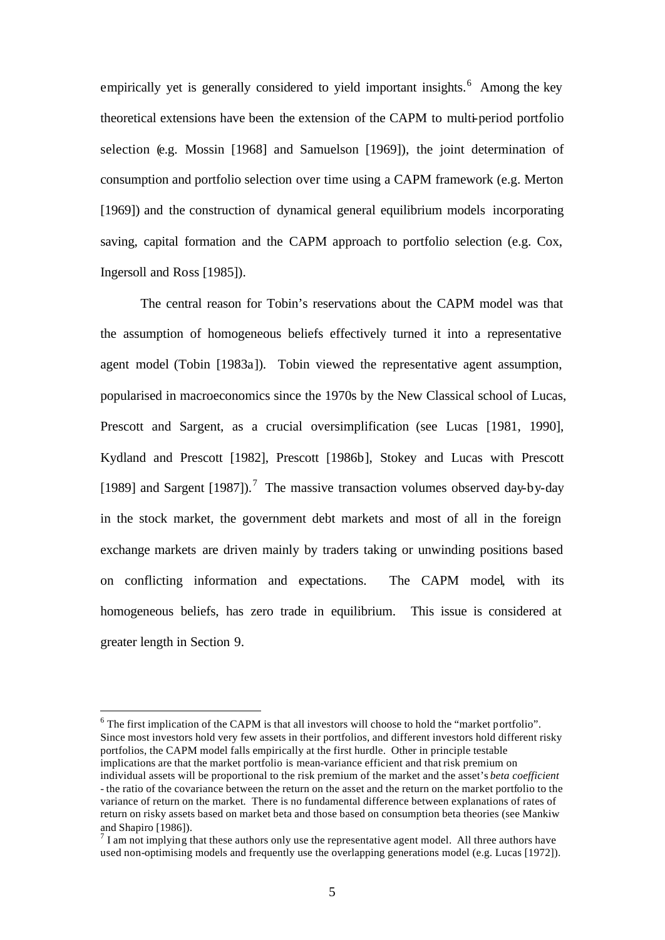empirically yet is generally considered to yield important insights.<sup>6</sup> Among the key theoretical extensions have been the extension of the CAPM to multi-period portfolio selection (e.g. Mossin [1968] and Samuelson [1969]), the joint determination of consumption and portfolio selection over time using a CAPM framework (e.g. Merton [1969]) and the construction of dynamical general equilibrium models incorporating saving, capital formation and the CAPM approach to portfolio selection (e.g. Cox, Ingersoll and Ross [1985]).

The central reason for Tobin's reservations about the CAPM model was that the assumption of homogeneous beliefs effectively turned it into a representative agent model (Tobin [1983a]). Tobin viewed the representative agent assumption, popularised in macroeconomics since the 1970s by the New Classical school of Lucas, Prescott and Sargent, as a crucial oversimplification (see Lucas [1981, 1990], Kydland and Prescott [1982], Prescott [1986b], Stokey and Lucas with Prescott [1989] and Sargent  $[1987]$ ).<sup>7</sup> The massive transaction volumes observed day-by-day in the stock market, the government debt markets and most of all in the foreign exchange markets are driven mainly by traders taking or unwinding positions based on conflicting information and expectations. The CAPM model, with its homogeneous beliefs, has zero trade in equilibrium. This issue is considered at greater length in Section 9.

 $6$  The first implication of the CAPM is that all investors will choose to hold the "market portfolio". Since most investors hold very few assets in their portfolios, and different investors hold different risky portfolios, the CAPM model falls empirically at the first hurdle. Other in principle testable implications are that the market portfolio is mean-variance efficient and that risk premium on individual assets will be proportional to the risk premium of the market and the asset's *beta coefficient -* the ratio of the covariance between the return on the asset and the return on the market portfolio to the variance of return on the market*.* There is no fundamental difference between explanations of rates of return on risky assets based on market beta and those based on consumption beta theories (see Mankiw and Shapiro [1986]).

 $<sup>7</sup>$  I am not implying that these authors only use the representative agent model. All three authors have</sup> used non-optimising models and frequently use the overlapping generations model (e.g. Lucas [1972]).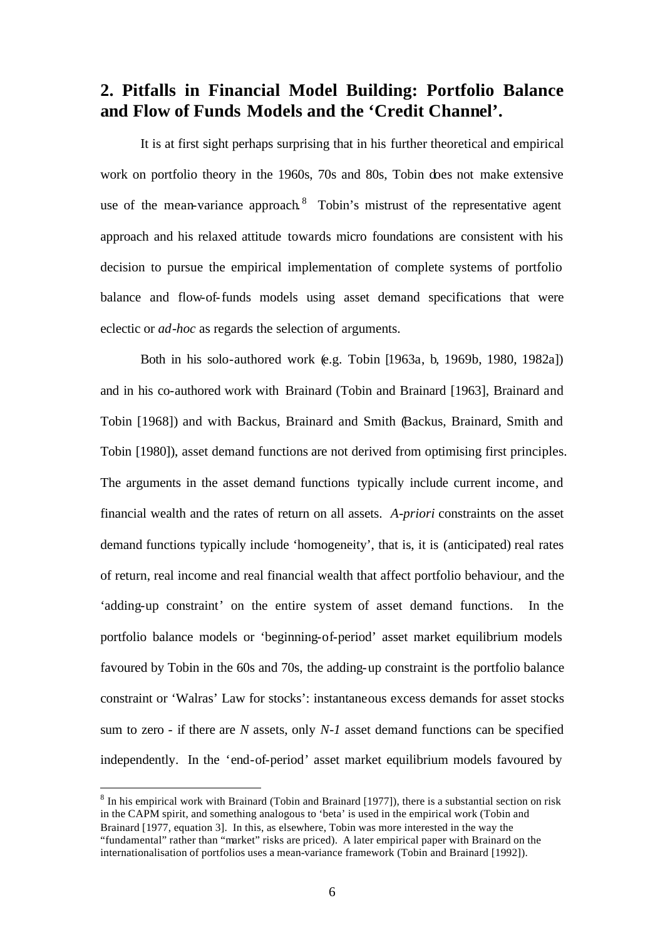# **2. Pitfalls in Financial Model Building: Portfolio Balance and Flow of Funds Models and the 'Credit Channel'.**

It is at first sight perhaps surprising that in his further theoretical and empirical work on portfolio theory in the 1960s, 70s and 80s, Tobin does not make extensive use of the mean-variance approach  $8$  Tobin's mistrust of the representative agent approach and his relaxed attitude towards micro foundations are consistent with his decision to pursue the empirical implementation of complete systems of portfolio balance and flow-of-funds models using asset demand specifications that were eclectic or *ad-hoc* as regards the selection of arguments.

Both in his solo-authored work (e.g. Tobin [1963a, b, 1969b, 1980, 1982a]) and in his co-authored work with Brainard (Tobin and Brainard [1963], Brainard and Tobin [1968]) and with Backus, Brainard and Smith (Backus, Brainard, Smith and Tobin [1980]), asset demand functions are not derived from optimising first principles. The arguments in the asset demand functions typically include current income, and financial wealth and the rates of return on all assets. *A-priori* constraints on the asset demand functions typically include 'homogeneity', that is, it is (anticipated) real rates of return, real income and real financial wealth that affect portfolio behaviour, and the 'adding-up constraint' on the entire system of asset demand functions. In the portfolio balance models or 'beginning-of-period' asset market equilibrium models favoured by Tobin in the 60s and 70s, the adding-up constraint is the portfolio balance constraint or 'Walras' Law for stocks': instantaneous excess demands for asset stocks sum to zero - if there are *N* assets, only *N-1* asset demand functions can be specified independently. In the 'end-of-period' asset market equilibrium models favoured by

 $8$  In his empirical work with Brainard (Tobin and Brainard [1977]), there is a substantial section on risk in the CAPM spirit, and something analogous to 'beta' is used in the empirical work (Tobin and Brainard [1977, equation 3]. In this, as elsewhere, Tobin was more interested in the way the "fundamental" rather than "market" risks are priced). A later empirical paper with Brainard on the internationalisation of portfolios uses a mean-variance framework (Tobin and Brainard [1992]).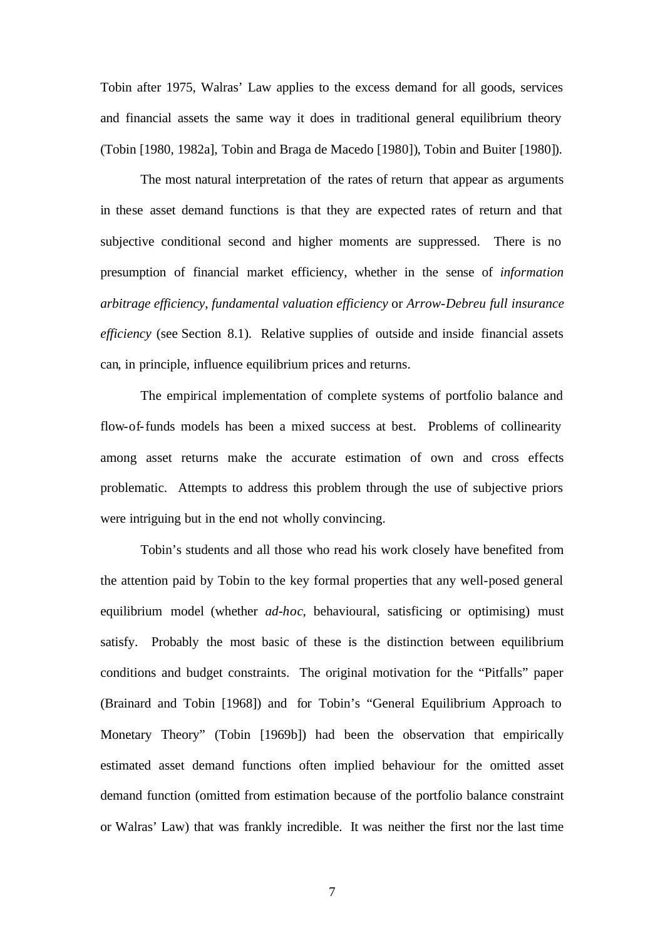Tobin after 1975, Walras' Law applies to the excess demand for all goods, services and financial assets the same way it does in traditional general equilibrium theory (Tobin [1980, 1982a], Tobin and Braga de Macedo [1980]), Tobin and Buiter [1980]).

The most natural interpretation of the rates of return that appear as arguments in these asset demand functions is that they are expected rates of return and that subjective conditional second and higher moments are suppressed. There is no presumption of financial market efficiency, whether in the sense of *information arbitrage efficiency*, *fundamental valuation efficiency* or *Arrow-Debreu full insurance efficiency* (see Section 8.1). Relative supplies of outside and inside financial assets can, in principle, influence equilibrium prices and returns.

The empirical implementation of complete systems of portfolio balance and flow-of-funds models has been a mixed success at best. Problems of collinearity among asset returns make the accurate estimation of own and cross effects problematic. Attempts to address this problem through the use of subjective priors were intriguing but in the end not wholly convincing.

Tobin's students and all those who read his work closely have benefited from the attention paid by Tobin to the key formal properties that any well-posed general equilibrium model (whether *ad-hoc*, behavioural, satisficing or optimising) must satisfy. Probably the most basic of these is the distinction between equilibrium conditions and budget constraints. The original motivation for the "Pitfalls" paper (Brainard and Tobin [1968]) and for Tobin's "General Equilibrium Approach to Monetary Theory" (Tobin [1969b]) had been the observation that empirically estimated asset demand functions often implied behaviour for the omitted asset demand function (omitted from estimation because of the portfolio balance constraint or Walras' Law) that was frankly incredible. It was neither the first nor the last time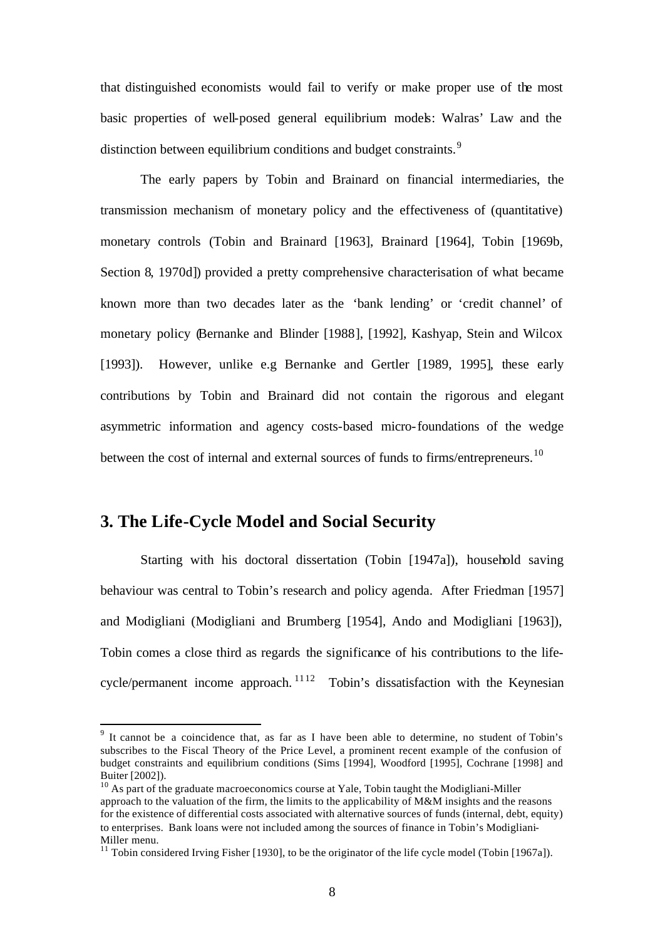that distinguished economists would fail to verify or make proper use of the most basic properties of well-posed general equilibrium models: Walras' Law and the distinction between equilibrium conditions and budget constraints.<sup>9</sup>

The early papers by Tobin and Brainard on financial intermediaries, the transmission mechanism of monetary policy and the effectiveness of (quantitative) monetary controls (Tobin and Brainard [1963], Brainard [1964], Tobin [1969b, Section 8, 1970d]) provided a pretty comprehensive characterisation of what became known more than two decades later as the 'bank lending' or 'credit channel' of monetary policy (Bernanke and Blinder [1988], [1992], Kashyap, Stein and Wilcox [1993]). However, unlike e.g Bernanke and Gertler [1989, 1995], these early contributions by Tobin and Brainard did not contain the rigorous and elegant asymmetric information and agency costs-based micro-foundations of the wedge between the cost of internal and external sources of funds to firms/entrepreneurs.<sup>10</sup>

## **3. The Life-Cycle Model and Social Security**

l

Starting with his doctoral dissertation (Tobin [1947a]), household saving behaviour was central to Tobin's research and policy agenda. After Friedman [1957] and Modigliani (Modigliani and Brumberg [1954], Ando and Modigliani [1963]), Tobin comes a close third as regards the significance of his contributions to the lifecycle/permanent income approach.<sup>1112</sup> Tobin's dissatisfaction with the Keynesian

<sup>&</sup>lt;sup>9</sup> It cannot be a coincidence that, as far as I have been able to determine, no student of Tobin's subscribes to the Fiscal Theory of the Price Level, a prominent recent example of the confusion of budget constraints and equilibrium conditions (Sims [1994], Woodford [1995], Cochrane [1998] and Buiter [2002]).

 $10$  As part of the graduate macroeconomics course at Yale, Tobin taught the Modigliani-Miller approach to the valuation of the firm, the limits to the applicability of M&M insights and the reasons for the existence of differential costs associated with alternative sources of funds (internal, debt, equity) to enterprises. Bank loans were not included among the sources of finance in Tobin's Modigliani-Miller menu.

<sup>&</sup>lt;sup>11</sup> Tobin considered Irving Fisher [1930], to be the originator of the life cycle model (Tobin [1967a]).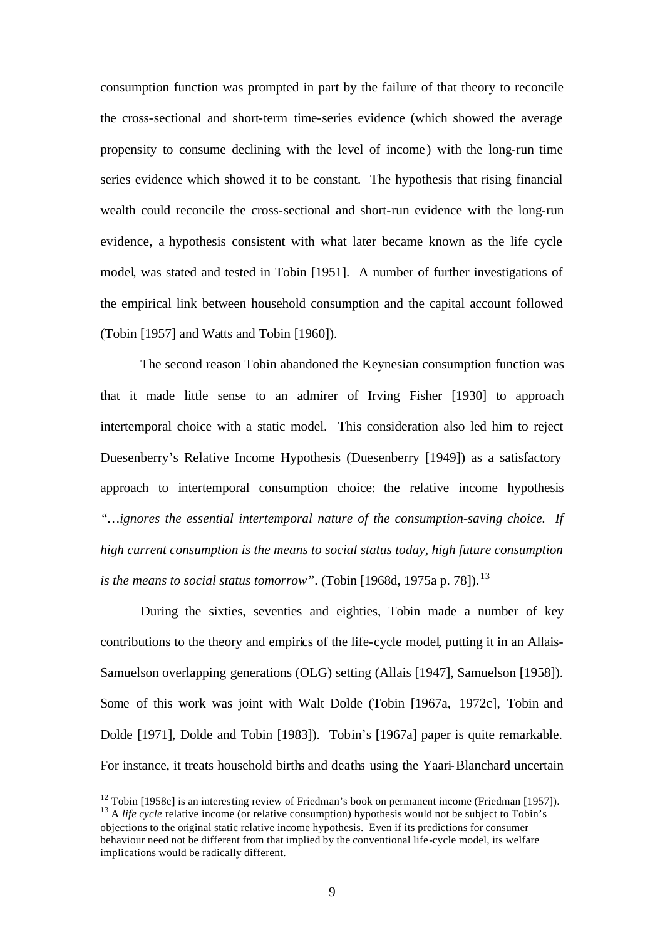consumption function was prompted in part by the failure of that theory to reconcile the cross-sectional and short-term time-series evidence (which showed the average propensity to consume declining with the level of income ) with the long-run time series evidence which showed it to be constant. The hypothesis that rising financial wealth could reconcile the cross-sectional and short-run evidence with the long-run evidence, a hypothesis consistent with what later became known as the life cycle model, was stated and tested in Tobin [1951]. A number of further investigations of the empirical link between household consumption and the capital account followed (Tobin [1957] and Watts and Tobin [1960]).

The second reason Tobin abandoned the Keynesian consumption function was that it made little sense to an admirer of Irving Fisher [1930] to approach intertemporal choice with a static model. This consideration also led him to reject Duesenberry's Relative Income Hypothesis (Duesenberry [1949]) as a satisfactory approach to intertemporal consumption choice: the relative income hypothesis *"…ignores the essential intertemporal nature of the consumption-saving choice. If high current consumption is the means to social status today, high future consumption is the means to social status tomorrow".* (Tobin [1968d, 1975a p. 78]).<sup>13</sup>

During the sixties, seventies and eighties, Tobin made a number of key contributions to the theory and empirics of the life-cycle model, putting it in an Allais-Samuelson overlapping generations (OLG) setting (Allais [1947], Samuelson [1958]). Some of this work was joint with Walt Dolde (Tobin [1967a, 1972c], Tobin and Dolde [1971], Dolde and Tobin [1983]). Tobin's [1967a] paper is quite remarkable. For instance, it treats household births and deaths using the Yaari-Blanchard uncertain

<sup>&</sup>lt;sup>12</sup> Tobin [1958c] is an interesting review of Friedman's book on permanent income (Friedman [1957]). <sup>13</sup> A *life cycle* relative income (or relative consumption) hypothesis would not be subject to Tobin's objections to the original static relative income hypothesis. Even if its predictions for consumer

behaviour need not be different from that implied by the conventional life-cycle model, its welfare implications would be radically different.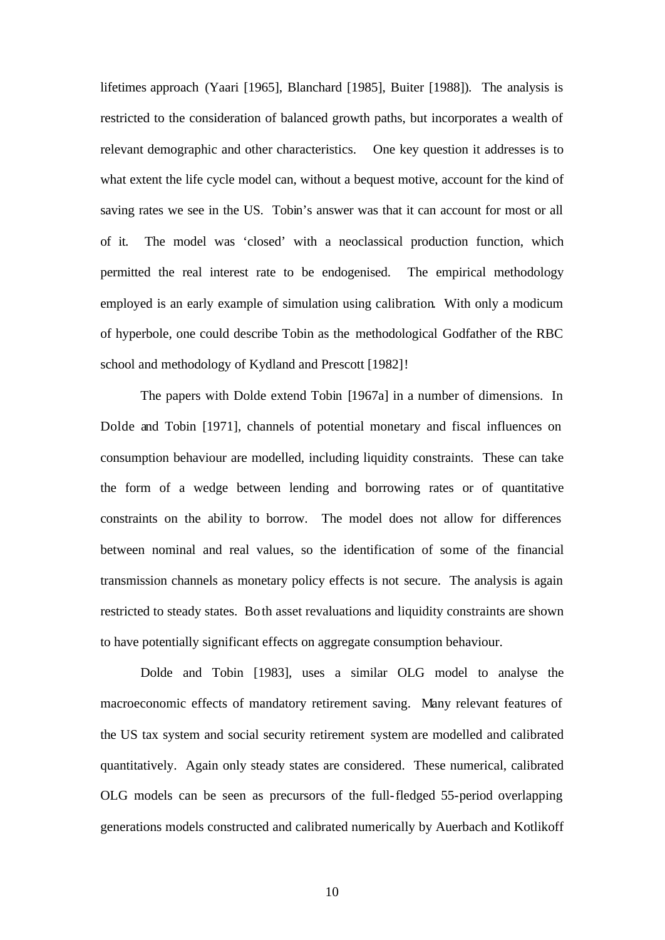lifetimes approach (Yaari [1965], Blanchard [1985], Buiter [1988]). The analysis is restricted to the consideration of balanced growth paths, but incorporates a wealth of relevant demographic and other characteristics. One key question it addresses is to what extent the life cycle model can, without a bequest motive, account for the kind of saving rates we see in the US. Tobin's answer was that it can account for most or all of it. The model was 'closed' with a neoclassical production function, which permitted the real interest rate to be endogenised. The empirical methodology employed is an early example of simulation using calibration. With only a modicum of hyperbole, one could describe Tobin as the methodological Godfather of the RBC school and methodology of Kydland and Prescott [1982]!

The papers with Dolde extend Tobin [1967a] in a number of dimensions. In Dolde and Tobin [1971], channels of potential monetary and fiscal influences on consumption behaviour are modelled, including liquidity constraints. These can take the form of a wedge between lending and borrowing rates or of quantitative constraints on the ability to borrow. The model does not allow for differences between nominal and real values, so the identification of some of the financial transmission channels as monetary policy effects is not secure. The analysis is again restricted to steady states. Both asset revaluations and liquidity constraints are shown to have potentially significant effects on aggregate consumption behaviour.

Dolde and Tobin [1983], uses a similar OLG model to analyse the macroeconomic effects of mandatory retirement saving. Many relevant features of the US tax system and social security retirement system are modelled and calibrated quantitatively. Again only steady states are considered. These numerical, calibrated OLG models can be seen as precursors of the full-fledged 55-period overlapping generations models constructed and calibrated numerically by Auerbach and Kotlikoff

10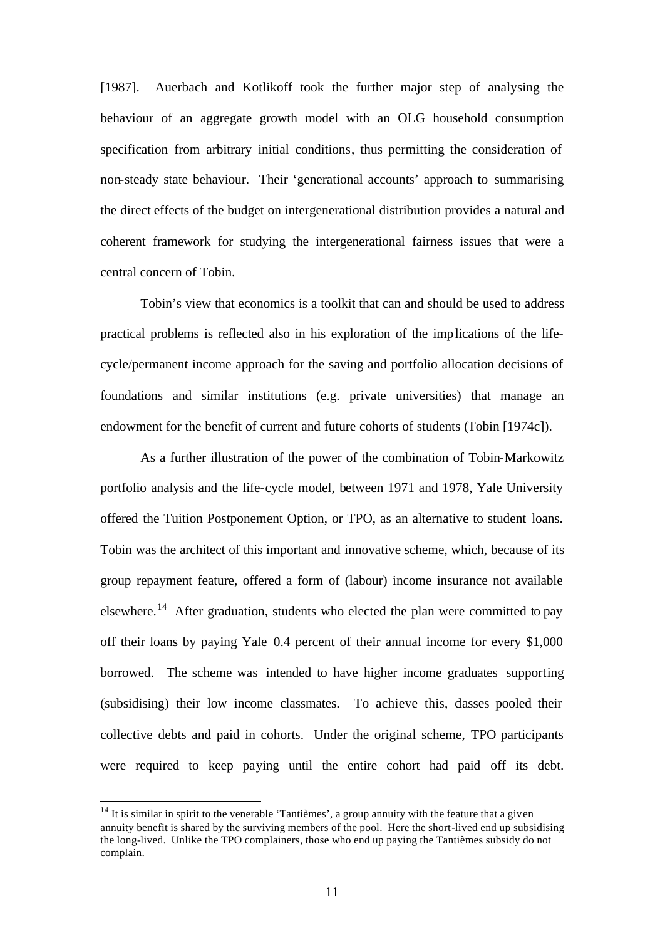[1987]. Auerbach and Kotlikoff took the further major step of analysing the behaviour of an aggregate growth model with an OLG household consumption specification from arbitrary initial conditions, thus permitting the consideration of non-steady state behaviour. Their 'generational accounts' approach to summarising the direct effects of the budget on intergenerational distribution provides a natural and coherent framework for studying the intergenerational fairness issues that were a central concern of Tobin.

Tobin's view that economics is a toolkit that can and should be used to address practical problems is reflected also in his exploration of the implications of the lifecycle/permanent income approach for the saving and portfolio allocation decisions of foundations and similar institutions (e.g. private universities) that manage an endowment for the benefit of current and future cohorts of students (Tobin [1974c]).

As a further illustration of the power of the combination of Tobin-Markowitz portfolio analysis and the life-cycle model, between 1971 and 1978, Yale University offered the Tuition Postponement Option, or TPO, as an alternative to student loans. Tobin was the architect of this important and innovative scheme, which, because of its group repayment feature, offered a form of (labour) income insurance not available elsewhere.<sup>14</sup> After graduation, students who elected the plan were committed to pay off their loans by paying Yale 0.4 percent of their annual income for every \$1,000 borrowed. The scheme was intended to have higher income graduates supporting (subsidising) their low income classmates. To achieve this, dasses pooled their collective debts and paid in cohorts. Under the original scheme, TPO participants were required to keep paying until the entire cohort had paid off its debt.

 $14$  It is similar in spirit to the venerable 'Tantièmes', a group annuity with the feature that a given annuity benefit is shared by the surviving members of the pool. Here the short-lived end up subsidising the long-lived. Unlike the TPO complainers, those who end up paying the Tantièmes subsidy do not complain.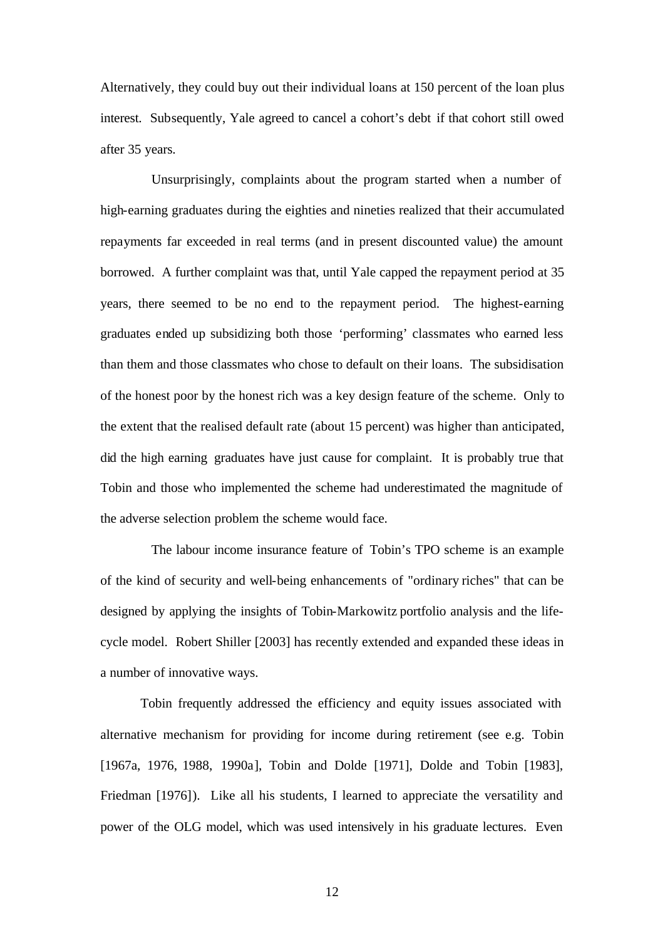Alternatively, they could buy out their individual loans at 150 percent of the loan plus interest. Subsequently, Yale agreed to cancel a cohort's debt if that cohort still owed after 35 years.

Unsurprisingly, complaints about the program started when a number of high-earning graduates during the eighties and nineties realized that their accumulated repayments far exceeded in real terms (and in present discounted value) the amount borrowed. A further complaint was that, until Yale capped the repayment period at 35 years, there seemed to be no end to the repayment period. The highest-earning graduates ended up subsidizing both those 'performing' classmates who earned less than them and those classmates who chose to default on their loans. The subsidisation of the honest poor by the honest rich was a key design feature of the scheme. Only to the extent that the realised default rate (about 15 percent) was higher than anticipated, did the high earning graduates have just cause for complaint. It is probably true that Tobin and those who implemented the scheme had underestimated the magnitude of the adverse selection problem the scheme would face.

The labour income insurance feature of Tobin's TPO scheme is an example of the kind of security and well-being enhancements of "ordinary riches" that can be designed by applying the insights of Tobin-Markowitz portfolio analysis and the lifecycle model. Robert Shiller [2003] has recently extended and expanded these ideas in a number of innovative ways.

Tobin frequently addressed the efficiency and equity issues associated with alternative mechanism for providing for income during retirement (see e.g. Tobin [1967a, 1976, 1988, 1990a], Tobin and Dolde [1971], Dolde and Tobin [1983], Friedman [1976]). Like all his students, I learned to appreciate the versatility and power of the OLG model, which was used intensively in his graduate lectures. Even

12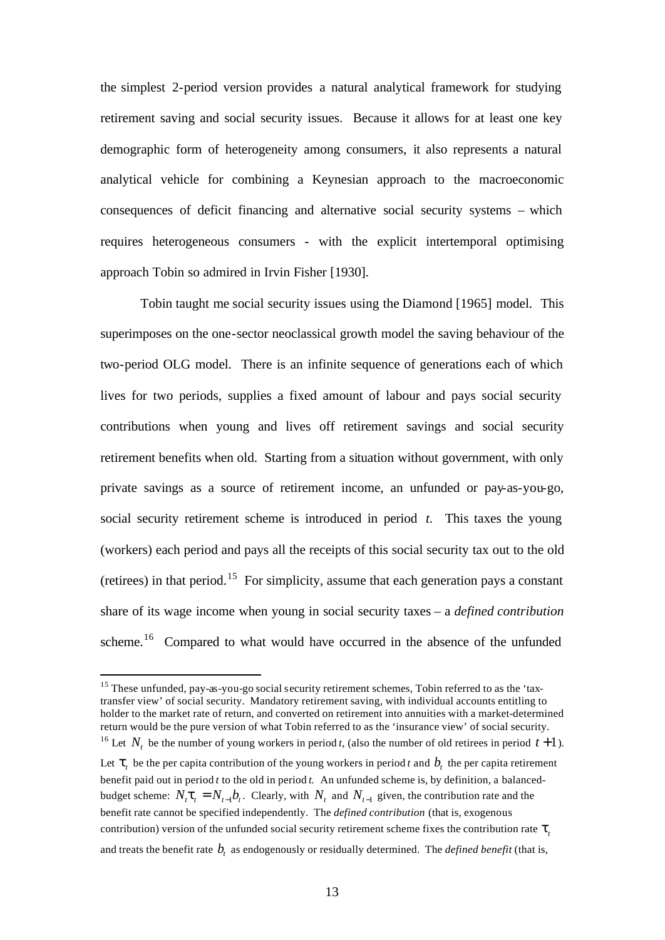the simplest 2-period version provides a natural analytical framework for studying retirement saving and social security issues. Because it allows for at least one key demographic form of heterogeneity among consumers, it also represents a natural analytical vehicle for combining a Keynesian approach to the macroeconomic consequences of deficit financing and alternative social security systems – which requires heterogeneous consumers - with the explicit intertemporal optimising approach Tobin so admired in Irvin Fisher [1930].

Tobin taught me social security issues using the Diamond [1965] model. This superimposes on the one-sector neoclassical growth model the saving behaviour of the two-period OLG model. There is an infinite sequence of generations each of which lives for two periods, supplies a fixed amount of labour and pays social security contributions when young and lives off retirement savings and social security retirement benefits when old. Starting from a situation without government, with only private savings as a source of retirement income, an unfunded or pay-as-you-go, social security retirement scheme is introduced in period *t.* This taxes the young (workers) each period and pays all the receipts of this social security tax out to the old (retirees) in that period.<sup>15</sup> For simplicity, assume that each generation pays a constant share of its wage income when young in social security taxes – a *defined contribution* scheme.<sup>16</sup> Compared to what would have occurred in the absence of the unfunded

<sup>&</sup>lt;sup>15</sup> These unfunded, pay-as-you-go social security retirement schemes, Tobin referred to as the 'taxtransfer view' of social security. Mandatory retirement saving, with individual accounts entitling to holder to the market rate of return, and converted on retirement into annuities with a market-determined return would be the pure version of what Tobin referred to as the 'insurance view' of social security. <sup>16</sup> Let  $N_t$  be the number of young workers in period *t*, (also the number of old retirees in period  $t+1$ ). Let  $t_i$  be the per capita contribution of the young workers in period *t* and  $b_i$  the per capita retirement benefit paid out in period *t* to the old in period *t.* An unfunded scheme is, by definition, a balancedbudget scheme:  $N_t$ **t**<sub>t</sub> =  $N_{t-1}$  $b_t$ . Clearly, with  $N_t$  and  $N_{t-1}$  given, the contribution rate and the benefit rate cannot be specified independently. The *defined contribution* (that is, exogenous contribution) version of the unfunded social security retirement scheme fixes the contribution rate  $\bm{t}_{t}$ and treats the benefit rate  $b<sub>t</sub>$  as endogenously or residually determined. The *defined benefit* (that is,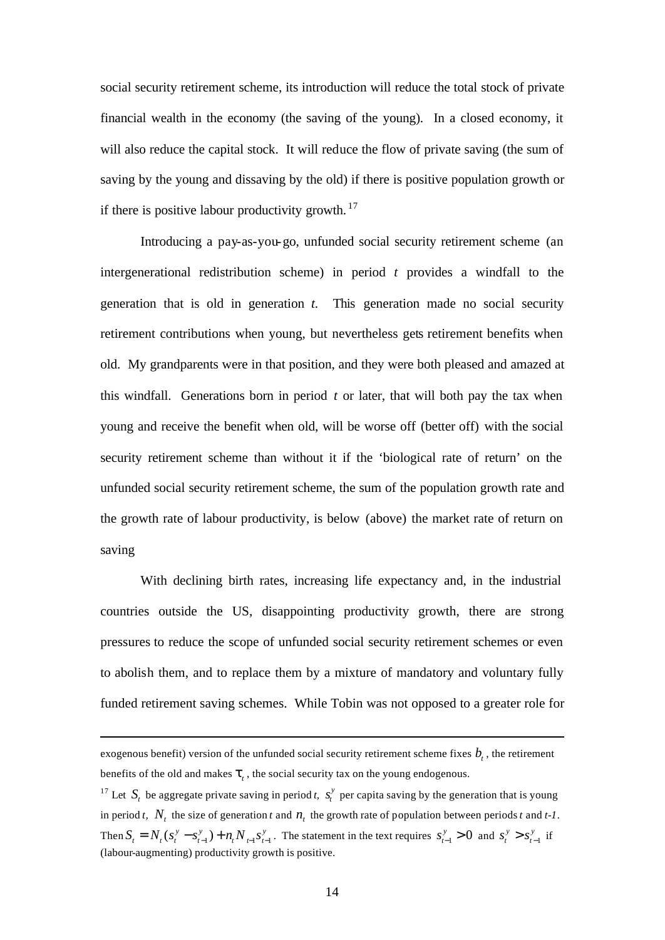social security retirement scheme, its introduction will reduce the total stock of private financial wealth in the economy (the saving of the young). In a closed economy, it will also reduce the capital stock. It will reduce the flow of private saving (the sum of saving by the young and dissaving by the old) if there is positive population growth or if there is positive labour productivity growth.  $17$ 

Introducing a pay-as-you-go, unfunded social security retirement scheme (an intergenerational redistribution scheme) in period *t* provides a windfall to the generation that is old in generation *t.* This generation made no social security retirement contributions when young, but nevertheless gets retirement benefits when old. My grandparents were in that position, and they were both pleased and amazed at this windfall. Generations born in period *t* or later, that will both pay the tax when young and receive the benefit when old, will be worse off (better off) with the social security retirement scheme than without it if the 'biological rate of return' on the unfunded social security retirement scheme, the sum of the population growth rate and the growth rate of labour productivity, is below (above) the market rate of return on saving

With declining birth rates, increasing life expectancy and, in the industrial countries outside the US, disappointing productivity growth, there are strong pressures to reduce the scope of unfunded social security retirement schemes or even to abolish them, and to replace them by a mixture of mandatory and voluntary fully funded retirement saving schemes. While Tobin was not opposed to a greater role for

exogenous benefit) version of the unfunded social security retirement scheme fixes  $b<sub>t</sub>$ , the retirement benefits of the old and makes  $t_{t}$ , the social security tax on the young endogenous.

<sup>&</sup>lt;sup>17</sup> Let  $S_t$  be aggregate private saving in period *t,*  $S_t^y$  per capita saving by the generation that is young in period *t*,  $N_t$  the size of generation *t* and  $n_t$  the growth rate of population between periods *t* and *t*-1. Then  $S_t = N_t (s_t^y - s_{t-1}^y) + n_t N_{t-1} s_{t-1}^y$ . The statement in the text requires  $s_{t-1}^y > 0$  $s_{t-1}^y > 0$  and  $s_t^y > s_{t-1}^y$  if (labour-augmenting) productivity growth is positive.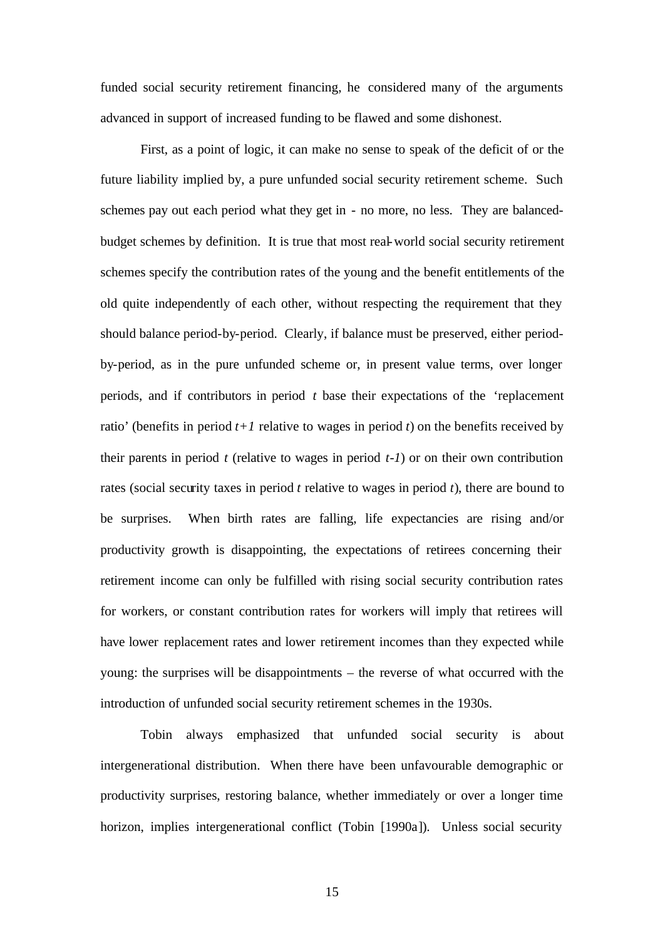funded social security retirement financing, he considered many of the arguments advanced in support of increased funding to be flawed and some dishonest.

First, as a point of logic, it can make no sense to speak of the deficit of or the future liability implied by, a pure unfunded social security retirement scheme. Such schemes pay out each period what they get in - no more, no less. They are balancedbudget schemes by definition. It is true that most real-world social security retirement schemes specify the contribution rates of the young and the benefit entitlements of the old quite independently of each other, without respecting the requirement that they should balance period-by-period. Clearly, if balance must be preserved, either periodby-period, as in the pure unfunded scheme or, in present value terms, over longer periods, and if contributors in period *t* base their expectations of the 'replacement ratio' (benefits in period *t+1* relative to wages in period *t*) on the benefits received by their parents in period *t* (relative to wages in period *t-1*) or on their own contribution rates (social security taxes in period *t* relative to wages in period *t*), there are bound to be surprises. When birth rates are falling, life expectancies are rising and/or productivity growth is disappointing, the expectations of retirees concerning their retirement income can only be fulfilled with rising social security contribution rates for workers, or constant contribution rates for workers will imply that retirees will have lower replacement rates and lower retirement incomes than they expected while young: the surprises will be disappointments – the reverse of what occurred with the introduction of unfunded social security retirement schemes in the 1930s.

Tobin always emphasized that unfunded social security is about intergenerational distribution. When there have been unfavourable demographic or productivity surprises, restoring balance, whether immediately or over a longer time horizon, implies intergenerational conflict (Tobin [1990a]). Unless social security

15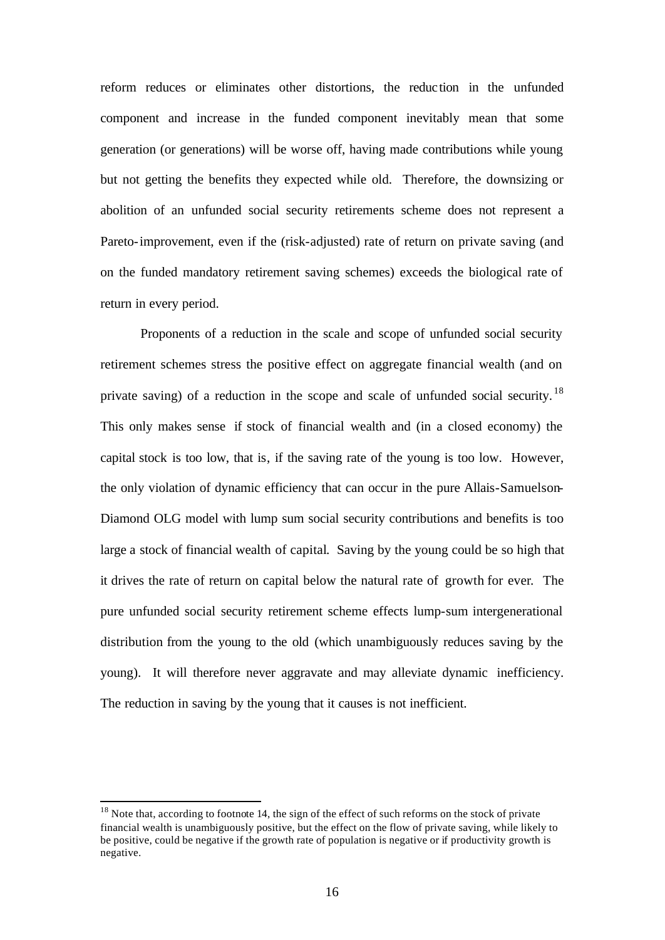reform reduces or eliminates other distortions, the reduction in the unfunded component and increase in the funded component inevitably mean that some generation (or generations) will be worse off, having made contributions while young but not getting the benefits they expected while old. Therefore, the downsizing or abolition of an unfunded social security retirements scheme does not represent a Pareto-improvement, even if the (risk-adjusted) rate of return on private saving (and on the funded mandatory retirement saving schemes) exceeds the biological rate of return in every period.

Proponents of a reduction in the scale and scope of unfunded social security retirement schemes stress the positive effect on aggregate financial wealth (and on private saving) of a reduction in the scope and scale of unfunded social security.<sup>18</sup> This only makes sense if stock of financial wealth and (in a closed economy) the capital stock is too low, that is, if the saving rate of the young is too low. However, the only violation of dynamic efficiency that can occur in the pure Allais-Samuelson-Diamond OLG model with lump sum social security contributions and benefits is too large a stock of financial wealth of capital. Saving by the young could be so high that it drives the rate of return on capital below the natural rate of growth for ever. The pure unfunded social security retirement scheme effects lump-sum intergenerational distribution from the young to the old (which unambiguously reduces saving by the young). It will therefore never aggravate and may alleviate dynamic inefficiency. The reduction in saving by the young that it causes is not inefficient.

<sup>&</sup>lt;sup>18</sup> Note that, according to footnote 14, the sign of the effect of such reforms on the stock of private financial wealth is unambiguously positive, but the effect on the flow of private saving, while likely to be positive, could be negative if the growth rate of population is negative or if productivity growth is negative.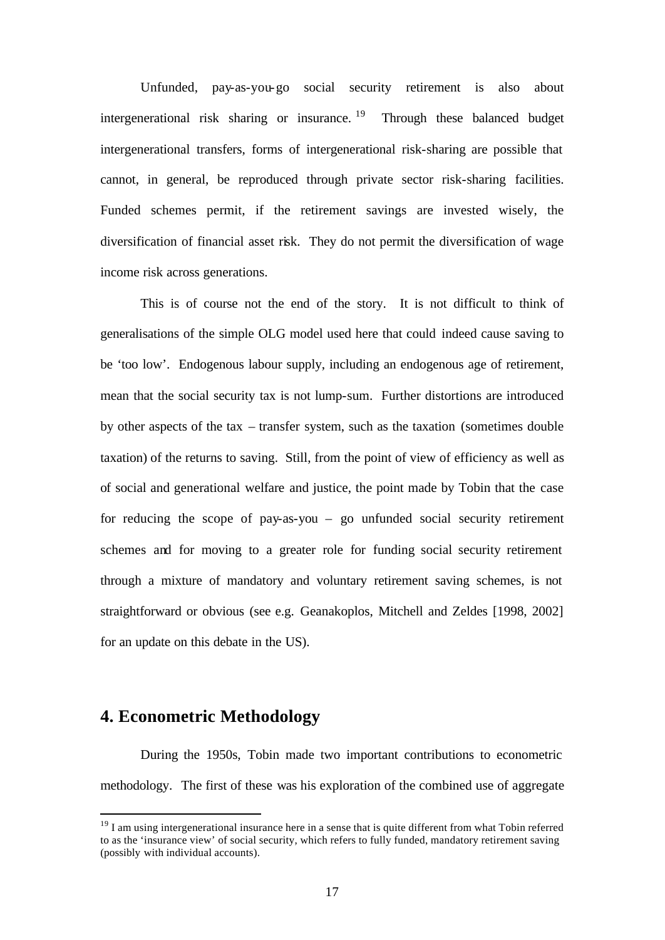Unfunded, pay-as-you-go social security retirement is also about intergenerational risk sharing or insurance.  $19$  Through these balanced budget intergenerational transfers, forms of intergenerational risk-sharing are possible that cannot, in general, be reproduced through private sector risk-sharing facilities. Funded schemes permit, if the retirement savings are invested wisely, the diversification of financial asset risk. They do not permit the diversification of wage income risk across generations.

This is of course not the end of the story. It is not difficult to think of generalisations of the simple OLG model used here that could indeed cause saving to be 'too low'. Endogenous labour supply, including an endogenous age of retirement, mean that the social security tax is not lump-sum. Further distortions are introduced by other aspects of the tax – transfer system, such as the taxation (sometimes double taxation) of the returns to saving. Still, from the point of view of efficiency as well as of social and generational welfare and justice, the point made by Tobin that the case for reducing the scope of pay-as-you – go unfunded social security retirement schemes and for moving to a greater role for funding social security retirement through a mixture of mandatory and voluntary retirement saving schemes, is not straightforward or obvious (see e.g. Geanakoplos, Mitchell and Zeldes [1998, 2002] for an update on this debate in the US).

## **4. Econometric Methodology**

l

During the 1950s, Tobin made two important contributions to econometric methodology. The first of these was his exploration of the combined use of aggregate

<sup>&</sup>lt;sup>19</sup> I am using intergenerational insurance here in a sense that is quite different from what Tobin referred to as the 'insurance view' of social security, which refers to fully funded, mandatory retirement saving (possibly with individual accounts).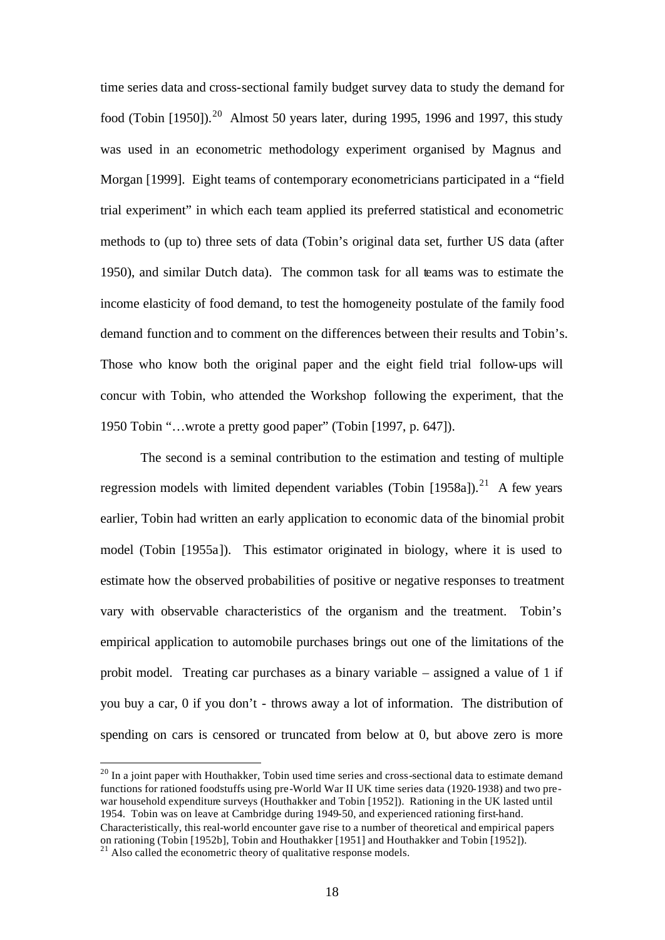time series data and cross-sectional family budget survey data to study the demand for food (Tobin [1950]).<sup>20</sup> Almost 50 years later, during 1995, 1996 and 1997, this study was used in an econometric methodology experiment organised by Magnus and Morgan [1999]. Eight teams of contemporary econometricians participated in a "field trial experiment" in which each team applied its preferred statistical and econometric methods to (up to) three sets of data (Tobin's original data set, further US data (after 1950), and similar Dutch data). The common task for all teams was to estimate the income elasticity of food demand, to test the homogeneity postulate of the family food demand function and to comment on the differences between their results and Tobin's. Those who know both the original paper and the eight field trial follow-ups will concur with Tobin, who attended the Workshop following the experiment, that the 1950 Tobin "…wrote a pretty good paper" (Tobin [1997, p. 647]).

The second is a seminal contribution to the estimation and testing of multiple regression models with limited dependent variables (Tobin [1958a]).<sup>21</sup> A few years earlier, Tobin had written an early application to economic data of the binomial probit model (Tobin [1955a]). This estimator originated in biology, where it is used to estimate how the observed probabilities of positive or negative responses to treatment vary with observable characteristics of the organism and the treatment. Tobin's empirical application to automobile purchases brings out one of the limitations of the probit model. Treating car purchases as a binary variable – assigned a value of 1 if you buy a car, 0 if you don't - throws away a lot of information. The distribution of spending on cars is censored or truncated from below at 0, but above zero is more

 $20$  In a joint paper with Houthakker, Tobin used time series and cross-sectional data to estimate demand functions for rationed foodstuffs using pre-World War II UK time series data (1920-1938) and two prewar household expenditure surveys (Houthakker and Tobin [1952]). Rationing in the UK lasted until 1954. Tobin was on leave at Cambridge during 1949-50, and experienced rationing first-hand. Characteristically, this real-world encounter gave rise to a number of theoretical and empirical papers on rationing (Tobin [1952b], Tobin and Houthakker [1951] and Houthakker and Tobin [1952]).

<sup>&</sup>lt;sup>21</sup> Also called the econometric theory of qualitative response models.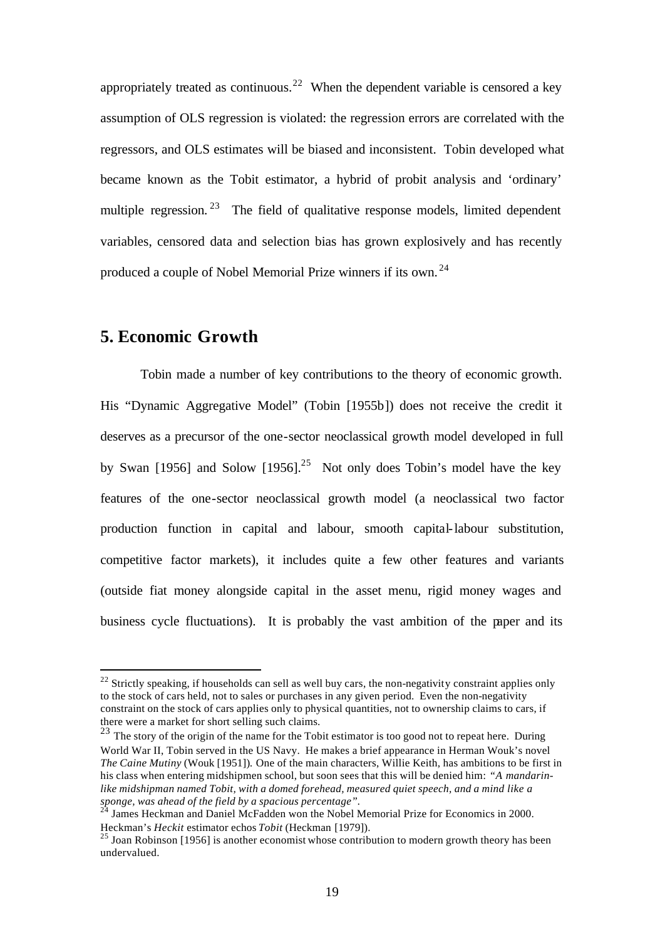appropriately treated as continuous.<sup>22</sup> When the dependent variable is censored a key assumption of OLS regression is violated: the regression errors are correlated with the regressors, and OLS estimates will be biased and inconsistent. Tobin developed what became known as the Tobit estimator, a hybrid of probit analysis and 'ordinary' multiple regression.  $23$  The field of qualitative response models, limited dependent variables, censored data and selection bias has grown explosively and has recently produced a couple of Nobel Memorial Prize winners if its own. <sup>24</sup>

#### **5. Economic Growth**

l

Tobin made a number of key contributions to the theory of economic growth. His "Dynamic Aggregative Model" (Tobin [1955b]) does not receive the credit it deserves as a precursor of the one-sector neoclassical growth model developed in full by Swan [1956] and Solow  $[1956]$ <sup>25</sup> Not only does Tobin's model have the key features of the one-sector neoclassical growth model (a neoclassical two factor production function in capital and labour, smooth capital-labour substitution, competitive factor markets), it includes quite a few other features and variants (outside fiat money alongside capital in the asset menu, rigid money wages and business cycle fluctuations). It is probably the vast ambition of the paper and its

<sup>&</sup>lt;sup>22</sup> Strictly speaking, if households can sell as well buy cars, the non-negativity constraint applies only to the stock of cars held, not to sales or purchases in any given period. Even the non-negativity constraint on the stock of cars applies only to physical quantities, not to ownership claims to cars, if there were a market for short selling such claims.

 $^{23}$  The story of the origin of the name for the Tobit estimator is too good not to repeat here. During World War II, Tobin served in the US Navy. He makes a brief appearance in Herman Wouk's novel *The Caine Mutiny* (Wouk [1951])*.* One of the main characters, Willie Keith, has ambitions to be first in his class when entering midshipmen school, but soon sees that this will be denied him: *"A mandarinlike midshipman named Tobit, with a domed forehead, measured quiet speech, and a mind like a sponge, was ahead of the field by a spacious percentage".*

 $^{24}$  James Heckman and Daniel McFadden won the Nobel Memorial Prize for Economics in 2000. Heckman's *Heckit* estimator echos *Tobit* (Heckman [1979]).

 $\frac{25}{25}$  Joan Robinson [1956] is another economist whose contribution to modern growth theory has been undervalued.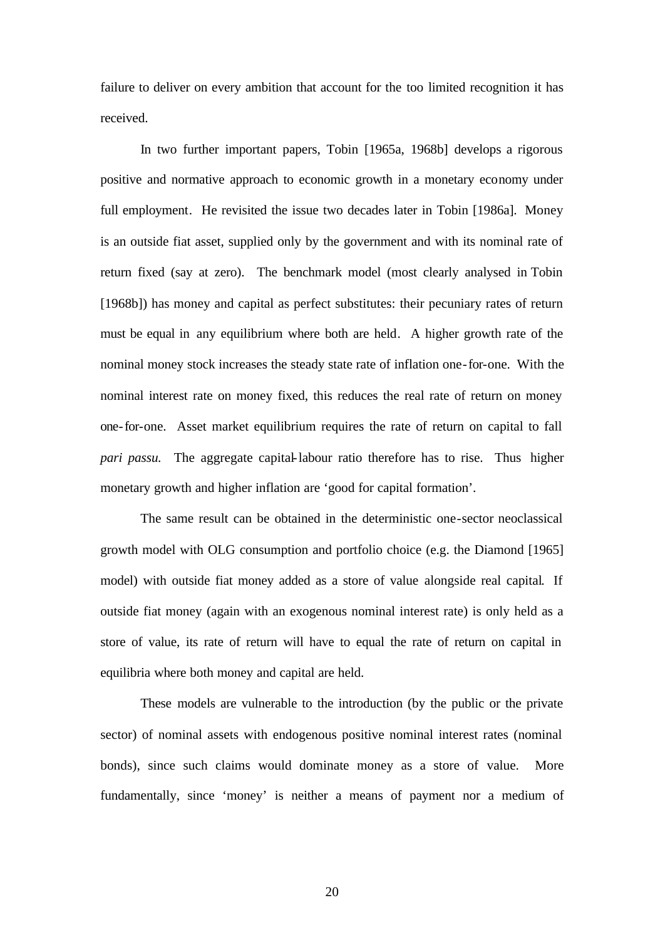failure to deliver on every ambition that account for the too limited recognition it has received.

In two further important papers, Tobin [1965a, 1968b] develops a rigorous positive and normative approach to economic growth in a monetary economy under full employment. He revisited the issue two decades later in Tobin [1986a]. Money is an outside fiat asset, supplied only by the government and with its nominal rate of return fixed (say at zero). The benchmark model (most clearly analysed in Tobin [1968b]) has money and capital as perfect substitutes: their pecuniary rates of return must be equal in any equilibrium where both are held. A higher growth rate of the nominal money stock increases the steady state rate of inflation one-for-one. With the nominal interest rate on money fixed, this reduces the real rate of return on money one-for-one. Asset market equilibrium requires the rate of return on capital to fall *pari passu.* The aggregate capital-labour ratio therefore has to rise. Thus higher monetary growth and higher inflation are 'good for capital formation'.

The same result can be obtained in the deterministic one-sector neoclassical growth model with OLG consumption and portfolio choice (e.g. the Diamond [1965] model) with outside fiat money added as a store of value alongside real capital. If outside fiat money (again with an exogenous nominal interest rate) is only held as a store of value, its rate of return will have to equal the rate of return on capital in equilibria where both money and capital are held.

These models are vulnerable to the introduction (by the public or the private sector) of nominal assets with endogenous positive nominal interest rates (nominal bonds), since such claims would dominate money as a store of value. More fundamentally, since 'money' is neither a means of payment nor a medium of

20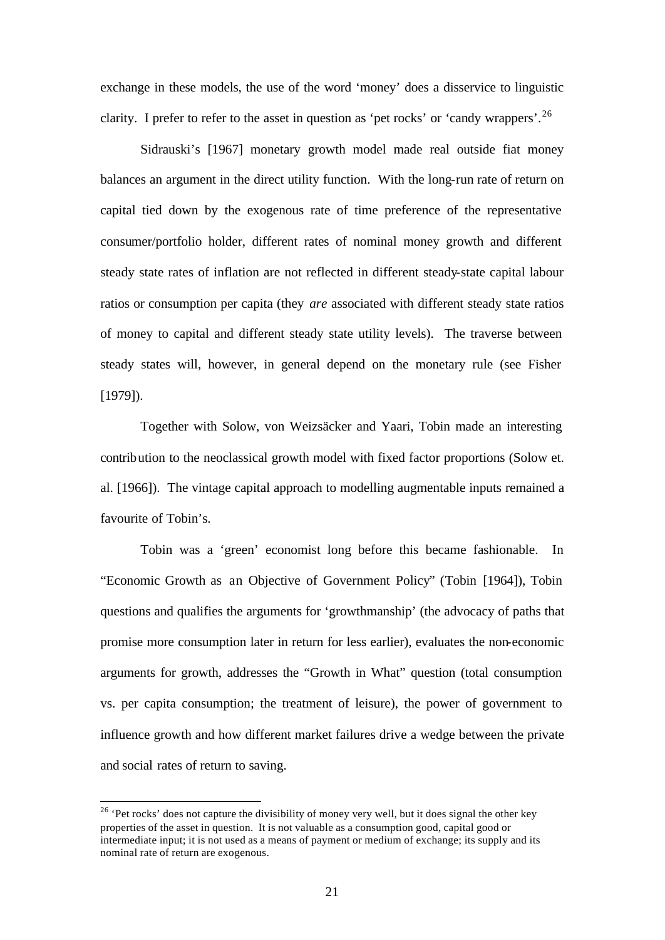exchange in these models, the use of the word 'money' does a disservice to linguistic clarity. I prefer to refer to the asset in question as 'pet rocks' or 'candy wrappers'.<sup>26</sup>

Sidrauski's [1967] monetary growth model made real outside fiat money balances an argument in the direct utility function. With the long-run rate of return on capital tied down by the exogenous rate of time preference of the representative consumer/portfolio holder, different rates of nominal money growth and different steady state rates of inflation are not reflected in different steady-state capital labour ratios or consumption per capita (they *are* associated with different steady state ratios of money to capital and different steady state utility levels). The traverse between steady states will, however, in general depend on the monetary rule (see Fisher [1979]).

Together with Solow, von Weizsäcker and Yaari, Tobin made an interesting contribution to the neoclassical growth model with fixed factor proportions (Solow et. al. [1966]). The vintage capital approach to modelling augmentable inputs remained a favourite of Tobin's.

Tobin was a 'green' economist long before this became fashionable. In "Economic Growth as an Objective of Government Policy" (Tobin [1964]), Tobin questions and qualifies the arguments for 'growthmanship' (the advocacy of paths that promise more consumption later in return for less earlier), evaluates the non-economic arguments for growth, addresses the "Growth in What" question (total consumption vs. per capita consumption; the treatment of leisure), the power of government to influence growth and how different market failures drive a wedge between the private and social rates of return to saving.

<sup>&</sup>lt;sup>26</sup> 'Pet rocks' does not capture the divisibility of money very well, but it does signal the other key properties of the asset in question. It is not valuable as a consumption good, capital good or intermediate input; it is not used as a means of payment or medium of exchange; its supply and its nominal rate of return are exogenous.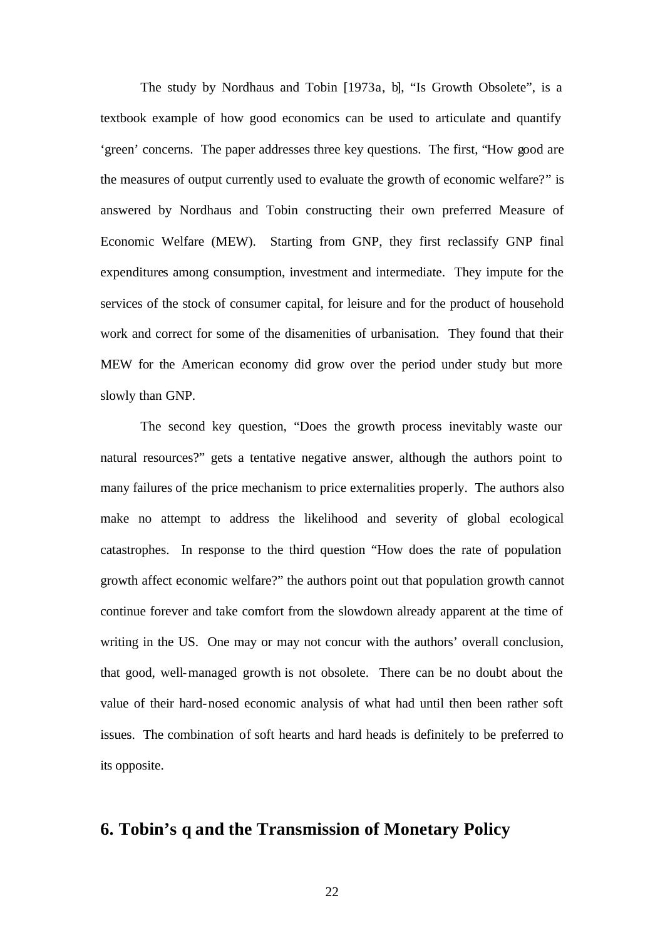The study by Nordhaus and Tobin [1973a, b], "Is Growth Obsolete", is a textbook example of how good economics can be used to articulate and quantify 'green' concerns. The paper addresses three key questions. The first, "How good are the measures of output currently used to evaluate the growth of economic welfare?" is answered by Nordhaus and Tobin constructing their own preferred Measure of Economic Welfare (MEW). Starting from GNP, they first reclassify GNP final expenditures among consumption, investment and intermediate. They impute for the services of the stock of consumer capital, for leisure and for the product of household work and correct for some of the disamenities of urbanisation. They found that their MEW for the American economy did grow over the period under study but more slowly than GNP.

The second key question, "Does the growth process inevitably waste our natural resources?" gets a tentative negative answer, although the authors point to many failures of the price mechanism to price externalities properly. The authors also make no attempt to address the likelihood and severity of global ecological catastrophes. In response to the third question "How does the rate of population growth affect economic welfare?" the authors point out that population growth cannot continue forever and take comfort from the slowdown already apparent at the time of writing in the US. One may or may not concur with the authors' overall conclusion, that good, well-managed growth is not obsolete. There can be no doubt about the value of their hard-nosed economic analysis of what had until then been rather soft issues. The combination of soft hearts and hard heads is definitely to be preferred to its opposite.

## **6. Tobin's q and the Transmission of Monetary Policy**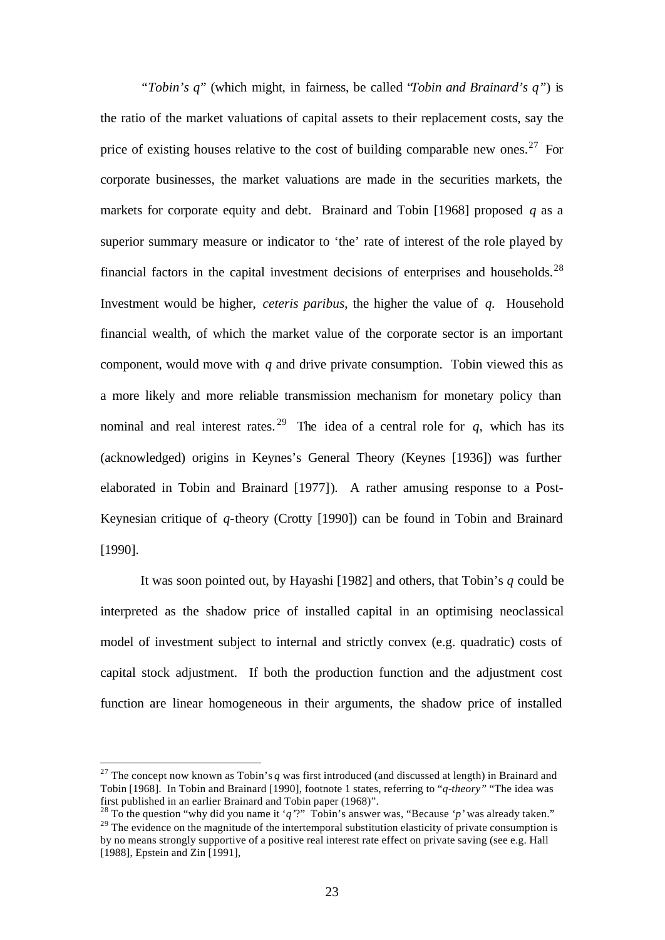*"Tobin's q"* (which might, in fairness, be called "*Tobin and Brainard's q"*) is the ratio of the market valuations of capital assets to their replacement costs, say the price of existing houses relative to the cost of building comparable new ones.<sup>27</sup> For corporate businesses, the market valuations are made in the securities markets, the markets for corporate equity and debt. Brainard and Tobin [1968] proposed *q* as a superior summary measure or indicator to 'the' rate of interest of the role played by financial factors in the capital investment decisions of enterprises and households.<sup>28</sup> Investment would be higher, *ceteris paribus*, the higher the value of *q.* Household financial wealth, of which the market value of the corporate sector is an important component, would move with *q* and drive private consumption. Tobin viewed this as a more likely and more reliable transmission mechanism for monetary policy than nominal and real interest rates.<sup>29</sup> The idea of a central role for  $q$ , which has its (acknowledged) origins in Keynes's General Theory (Keynes [1936]) was further elaborated in Tobin and Brainard [1977]). A rather amusing response to a Post-Keynesian critique of *q*-theory (Crotty [1990]) can be found in Tobin and Brainard [1990].

It was soon pointed out, by Hayashi [1982] and others, that Tobin's *q* could be interpreted as the shadow price of installed capital in an optimising neoclassical model of investment subject to internal and strictly convex (e.g. quadratic) costs of capital stock adjustment. If both the production function and the adjustment cost function are linear homogeneous in their arguments, the shadow price of installed

<sup>&</sup>lt;sup>27</sup> The concept now known as Tobin's  $q$  was first introduced (and discussed at length) in Brainard and Tobin [1968]. In Tobin and Brainard [1990], footnote 1 states, referring to "*q-theory"* "The idea was first published in an earlier Brainard and Tobin paper (1968)".

<sup>28</sup> To the question "why did you name it '*q'*?" Tobin's answer was, "Because *'p'* was already taken." <sup>29</sup> The evidence on the magnitude of the intertemporal substitution elasticity of private consumption is

by no means strongly supportive of a positive real interest rate effect on private saving (see e.g. Hall [1988], Epstein and Zin [1991],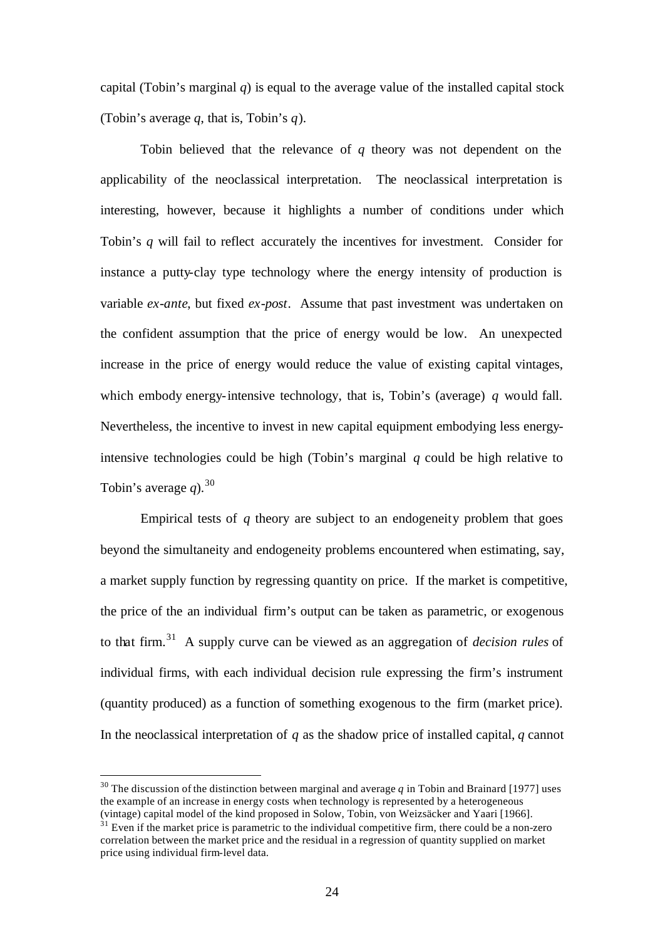capital (Tobin's marginal *q*) is equal to the average value of the installed capital stock (Tobin's average *q*, that is, Tobin's *q*).

Tobin believed that the relevance of *q* theory was not dependent on the applicability of the neoclassical interpretation. The neoclassical interpretation is interesting, however, because it highlights a number of conditions under which Tobin's *q* will fail to reflect accurately the incentives for investment. Consider for instance a putty-clay type technology where the energy intensity of production is variable *ex-ante*, but fixed *ex-post*. Assume that past investment was undertaken on the confident assumption that the price of energy would be low. An unexpected increase in the price of energy would reduce the value of existing capital vintages, which embody energy-intensive technology, that is, Tobin's (average) *q* would fall. Nevertheless, the incentive to invest in new capital equipment embodying less energyintensive technologies could be high (Tobin's marginal *q* could be high relative to Tobin's average  $q$ ).<sup>30</sup>

Empirical tests of *q* theory are subject to an endogeneity problem that goes beyond the simultaneity and endogeneity problems encountered when estimating, say, a market supply function by regressing quantity on price. If the market is competitive, the price of the an individual firm's output can be taken as parametric, or exogenous to that firm.<sup>31</sup> A supply curve can be viewed as an aggregation of *decision rules* of individual firms, with each individual decision rule expressing the firm's instrument (quantity produced) as a function of something exogenous to the firm (market price). In the neoclassical interpretation of *q* as the shadow price of installed capital, *q* cannot

<sup>&</sup>lt;sup>30</sup> The discussion of the distinction between marginal and average  $q$  in Tobin and Brainard [1977] uses the example of an increase in energy costs when technology is represented by a heterogeneous (vintage) capital model of the kind proposed in Solow, Tobin, von Weizsäcker and Yaari [1966].

 $31$  Even if the market price is parametric to the individual competitive firm, there could be a non-zero correlation between the market price and the residual in a regression of quantity supplied on market price using individual firm-level data.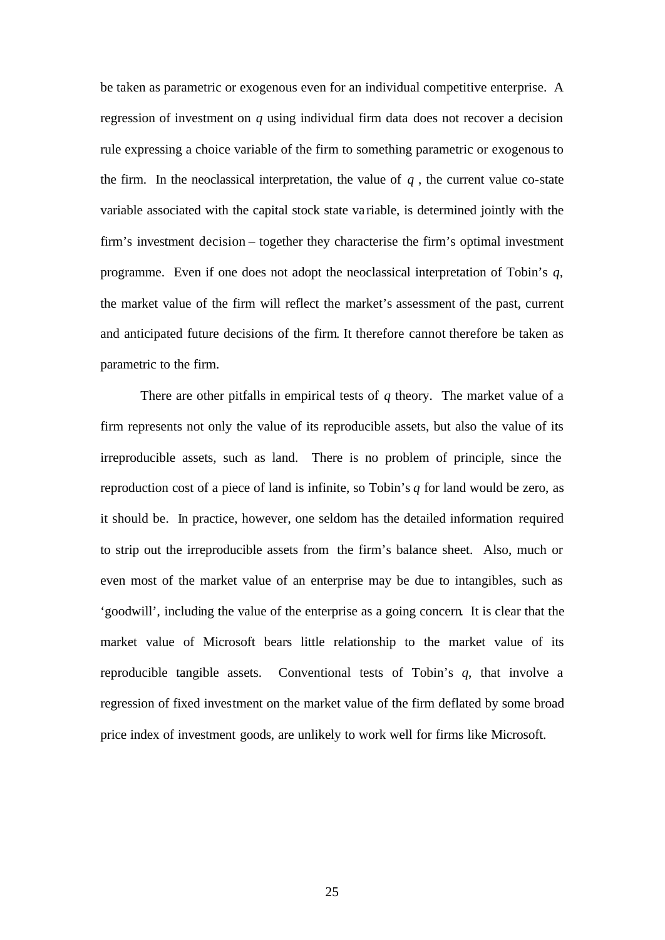be taken as parametric or exogenous even for an individual competitive enterprise. A regression of investment on *q* using individual firm data does not recover a decision rule expressing a choice variable of the firm to something parametric or exogenous to the firm. In the neoclassical interpretation, the value of  $q$ , the current value co-state variable associated with the capital stock state va riable, is determined jointly with the firm's investment decision – together they characterise the firm's optimal investment programme. Even if one does not adopt the neoclassical interpretation of Tobin's *q,* the market value of the firm will reflect the market's assessment of the past, current and anticipated future decisions of the firm. It therefore cannot therefore be taken as parametric to the firm.

There are other pitfalls in empirical tests of *q* theory. The market value of a firm represents not only the value of its reproducible assets, but also the value of its irreproducible assets, such as land. There is no problem of principle, since the reproduction cost of a piece of land is infinite, so Tobin's *q* for land would be zero, as it should be. In practice, however, one seldom has the detailed information required to strip out the irreproducible assets from the firm's balance sheet. Also, much or even most of the market value of an enterprise may be due to intangibles, such as 'goodwill', including the value of the enterprise as a going concern. It is clear that the market value of Microsoft bears little relationship to the market value of its reproducible tangible assets. Conventional tests of Tobin's *q*, that involve a regression of fixed investment on the market value of the firm deflated by some broad price index of investment goods, are unlikely to work well for firms like Microsoft.

25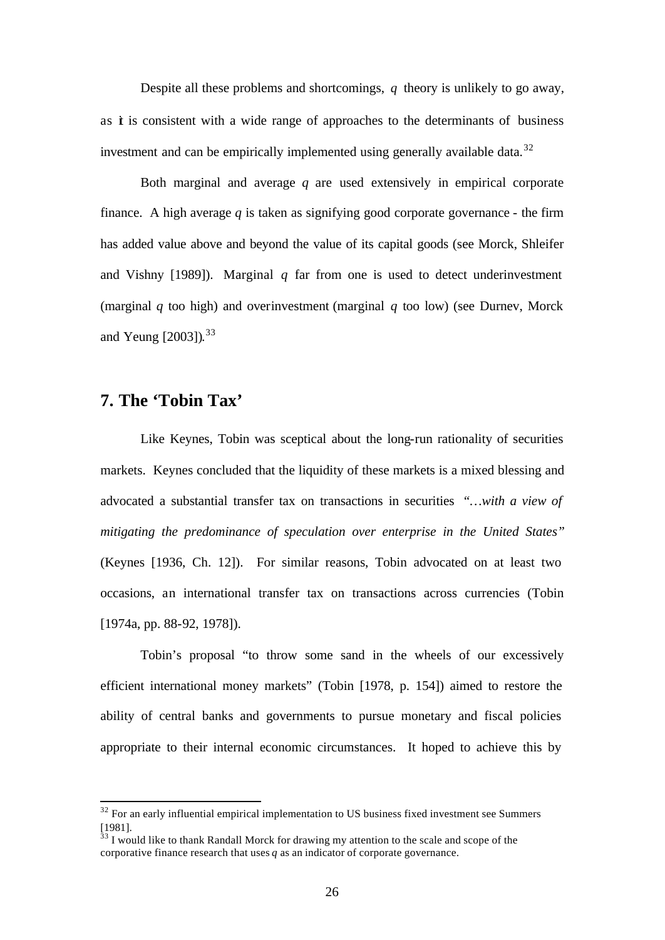Despite all these problems and shortcomings, *q* theory is unlikely to go away, as  $\dot{\mathbf{t}}$  is consistent with a wide range of approaches to the determinants of business investment and can be empirically implemented using generally available data.<sup>32</sup>

Both marginal and average *q* are used extensively in empirical corporate finance. A high average  $q$  is taken as signifying good corporate governance - the firm has added value above and beyond the value of its capital goods (see Morck, Shleifer and Vishny [1989]). Marginal  $q$  far from one is used to detect underinvestment (marginal *q* too high) and overinvestment (marginal *q* too low) (see Durnev, Morck and Yeung  $[2003]$ ).<sup>33</sup>

### **7. The 'Tobin Tax'**

l

Like Keynes, Tobin was sceptical about the long-run rationality of securities markets. Keynes concluded that the liquidity of these markets is a mixed blessing and advocated a substantial transfer tax on transactions in securities *"…with a view of mitigating the predominance of speculation over enterprise in the United States"* (Keynes [1936, Ch. 12]). For similar reasons, Tobin advocated on at least two occasions, an international transfer tax on transactions across currencies (Tobin [1974a, pp. 88-92, 1978]).

Tobin's proposal "to throw some sand in the wheels of our excessively efficient international money markets" (Tobin [1978, p. 154]) aimed to restore the ability of central banks and governments to pursue monetary and fiscal policies appropriate to their internal economic circumstances. It hoped to achieve this by

 $32$  For an early influential empirical implementation to US business fixed investment see Summers [1981].

 $33$  I would like to thank Randall Morck for drawing my attention to the scale and scope of the corporative finance research that uses *q* as an indicator of corporate governance.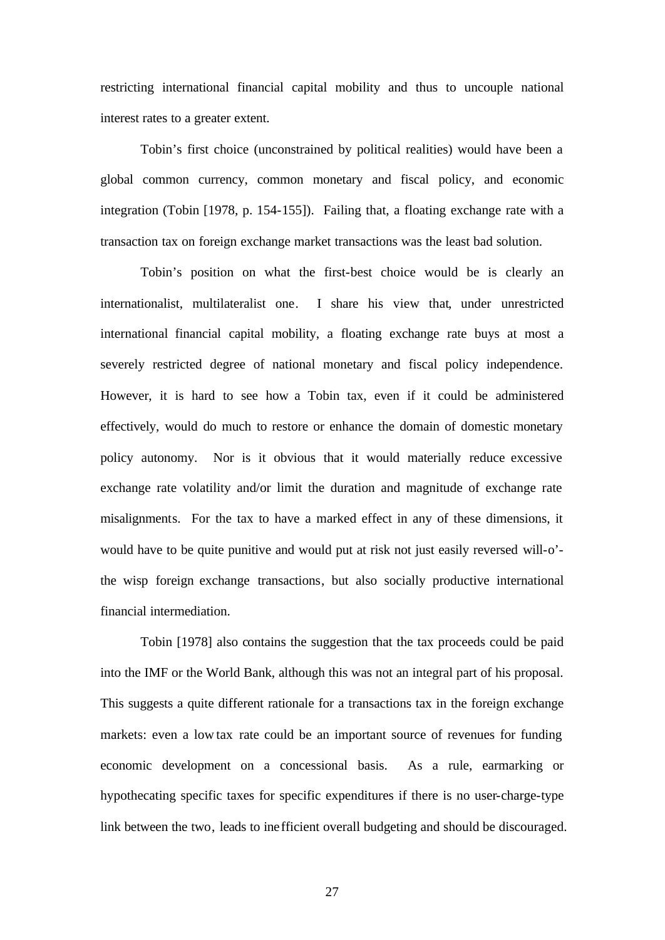restricting international financial capital mobility and thus to uncouple national interest rates to a greater extent.

Tobin's first choice (unconstrained by political realities) would have been a global common currency, common monetary and fiscal policy, and economic integration (Tobin [1978, p. 154-155]). Failing that, a floating exchange rate with a transaction tax on foreign exchange market transactions was the least bad solution.

Tobin's position on what the first-best choice would be is clearly an internationalist, multilateralist one. I share his view that, under unrestricted international financial capital mobility, a floating exchange rate buys at most a severely restricted degree of national monetary and fiscal policy independence. However, it is hard to see how a Tobin tax, even if it could be administered effectively, would do much to restore or enhance the domain of domestic monetary policy autonomy. Nor is it obvious that it would materially reduce excessive exchange rate volatility and/or limit the duration and magnitude of exchange rate misalignments. For the tax to have a marked effect in any of these dimensions, it would have to be quite punitive and would put at risk not just easily reversed will-o' the wisp foreign exchange transactions, but also socially productive international financial intermediation.

Tobin [1978] also contains the suggestion that the tax proceeds could be paid into the IMF or the World Bank, although this was not an integral part of his proposal. This suggests a quite different rationale for a transactions tax in the foreign exchange markets: even a low tax rate could be an important source of revenues for funding economic development on a concessional basis. As a rule, earmarking or hypothecating specific taxes for specific expenditures if there is no user-charge-type link between the two, leads to inefficient overall budgeting and should be discouraged.

27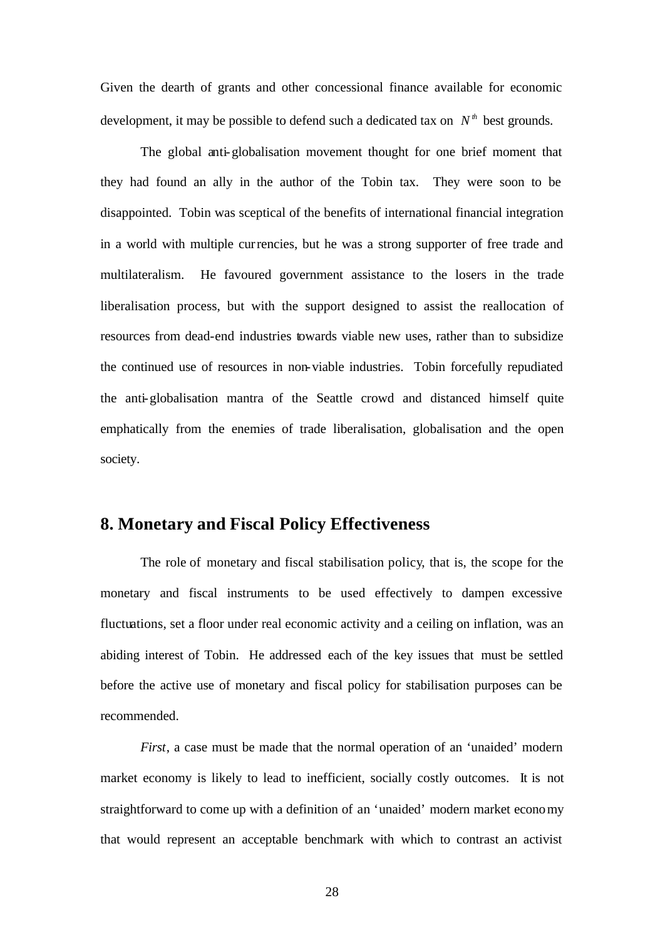Given the dearth of grants and other concessional finance available for economic development, it may be possible to defend such a dedicated tax on  $N^{th}$  best grounds.

The global anti-globalisation movement thought for one brief moment that they had found an ally in the author of the Tobin tax. They were soon to be disappointed. Tobin was sceptical of the benefits of international financial integration in a world with multiple currencies, but he was a strong supporter of free trade and multilateralism. He favoured government assistance to the losers in the trade liberalisation process, but with the support designed to assist the reallocation of resources from dead-end industries towards viable new uses, rather than to subsidize the continued use of resources in non-viable industries. Tobin forcefully repudiated the anti-globalisation mantra of the Seattle crowd and distanced himself quite emphatically from the enemies of trade liberalisation, globalisation and the open society.

### **8. Monetary and Fiscal Policy Effectiveness**

The role of monetary and fiscal stabilisation policy, that is, the scope for the monetary and fiscal instruments to be used effectively to dampen excessive fluctuations, set a floor under real economic activity and a ceiling on inflation, was an abiding interest of Tobin. He addressed each of the key issues that must be settled before the active use of monetary and fiscal policy for stabilisation purposes can be recommended.

*First*, a case must be made that the normal operation of an 'unaided' modern market economy is likely to lead to inefficient, socially costly outcomes. It is not straightforward to come up with a definition of an 'unaided' modern market economy that would represent an acceptable benchmark with which to contrast an activist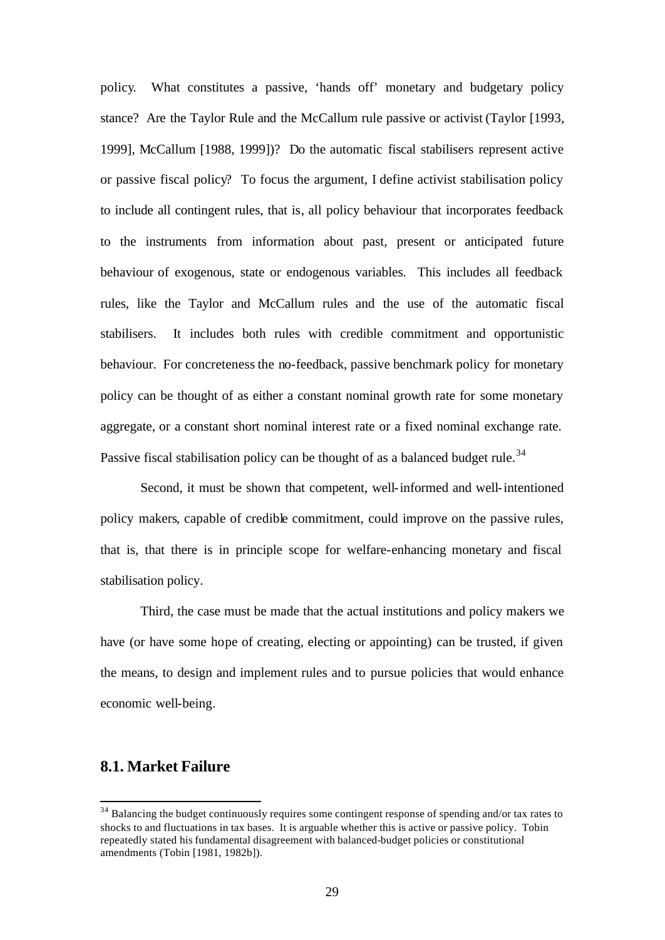policy. What constitutes a passive, 'hands off' monetary and budgetary policy stance? Are the Taylor Rule and the McCallum rule passive or activist (Taylor [1993, 1999], McCallum [1988, 1999])? Do the automatic fiscal stabilisers represent active or passive fiscal policy? To focus the argument, I define activist stabilisation policy to include all contingent rules, that is, all policy behaviour that incorporates feedback to the instruments from information about past, present or anticipated future behaviour of exogenous, state or endogenous variables. This includes all feedback rules, like the Taylor and McCallum rules and the use of the automatic fiscal stabilisers. It includes both rules with credible commitment and opportunistic behaviour. For concreteness the no-feedback, passive benchmark policy for monetary policy can be thought of as either a constant nominal growth rate for some monetary aggregate, or a constant short nominal interest rate or a fixed nominal exchange rate. Passive fiscal stabilisation policy can be thought of as a balanced budget rule.<sup>34</sup>

Second, it must be shown that competent, well-informed and well-intentioned policy makers, capable of credible commitment, could improve on the passive rules, that is, that there is in principle scope for welfare-enhancing monetary and fiscal stabilisation policy.

Third, the case must be made that the actual institutions and policy makers we have (or have some hope of creating, electing or appointing) can be trusted, if given the means, to design and implement rules and to pursue policies that would enhance economic well-being.

#### **8.1. Market Failure**

<sup>&</sup>lt;sup>34</sup> Balancing the budget continuously requires some contingent response of spending and/or tax rates to shocks to and fluctuations in tax bases. It is arguable whether this is active or passive policy. Tobin repeatedly stated his fundamental disagreement with balanced-budget policies or constitutional amendments (Tobin [1981, 1982b]).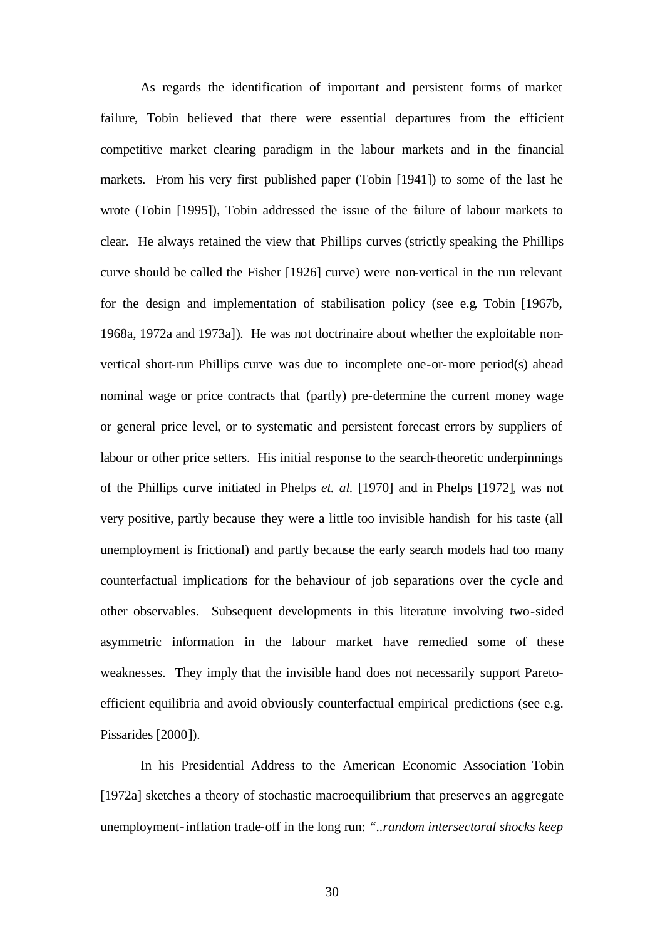As regards the identification of important and persistent forms of market failure, Tobin believed that there were essential departures from the efficient competitive market clearing paradigm in the labour markets and in the financial markets. From his very first published paper (Tobin [1941]) to some of the last he wrote (Tobin [1995]), Tobin addressed the issue of the failure of labour markets to clear. He always retained the view that Phillips curves (strictly speaking the Phillips curve should be called the Fisher [1926] curve) were non-vertical in the run relevant for the design and implementation of stabilisation policy (see e.g. Tobin [1967b, 1968a, 1972a and 1973a]). He was not doctrinaire about whether the exploitable nonvertical short-run Phillips curve was due to incomplete one-or-more period(s) ahead nominal wage or price contracts that (partly) pre-determine the current money wage or general price level, or to systematic and persistent forecast errors by suppliers of labour or other price setters. His initial response to the search-theoretic underpinnings of the Phillips curve initiated in Phelps *et. al.* [1970] and in Phelps [1972], was not very positive, partly because they were a little too invisible handish for his taste (all unemployment is frictional) and partly because the early search models had too many counterfactual implications for the behaviour of job separations over the cycle and other observables. Subsequent developments in this literature involving two-sided asymmetric information in the labour market have remedied some of these weaknesses. They imply that the invisible hand does not necessarily support Paretoefficient equilibria and avoid obviously counterfactual empirical predictions (see e.g. Pissarides [2000]).

In his Presidential Address to the American Economic Association Tobin [1972a] sketches a theory of stochastic macroequilibrium that preserves an aggregate unemployment-inflation trade-off in the long run: *"..random intersectoral shocks keep*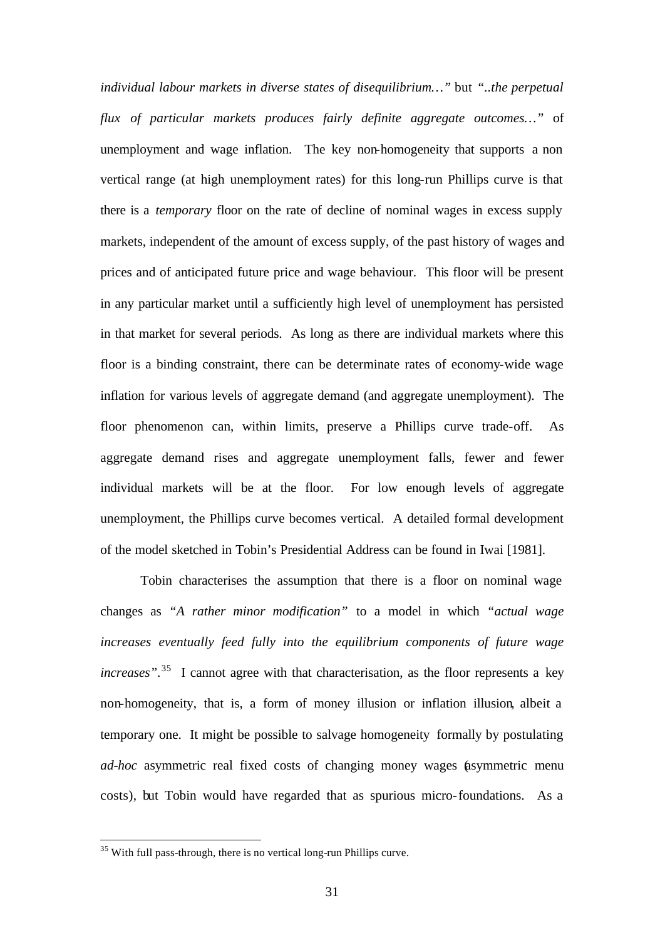*individual labour markets in diverse states of disequilibrium…"* but *"..the perpetual flux of particular markets produces fairly definite aggregate outcomes…"* of unemployment and wage inflation. The key non-homogeneity that supports a non vertical range (at high unemployment rates) for this long-run Phillips curve is that there is a *temporary* floor on the rate of decline of nominal wages in excess supply markets, independent of the amount of excess supply, of the past history of wages and prices and of anticipated future price and wage behaviour. This floor will be present in any particular market until a sufficiently high level of unemployment has persisted in that market for several periods. As long as there are individual markets where this floor is a binding constraint, there can be determinate rates of economy-wide wage inflation for various levels of aggregate demand (and aggregate unemployment). The floor phenomenon can, within limits, preserve a Phillips curve trade-off. As aggregate demand rises and aggregate unemployment falls, fewer and fewer individual markets will be at the floor. For low enough levels of aggregate unemployment, the Phillips curve becomes vertical. A detailed formal development of the model sketched in Tobin's Presidential Address can be found in Iwai [1981].

Tobin characterises the assumption that there is a floor on nominal wage changes as *"A rather minor modification"* to a model in which *"actual wage increases eventually feed fully into the equilibrium components of future wage increases"*. <sup>35</sup> I cannot agree with that characterisation, as the floor represents a key non-homogeneity, that is, a form of money illusion or inflation illusion, albeit a temporary one. It might be possible to salvage homogeneity formally by postulating *ad-hoc* asymmetric real fixed costs of changing money wages (asymmetric menu costs), but Tobin would have regarded that as spurious micro-foundations. As a

 $35$  With full pass-through, there is no vertical long-run Phillips curve.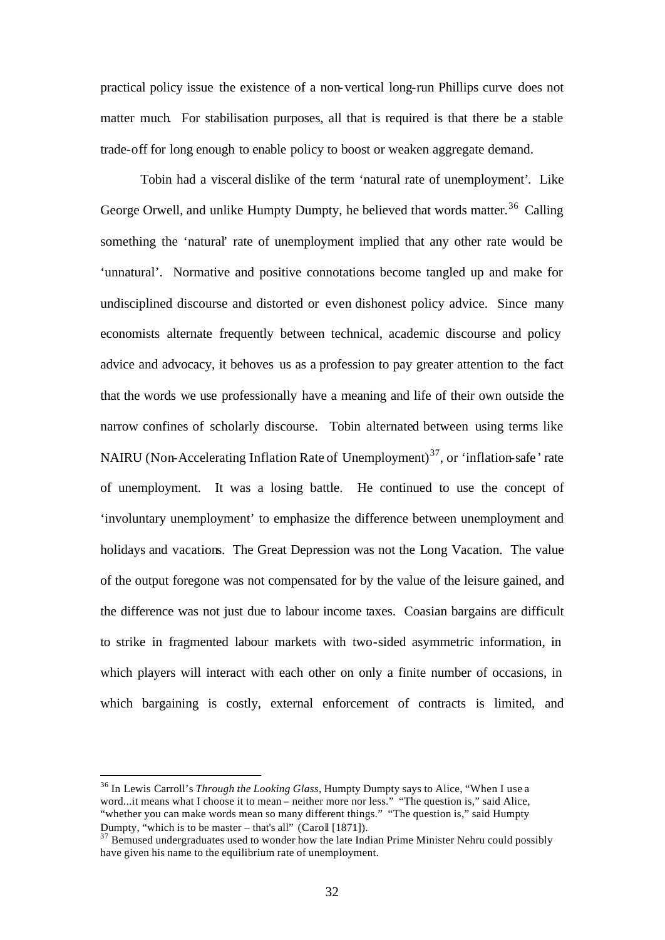practical policy issue the existence of a non-vertical long-run Phillips curve does not matter much. For stabilisation purposes, all that is required is that there be a stable trade-off for long enough to enable policy to boost or weaken aggregate demand.

Tobin had a visceral dislike of the term 'natural rate of unemployment'. Like George Orwell, and unlike Humpty Dumpty, he believed that words matter.<sup>36</sup> Calling something the 'natural' rate of unemployment implied that any other rate would be 'unnatural'. Normative and positive connotations become tangled up and make for undisciplined discourse and distorted or even dishonest policy advice. Since many economists alternate frequently between technical, academic discourse and policy advice and advocacy, it behoves us as a profession to pay greater attention to the fact that the words we use professionally have a meaning and life of their own outside the narrow confines of scholarly discourse. Tobin alternated between using terms like NAIRU (Non-Accelerating Inflation Rate of Unemployment) $37$ , or 'inflation-safe' rate of unemployment. It was a losing battle. He continued to use the concept of 'involuntary unemployment' to emphasize the difference between unemployment and holidays and vacations. The Great Depression was not the Long Vacation. The value of the output foregone was not compensated for by the value of the leisure gained, and the difference was not just due to labour income taxes. Coasian bargains are difficult to strike in fragmented labour markets with two-sided asymmetric information, in which players will interact with each other on only a finite number of occasions, in which bargaining is costly, external enforcement of contracts is limited, and

<sup>36</sup> In Lewis Carroll's *Through the Looking Glass*, Humpty Dumpty says to Alice, "When I use a word...it means what I choose it to mean – neither more nor less." "The question is," said Alice, "whether you can make words mean so many different things." "The question is," said Humpty Dumpty, "which is to be master – that's all" (Caroll [1871]).

<sup>&</sup>lt;sup>37</sup> Bemused undergraduates used to wonder how the late Indian Prime Minister Nehru could possibly have given his name to the equilibrium rate of unemployment.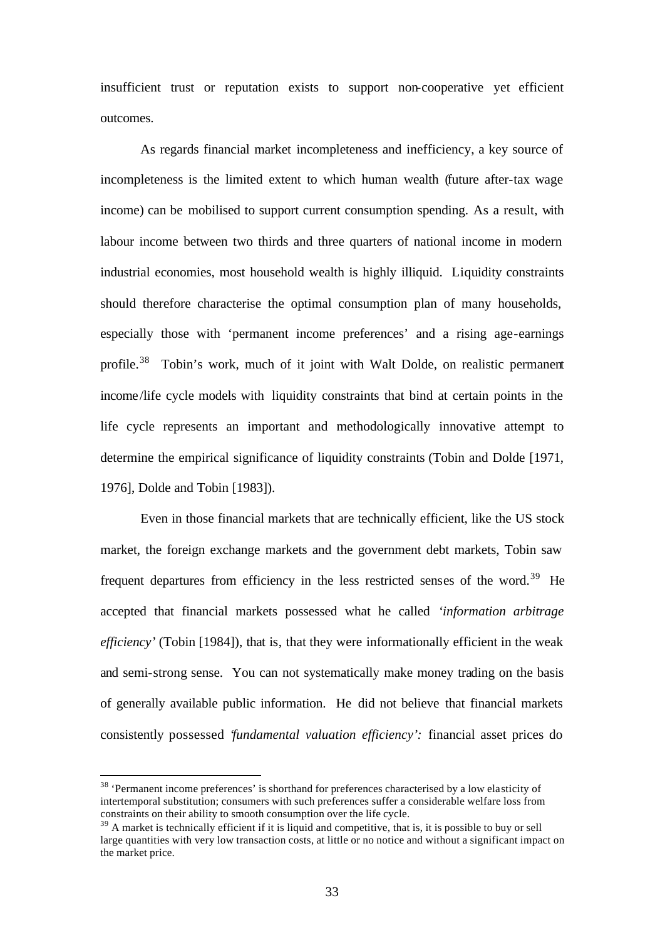insufficient trust or reputation exists to support non-cooperative yet efficient outcomes.

As regards financial market incompleteness and inefficiency, a key source of incompleteness is the limited extent to which human wealth (future after-tax wage income) can be mobilised to support current consumption spending. As a result, with labour income between two thirds and three quarters of national income in modern industrial economies, most household wealth is highly illiquid. Liquidity constraints should therefore characterise the optimal consumption plan of many households, especially those with 'permanent income preferences' and a rising age-earnings profile.<sup>38</sup> Tobin's work, much of it joint with Walt Dolde, on realistic permanent income/life cycle models with liquidity constraints that bind at certain points in the life cycle represents an important and methodologically innovative attempt to determine the empirical significance of liquidity constraints (Tobin and Dolde [1971, 1976], Dolde and Tobin [1983]).

Even in those financial markets that are technically efficient, like the US stock market, the foreign exchange markets and the government debt markets, Tobin saw frequent departures from efficiency in the less restricted senses of the word.<sup>39</sup> He accepted that financial markets possessed what he called *'information arbitrage efficiency'* (Tobin [1984]), that is, that they were informationally efficient in the weak and semi-strong sense. You can not systematically make money trading on the basis of generally available public information. He did not believe that financial markets consistently possessed '*fundamental valuation efficiency':* financial asset prices do

<sup>&</sup>lt;sup>38</sup> 'Permanent income preferences' is shorthand for preferences characterised by a low elasticity of intertemporal substitution; consumers with such preferences suffer a considerable welfare loss from constraints on their ability to smooth consumption over the life cycle.

<sup>&</sup>lt;sup>39</sup> A market is technically efficient if it is liquid and competitive, that is, it is possible to buy or sell large quantities with very low transaction costs, at little or no notice and without a significant impact on the market price.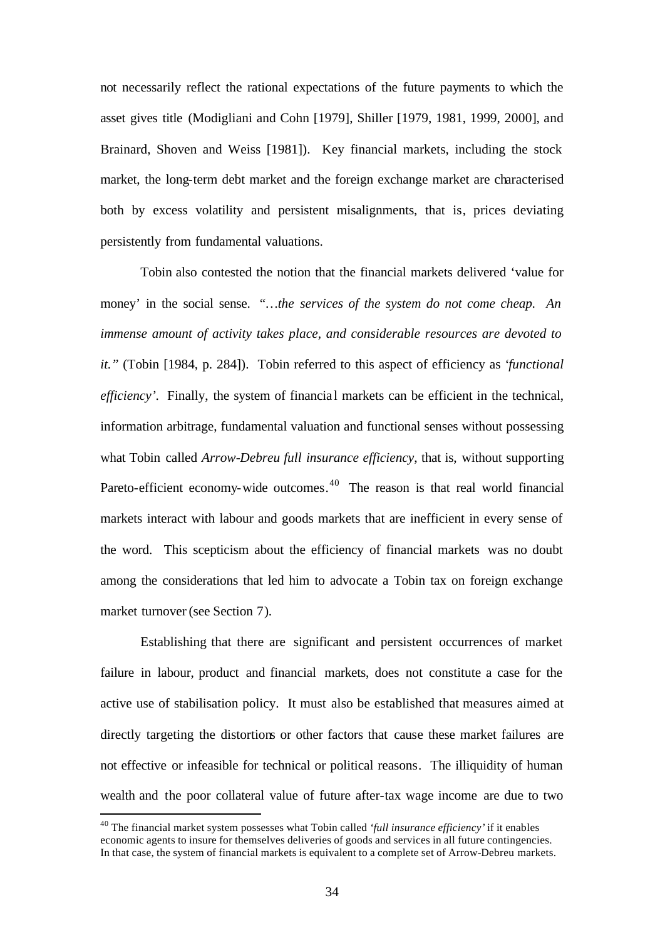not necessarily reflect the rational expectations of the future payments to which the asset gives title (Modigliani and Cohn [1979], Shiller [1979, 1981, 1999, 2000], and Brainard, Shoven and Weiss [1981]). Key financial markets, including the stock market, the long-term debt market and the foreign exchange market are characterised both by excess volatility and persistent misalignments, that is, prices deviating persistently from fundamental valuations.

Tobin also contested the notion that the financial markets delivered 'value for money' in the social sense. *"…the services of the system do not come cheap. An immense amount of activity takes place, and considerable resources are devoted to it."* (Tobin [1984, p. 284]). Tobin referred to this aspect of efficiency as '*functional efficiency'*. Finally, the system of financial markets can be efficient in the technical, information arbitrage, fundamental valuation and functional senses without possessing what Tobin called *Arrow-Debreu full insurance efficiency*, that is, without supporting Pareto-efficient economy-wide outcomes.<sup>40</sup> The reason is that real world financial markets interact with labour and goods markets that are inefficient in every sense of the word. This scepticism about the efficiency of financial markets was no doubt among the considerations that led him to advocate a Tobin tax on foreign exchange market turnover (see Section 7).

Establishing that there are significant and persistent occurrences of market failure in labour, product and financial markets, does not constitute a case for the active use of stabilisation policy. It must also be established that measures aimed at directly targeting the distortions or other factors that cause these market failures are not effective or infeasible for technical or political reasons. The illiquidity of human wealth and the poor collateral value of future after-tax wage income are due to two

<sup>40</sup> The financial market system possesses what Tobin called *'full insurance efficiency'* if it enables economic agents to insure for themselves deliveries of goods and services in all future contingencies. In that case, the system of financial markets is equivalent to a complete set of Arrow-Debreu markets.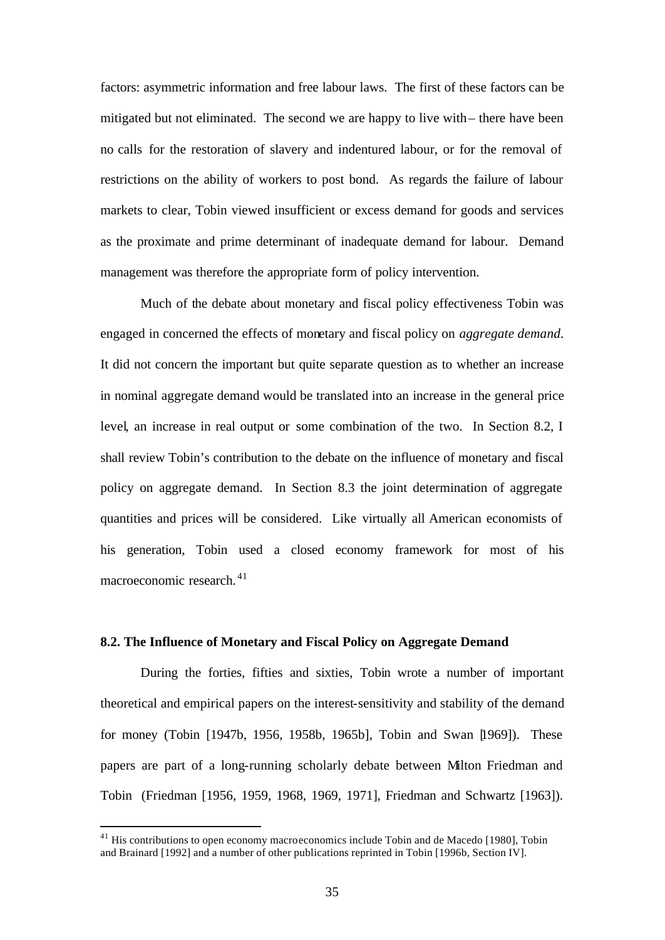factors: asymmetric information and free labour laws. The first of these factors can be mitigated but not eliminated. The second we are happy to live with – there have been no calls for the restoration of slavery and indentured labour, or for the removal of restrictions on the ability of workers to post bond. As regards the failure of labour markets to clear, Tobin viewed insufficient or excess demand for goods and services as the proximate and prime determinant of inadequate demand for labour. Demand management was therefore the appropriate form of policy intervention.

Much of the debate about monetary and fiscal policy effectiveness Tobin was engaged in concerned the effects of monetary and fiscal policy on *aggregate demand*. It did not concern the important but quite separate question as to whether an increase in nominal aggregate demand would be translated into an increase in the general price level, an increase in real output or some combination of the two. In Section 8.2, I shall review Tobin's contribution to the debate on the influence of monetary and fiscal policy on aggregate demand. In Section 8.3 the joint determination of aggregate quantities and prices will be considered. Like virtually all American economists of his generation, Tobin used a closed economy framework for most of his macroeconomic research. <sup>41</sup>

#### **8.2. The Influence of Monetary and Fiscal Policy on Aggregate Demand**

During the forties, fifties and sixties, Tobin wrote a number of important theoretical and empirical papers on the interest-sensitivity and stability of the demand for money (Tobin [1947b, 1956, 1958b, 1965b], Tobin and Swan [1969]). These papers are part of a long-running scholarly debate between Milton Friedman and Tobin (Friedman [1956, 1959, 1968, 1969, 1971], Friedman and Schwartz [1963]).

<sup>&</sup>lt;sup>41</sup> His contributions to open economy macroeconomics include Tobin and de Macedo [1980], Tobin and Brainard [1992] and a number of other publications reprinted in Tobin [1996b, Section IV].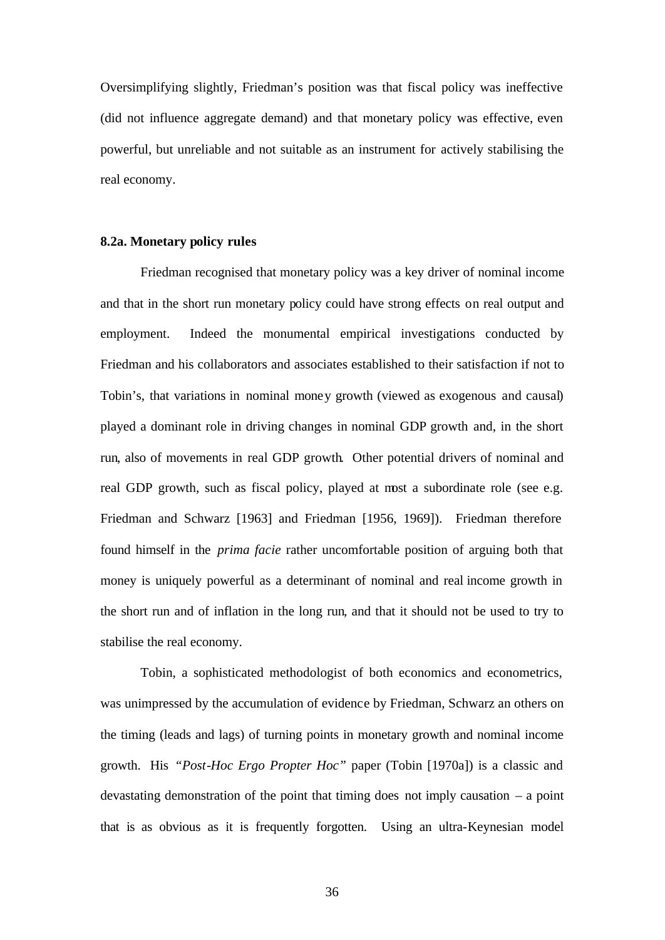Oversimplifying slightly, Friedman's position was that fiscal policy was ineffective (did not influence aggregate demand) and that monetary policy was effective, even powerful, but unreliable and not suitable as an instrument for actively stabilising the real economy.

#### **8.2a. Monetary policy rules**

Friedman recognised that monetary policy was a key driver of nominal income and that in the short run monetary policy could have strong effects on real output and employment. Indeed the monumental empirical investigations conducted by Friedman and his collaborators and associates established to their satisfaction if not to Tobin's, that variations in nominal money growth (viewed as exogenous and causal) played a dominant role in driving changes in nominal GDP growth and, in the short run, also of movements in real GDP growth. Other potential drivers of nominal and real GDP growth, such as fiscal policy, played at most a subordinate role (see e.g. Friedman and Schwarz [1963] and Friedman [1956, 1969]). Friedman therefore found himself in the *prima facie* rather uncomfortable position of arguing both that money is uniquely powerful as a determinant of nominal and real income growth in the short run and of inflation in the long run, and that it should not be used to try to stabilise the real economy.

Tobin, a sophisticated methodologist of both economics and econometrics, was unimpressed by the accumulation of evidence by Friedman, Schwarz an others on the timing (leads and lags) of turning points in monetary growth and nominal income growth. His *"Post-Hoc Ergo Propter Hoc"* paper (Tobin [1970a]) is a classic and devastating demonstration of the point that timing does not imply causation – a point that is as obvious as it is frequently forgotten. Using an ultra-Keynesian model

36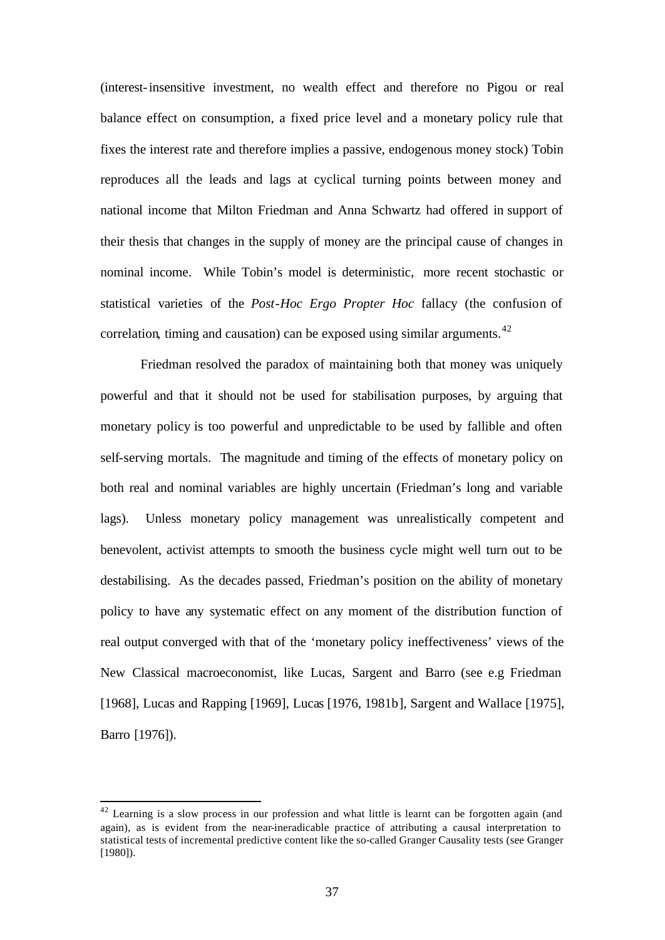(interest-insensitive investment, no wealth effect and therefore no Pigou or real balance effect on consumption, a fixed price level and a monetary policy rule that fixes the interest rate and therefore implies a passive, endogenous money stock) Tobin reproduces all the leads and lags at cyclical turning points between money and national income that Milton Friedman and Anna Schwartz had offered in support of their thesis that changes in the supply of money are the principal cause of changes in nominal income. While Tobin's model is deterministic, more recent stochastic or statistical varieties of the *Post-Hoc Ergo Propter Hoc* fallacy (the confusion of correlation, timing and causation) can be exposed using similar arguments.<sup>42</sup>

Friedman resolved the paradox of maintaining both that money was uniquely powerful and that it should not be used for stabilisation purposes, by arguing that monetary policy is too powerful and unpredictable to be used by fallible and often self-serving mortals. The magnitude and timing of the effects of monetary policy on both real and nominal variables are highly uncertain (Friedman's long and variable lags). Unless monetary policy management was unrealistically competent and benevolent, activist attempts to smooth the business cycle might well turn out to be destabilising. As the decades passed, Friedman's position on the ability of monetary policy to have any systematic effect on any moment of the distribution function of real output converged with that of the 'monetary policy ineffectiveness' views of the New Classical macroeconomist, like Lucas, Sargent and Barro (see e.g Friedman [1968], Lucas and Rapping [1969], Lucas [1976, 1981b], Sargent and Wallace [1975], Barro [1976]).

 $42$  Learning is a slow process in our profession and what little is learnt can be forgotten again (and again), as is evident from the near-ineradicable practice of attributing a causal interpretation to statistical tests of incremental predictive content like the so-called Granger Causality tests (see Granger [1980]).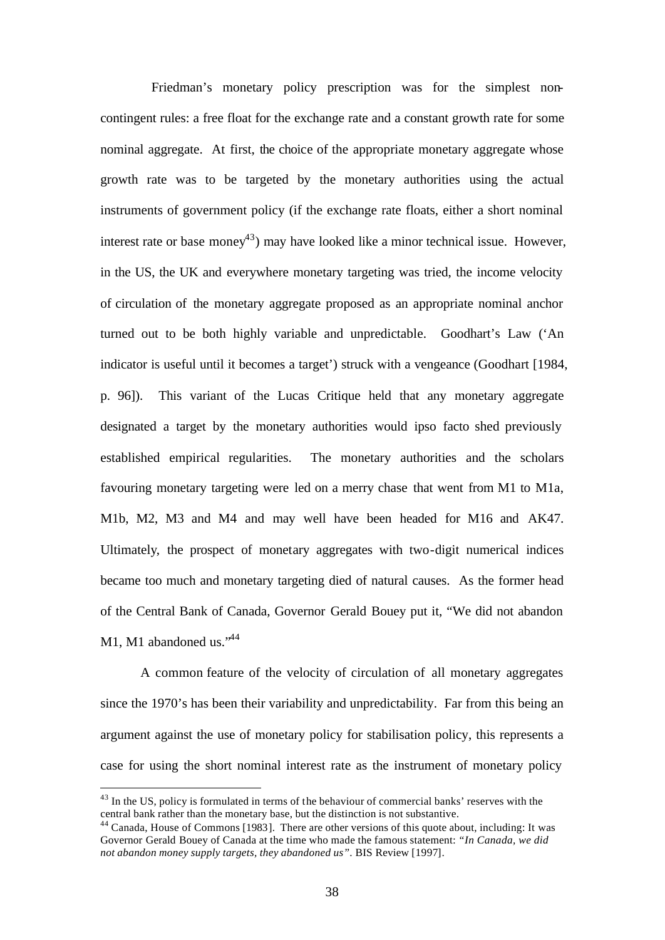Friedman's monetary policy prescription was for the simplest noncontingent rules: a free float for the exchange rate and a constant growth rate for some nominal aggregate. At first, the choice of the appropriate monetary aggregate whose growth rate was to be targeted by the monetary authorities using the actual instruments of government policy (if the exchange rate floats, either a short nominal interest rate or base money<sup>43</sup>) may have looked like a minor technical issue. However, in the US, the UK and everywhere monetary targeting was tried, the income velocity of circulation of the monetary aggregate proposed as an appropriate nominal anchor turned out to be both highly variable and unpredictable. Goodhart's Law ('An indicator is useful until it becomes a target') struck with a vengeance (Goodhart [1984, p. 96]). This variant of the Lucas Critique held that any monetary aggregate designated a target by the monetary authorities would ipso facto shed previously established empirical regularities. The monetary authorities and the scholars favouring monetary targeting were led on a merry chase that went from M1 to M1a, M1b, M2, M3 and M4 and may well have been headed for M16 and AK47. Ultimately, the prospect of monetary aggregates with two-digit numerical indices became too much and monetary targeting died of natural causes. As the former head of the Central Bank of Canada, Governor Gerald Bouey put it, "We did not abandon M1, M1 abandoned us. $144$ 

A common feature of the velocity of circulation of all monetary aggregates since the 1970's has been their variability and unpredictability. Far from this being an argument against the use of monetary policy for stabilisation policy, this represents a case for using the short nominal interest rate as the instrument of monetary policy

 $43$  In the US, policy is formulated in terms of the behaviour of commercial banks' reserves with the central bank rather than the monetary base, but the distinction is not substantive.

<sup>44</sup> Canada, House of Commons [1983]. There are other versions of this quote about, including: It was Governor Gerald Bouey of Canada at the time who made the famous statement: *"In Canada, we did not abandon money supply targets, they abandoned us"*. BIS Review [1997].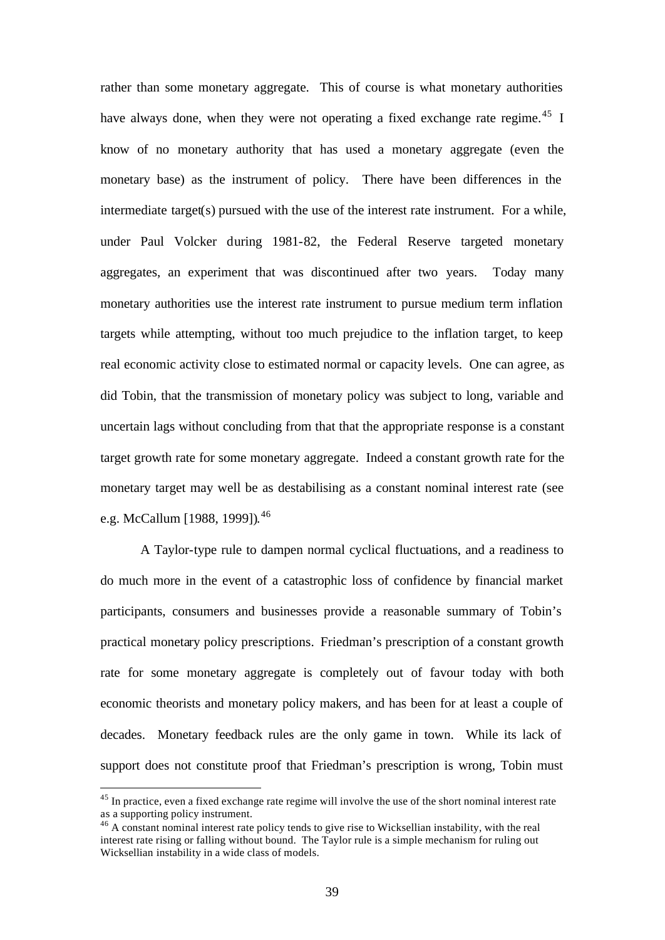rather than some monetary aggregate. This of course is what monetary authorities have always done, when they were not operating a fixed exchange rate regime.<sup>45</sup> I know of no monetary authority that has used a monetary aggregate (even the monetary base) as the instrument of policy. There have been differences in the intermediate target(s) pursued with the use of the interest rate instrument. For a while, under Paul Volcker during 1981-82, the Federal Reserve targeted monetary aggregates, an experiment that was discontinued after two years. Today many monetary authorities use the interest rate instrument to pursue medium term inflation targets while attempting, without too much prejudice to the inflation target, to keep real economic activity close to estimated normal or capacity levels. One can agree, as did Tobin, that the transmission of monetary policy was subject to long, variable and uncertain lags without concluding from that that the appropriate response is a constant target growth rate for some monetary aggregate. Indeed a constant growth rate for the monetary target may well be as destabilising as a constant nominal interest rate (see e.g. McCallum [1988, 1999]).<sup>46</sup>

A Taylor-type rule to dampen normal cyclical fluctuations, and a readiness to do much more in the event of a catastrophic loss of confidence by financial market participants, consumers and businesses provide a reasonable summary of Tobin's practical monetary policy prescriptions. Friedman's prescription of a constant growth rate for some monetary aggregate is completely out of favour today with both economic theorists and monetary policy makers, and has been for at least a couple of decades. Monetary feedback rules are the only game in town. While its lack of support does not constitute proof that Friedman's prescription is wrong, Tobin must

<sup>&</sup>lt;sup>45</sup> In practice, even a fixed exchange rate regime will involve the use of the short nominal interest rate as a supporting policy instrument.

<sup>46</sup> A constant nominal interest rate policy tends to give rise to Wicksellian instability, with the real interest rate rising or falling without bound. The Taylor rule is a simple mechanism for ruling out Wicksellian instability in a wide class of models.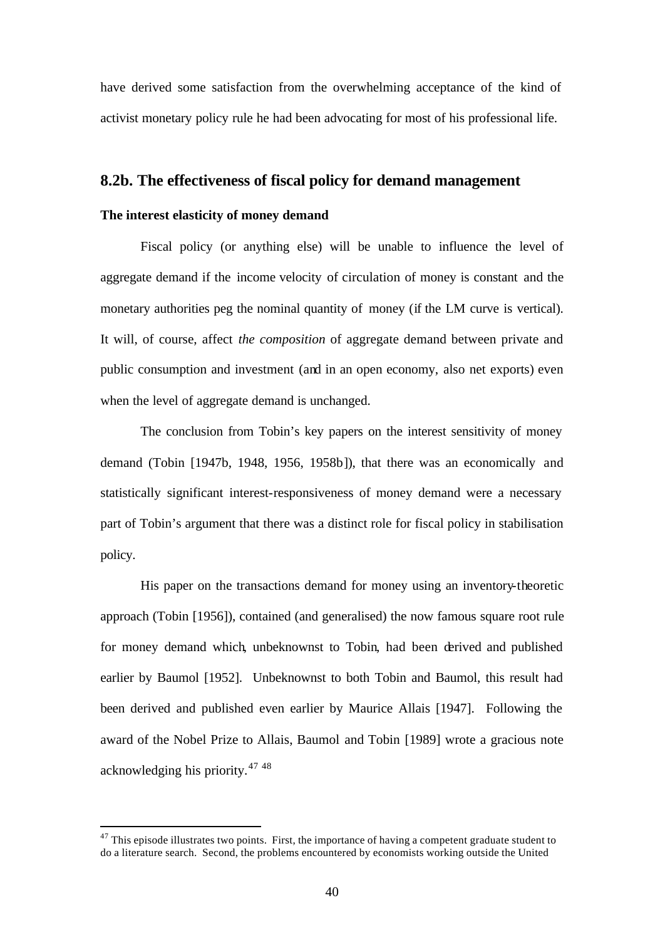have derived some satisfaction from the overwhelming acceptance of the kind of activist monetary policy rule he had been advocating for most of his professional life.

# **8.2b. The effectiveness of fiscal policy for demand management**

## **The interest elasticity of money demand**

Fiscal policy (or anything else) will be unable to influence the level of aggregate demand if the income velocity of circulation of money is constant and the monetary authorities peg the nominal quantity of money (if the LM curve is vertical). It will, of course, affect *the composition* of aggregate demand between private and public consumption and investment (and in an open economy, also net exports) even when the level of aggregate demand is unchanged.

The conclusion from Tobin's key papers on the interest sensitivity of money demand (Tobin [1947b, 1948, 1956, 1958b]), that there was an economically and statistically significant interest-responsiveness of money demand were a necessary part of Tobin's argument that there was a distinct role for fiscal policy in stabilisation policy.

His paper on the transactions demand for money using an inventory-theoretic approach (Tobin [1956]), contained (and generalised) the now famous square root rule for money demand which, unbeknownst to Tobin, had been derived and published earlier by Baumol [1952]. Unbeknownst to both Tobin and Baumol, this result had been derived and published even earlier by Maurice Allais [1947]. Following the award of the Nobel Prize to Allais, Baumol and Tobin [1989] wrote a gracious note acknowledging his priority.<sup>47</sup> <sup>48</sup>

 $47$  This episode illustrates two points. First, the importance of having a competent graduate student to do a literature search. Second, the problems encountered by economists working outside the United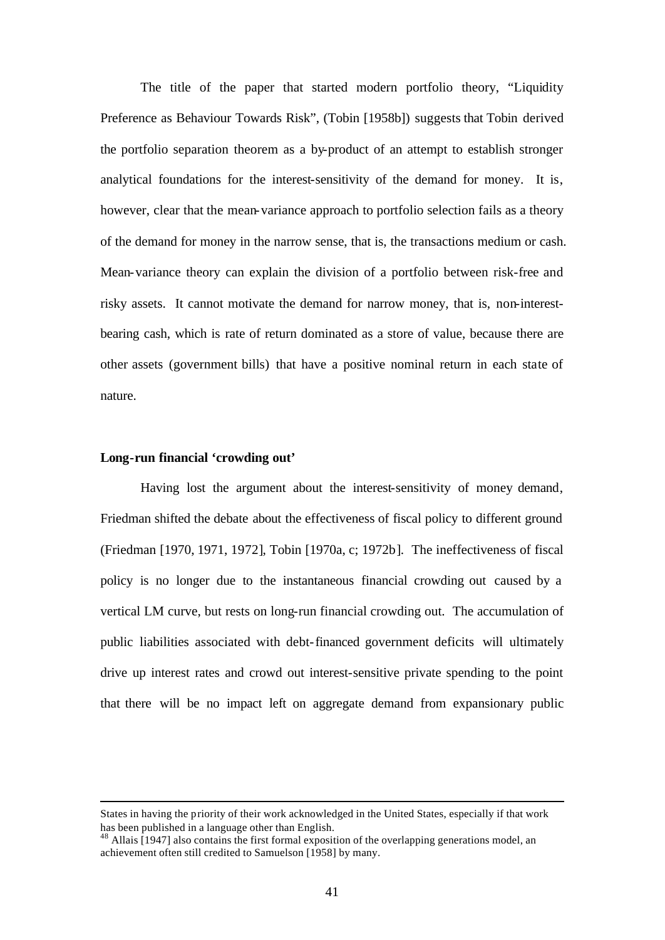The title of the paper that started modern portfolio theory, "Liquidity Preference as Behaviour Towards Risk", (Tobin [1958b]) suggests that Tobin derived the portfolio separation theorem as a by-product of an attempt to establish stronger analytical foundations for the interest-sensitivity of the demand for money. It is, however, clear that the mean-variance approach to portfolio selection fails as a theory of the demand for money in the narrow sense, that is, the transactions medium or cash. Mean-variance theory can explain the division of a portfolio between risk-free and risky assets. It cannot motivate the demand for narrow money, that is, non-interestbearing cash, which is rate of return dominated as a store of value, because there are other assets (government bills) that have a positive nominal return in each state of nature.

### **Long-run financial 'crowding out'**

l

Having lost the argument about the interest-sensitivity of money demand, Friedman shifted the debate about the effectiveness of fiscal policy to different ground (Friedman [1970, 1971, 1972], Tobin [1970a, c; 1972b]. The ineffectiveness of fiscal policy is no longer due to the instantaneous financial crowding out caused by a vertical LM curve, but rests on long-run financial crowding out. The accumulation of public liabilities associated with debt-financed government deficits will ultimately drive up interest rates and crowd out interest-sensitive private spending to the point that there will be no impact left on aggregate demand from expansionary public

States in having the priority of their work acknowledged in the United States, especially if that work has been published in a language other than English.

<sup>&</sup>lt;sup>48</sup> Allais [1947] also contains the first formal exposition of the overlapping generations model, an achievement often still credited to Samuelson [1958] by many.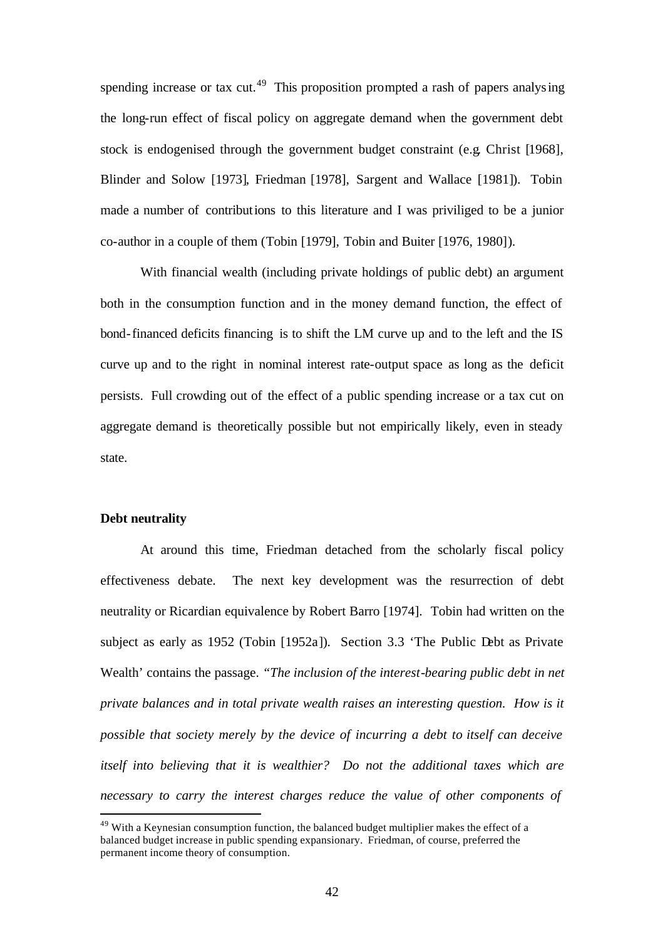spending increase or tax cut.<sup>49</sup> This proposition prompted a rash of papers analysing the long-run effect of fiscal policy on aggregate demand when the government debt stock is endogenised through the government budget constraint (e.g. Christ [1968], Blinder and Solow [1973], Friedman [1978], Sargent and Wallace [1981]). Tobin made a number of contributions to this literature and I was priviliged to be a junior co-author in a couple of them (Tobin [1979], Tobin and Buiter [1976, 1980]).

With financial wealth (including private holdings of public debt) an argument both in the consumption function and in the money demand function, the effect of bond-financed deficits financing is to shift the LM curve up and to the left and the IS curve up and to the right in nominal interest rate-output space as long as the deficit persists. Full crowding out of the effect of a public spending increase or a tax cut on aggregate demand is theoretically possible but not empirically likely, even in steady state.

## **Debt neutrality**

l

At around this time, Friedman detached from the scholarly fiscal policy effectiveness debate. The next key development was the resurrection of debt neutrality or Ricardian equivalence by Robert Barro [1974]. Tobin had written on the subject as early as 1952 (Tobin [1952a]). Section 3.3 'The Public Debt as Private Wealth' contains the passage. *"The inclusion of the interest-bearing public debt in net private balances and in total private wealth raises an interesting question. How is it possible that society merely by the device of incurring a debt to itself can deceive itself into believing that it is wealthier? Do not the additional taxes which are necessary to carry the interest charges reduce the value of other components of* 

 $49$  With a Keynesian consumption function, the balanced budget multiplier makes the effect of a balanced budget increase in public spending expansionary. Friedman, of course, preferred the permanent income theory of consumption.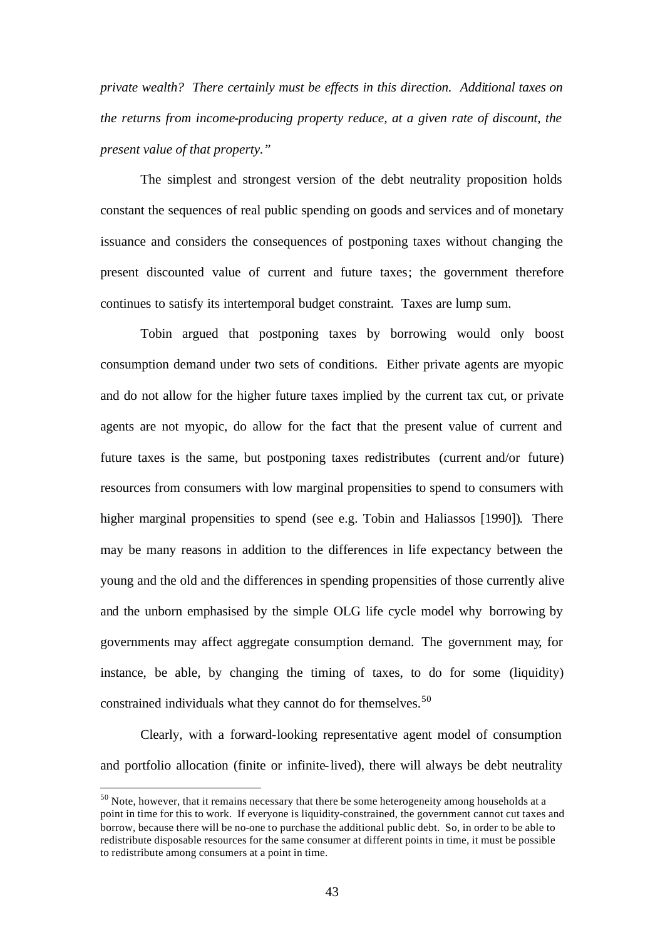*private wealth? There certainly must be effects in this direction. Additional taxes on the returns from income-producing property reduce, at a given rate of discount, the present value of that property."*

The simplest and strongest version of the debt neutrality proposition holds constant the sequences of real public spending on goods and services and of monetary issuance and considers the consequences of postponing taxes without changing the present discounted value of current and future taxes; the government therefore continues to satisfy its intertemporal budget constraint. Taxes are lump sum.

Tobin argued that postponing taxes by borrowing would only boost consumption demand under two sets of conditions. Either private agents are myopic and do not allow for the higher future taxes implied by the current tax cut, or private agents are not myopic, do allow for the fact that the present value of current and future taxes is the same, but postponing taxes redistributes (current and/or future) resources from consumers with low marginal propensities to spend to consumers with higher marginal propensities to spend (see e.g. Tobin and Haliassos [1990]). There may be many reasons in addition to the differences in life expectancy between the young and the old and the differences in spending propensities of those currently alive and the unborn emphasised by the simple OLG life cycle model why borrowing by governments may affect aggregate consumption demand. The government may, for instance, be able, by changing the timing of taxes, to do for some (liquidity) constrained individuals what they cannot do for themselves.<sup>50</sup>

Clearly, with a forward-looking representative agent model of consumption and portfolio allocation (finite or infinite-lived), there will always be debt neutrality

 $50$  Note, however, that it remains necessary that there be some heterogeneity among households at a point in time for this to work. If everyone is liquidity-constrained, the government cannot cut taxes and borrow, because there will be no-one to purchase the additional public debt. So, in order to be able to redistribute disposable resources for the same consumer at different points in time, it must be possible to redistribute among consumers at a point in time.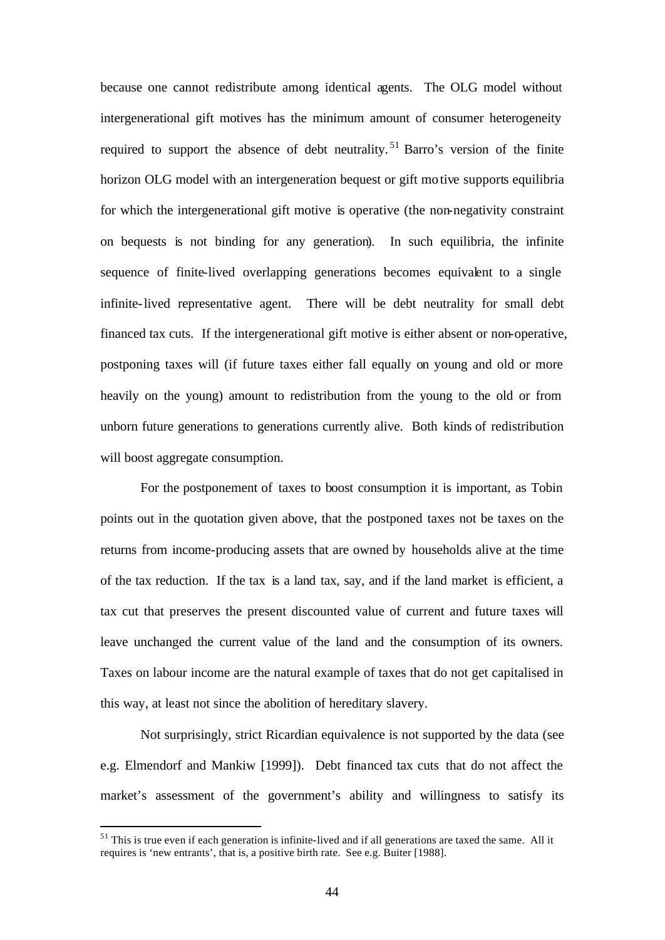because one cannot redistribute among identical agents. The OLG model without intergenerational gift motives has the minimum amount of consumer heterogeneity required to support the absence of debt neutrality.<sup>51</sup> Barro's version of the finite horizon OLG model with an intergeneration bequest or gift motive supports equilibria for which the intergenerational gift motive is operative (the non-negativity constraint on bequests is not binding for any generation). In such equilibria, the infinite sequence of finite-lived overlapping generations becomes equivalent to a single infinite-lived representative agent. There will be debt neutrality for small debt financed tax cuts. If the intergenerational gift motive is either absent or non-operative, postponing taxes will (if future taxes either fall equally on young and old or more heavily on the young) amount to redistribution from the young to the old or from unborn future generations to generations currently alive. Both kinds of redistribution will boost aggregate consumption.

For the postponement of taxes to boost consumption it is important, as Tobin points out in the quotation given above, that the postponed taxes not be taxes on the returns from income-producing assets that are owned by households alive at the time of the tax reduction. If the tax is a land tax, say, and if the land market is efficient, a tax cut that preserves the present discounted value of current and future taxes will leave unchanged the current value of the land and the consumption of its owners. Taxes on labour income are the natural example of taxes that do not get capitalised in this way, at least not since the abolition of hereditary slavery.

Not surprisingly, strict Ricardian equivalence is not supported by the data (see e.g. Elmendorf and Mankiw [1999]). Debt financed tax cuts that do not affect the market's assessment of the government's ability and willingness to satisfy its

 $51$  This is true even if each generation is infinite-lived and if all generations are taxed the same. All it requires is 'new entrants', that is, a positive birth rate. See e.g. Buiter [1988].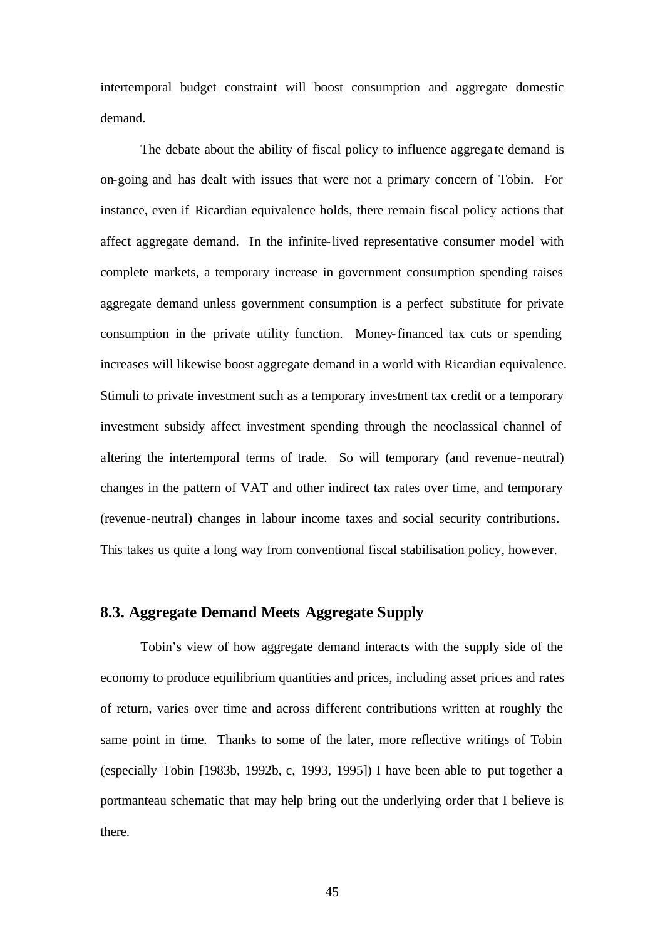intertemporal budget constraint will boost consumption and aggregate domestic demand.

The debate about the ability of fiscal policy to influence aggrega te demand is on-going and has dealt with issues that were not a primary concern of Tobin. For instance, even if Ricardian equivalence holds, there remain fiscal policy actions that affect aggregate demand. In the infinite-lived representative consumer model with complete markets, a temporary increase in government consumption spending raises aggregate demand unless government consumption is a perfect substitute for private consumption in the private utility function. Money-financed tax cuts or spending increases will likewise boost aggregate demand in a world with Ricardian equivalence. Stimuli to private investment such as a temporary investment tax credit or a temporary investment subsidy affect investment spending through the neoclassical channel of altering the intertemporal terms of trade. So will temporary (and revenue-neutral) changes in the pattern of VAT and other indirect tax rates over time, and temporary (revenue-neutral) changes in labour income taxes and social security contributions. This takes us quite a long way from conventional fiscal stabilisation policy, however.

# **8.3. Aggregate Demand Meets Aggregate Supply**

Tobin's view of how aggregate demand interacts with the supply side of the economy to produce equilibrium quantities and prices, including asset prices and rates of return, varies over time and across different contributions written at roughly the same point in time. Thanks to some of the later, more reflective writings of Tobin (especially Tobin [1983b, 1992b, c, 1993, 1995]) I have been able to put together a portmanteau schematic that may help bring out the underlying order that I believe is there.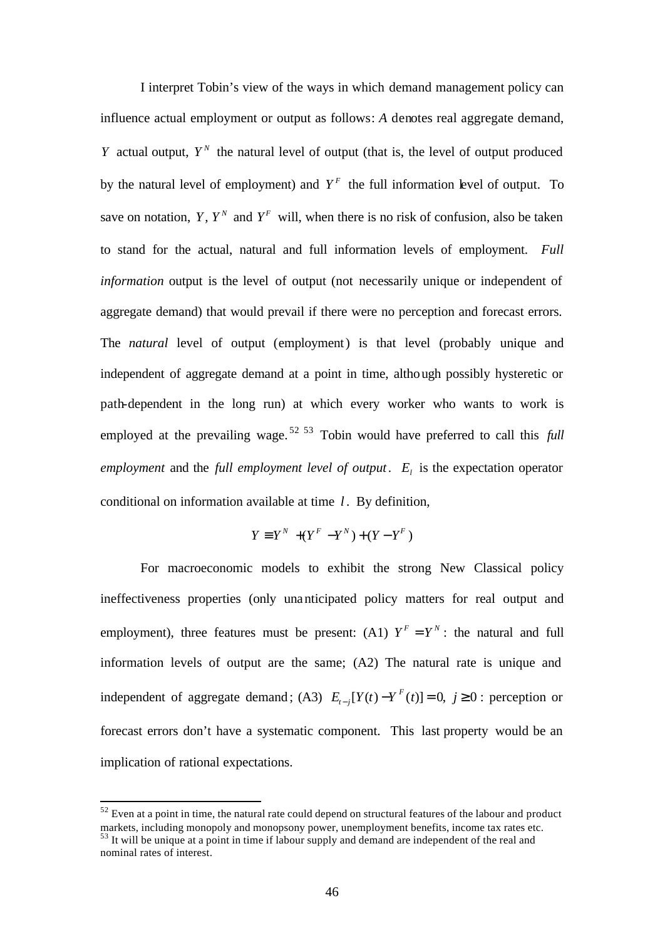I interpret Tobin's view of the ways in which demand management policy can influence actual employment or output as follows: *A* denotes real aggregate demand, *Y* actual output,  $Y^N$  the natural level of output (that is, the level of output produced by the natural level of employment) and  $Y<sup>F</sup>$  the full information level of output. To save on notation,  $Y, Y^N$  and  $Y^F$  will, when there is no risk of confusion, also be taken to stand for the actual, natural and full information levels of employment. *Full information* output is the level of output (not necessarily unique or independent of aggregate demand) that would prevail if there were no perception and forecast errors. The *natural* level of output (employment) is that level (probably unique and independent of aggregate demand at a point in time, although possibly hysteretic or path-dependent in the long run) at which every worker who wants to work is employed at the prevailing wage.<sup>52 53</sup> Tobin would have preferred to call this *full employment* and the *full employment level of output*.  $E_l$  is the expectation operator conditional on information available at time *l*. By definition,

$$
Y \equiv Y^N + (Y^F - Y^N) + (Y - Y^F)
$$

For macroeconomic models to exhibit the strong New Classical policy ineffectiveness properties (only unanticipated policy matters for real output and employment), three features must be present: (A1)  $Y^F = Y^N$ : the natural and full information levels of output are the same; (A2) The natural rate is unique and independent of aggregate demand; (A3)  $E_{t-j}[Y(t) - Y^F(t)] = 0$ ,  $j \ge 0$ : perception or forecast errors don't have a systematic component. This last property would be an implication of rational expectations.

 $52$  Even at a point in time, the natural rate could depend on structural features of the labour and product markets, including monopoly and monopsony power, unemployment benefits, income tax rates etc.  $\frac{53}{11}$  It will be unique at a point in time if labour supply and demand are independent of the real and

nominal rates of interest.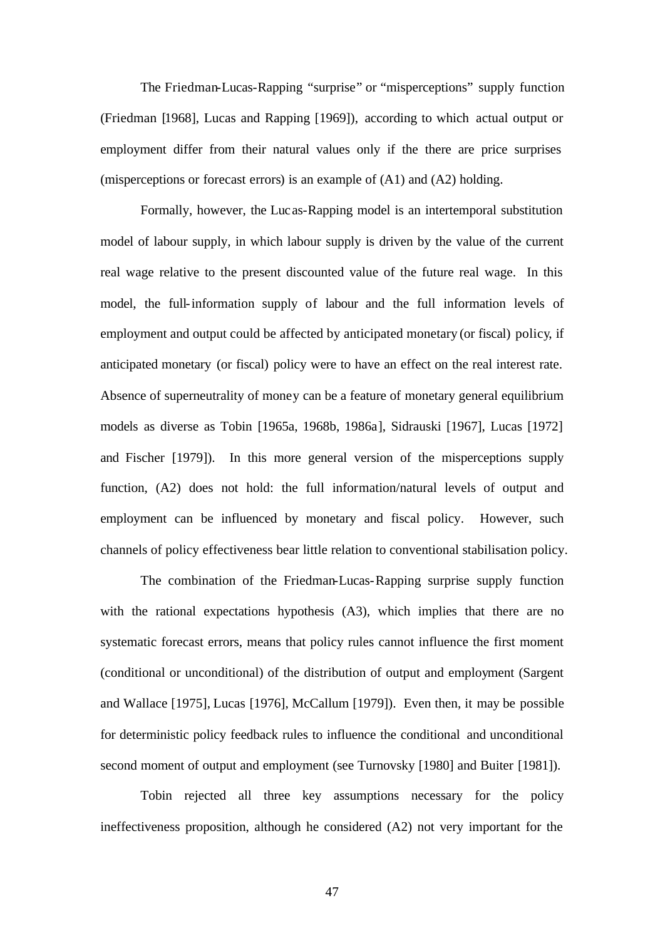The Friedman-Lucas-Rapping "surprise" or "misperceptions" supply function (Friedman [1968], Lucas and Rapping [1969]), according to which actual output or employment differ from their natural values only if the there are price surprises (misperceptions or forecast errors) is an example of (A1) and (A2) holding.

Formally, however, the Lucas-Rapping model is an intertemporal substitution model of labour supply, in which labour supply is driven by the value of the current real wage relative to the present discounted value of the future real wage. In this model, the full-information supply of labour and the full information levels of employment and output could be affected by anticipated monetary (or fiscal) policy, if anticipated monetary (or fiscal) policy were to have an effect on the real interest rate. Absence of superneutrality of money can be a feature of monetary general equilibrium models as diverse as Tobin [1965a, 1968b, 1986a], Sidrauski [1967], Lucas [1972] and Fischer [1979]). In this more general version of the misperceptions supply function, (A2) does not hold: the full information/natural levels of output and employment can be influenced by monetary and fiscal policy. However, such channels of policy effectiveness bear little relation to conventional stabilisation policy.

The combination of the Friedman-Lucas-Rapping surprise supply function with the rational expectations hypothesis (A3), which implies that there are no systematic forecast errors, means that policy rules cannot influence the first moment (conditional or unconditional) of the distribution of output and employment (Sargent and Wallace [1975], Lucas [1976], McCallum [1979]). Even then, it may be possible for deterministic policy feedback rules to influence the conditional and unconditional second moment of output and employment (see Turnovsky [1980] and Buiter [1981]).

Tobin rejected all three key assumptions necessary for the policy ineffectiveness proposition, although he considered (A2) not very important for the

47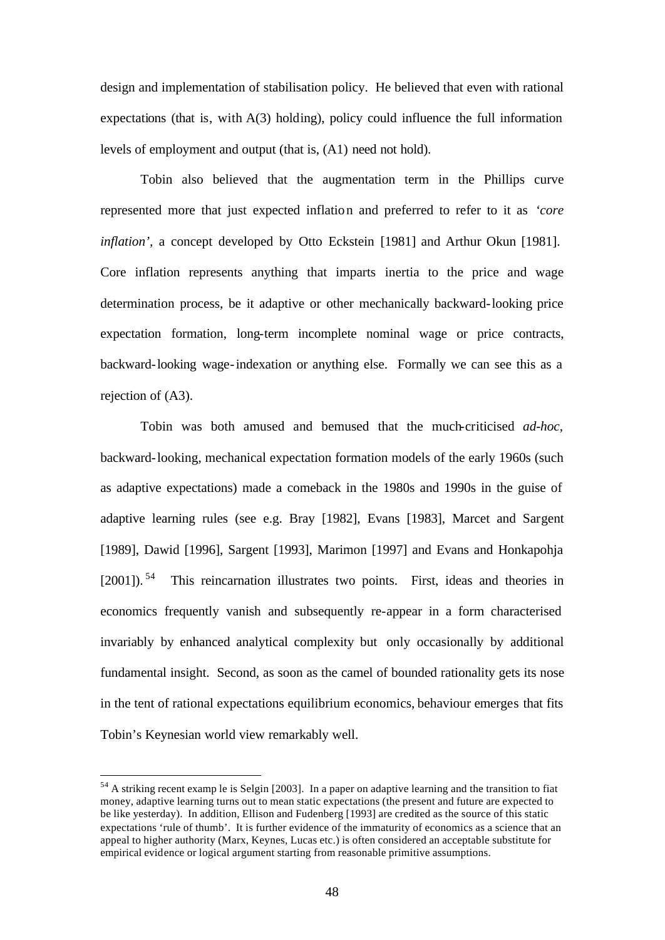design and implementation of stabilisation policy. He believed that even with rational expectations (that is, with A(3) holding), policy could influence the full information levels of employment and output (that is, (A1) need not hold).

Tobin also believed that the augmentation term in the Phillips curve represented more that just expected inflation and preferred to refer to it as *'core inflation',* a concept developed by Otto Eckstein [1981] and Arthur Okun [1981]. Core inflation represents anything that imparts inertia to the price and wage determination process, be it adaptive or other mechanically backward-looking price expectation formation, long-term incomplete nominal wage or price contracts, backward-looking wage-indexation or anything else. Formally we can see this as a rejection of (A3).

Tobin was both amused and bemused that the much-criticised *ad-hoc*, backward-looking, mechanical expectation formation models of the early 1960s (such as adaptive expectations) made a comeback in the 1980s and 1990s in the guise of adaptive learning rules (see e.g. Bray [1982], Evans [1983], Marcet and Sargent [1989], Dawid [1996], Sargent [1993], Marimon [1997] and Evans and Honkapohja [2001]).<sup>54</sup> This reincarnation illustrates two points. First, ideas and theories in economics frequently vanish and subsequently re-appear in a form characterised invariably by enhanced analytical complexity but only occasionally by additional fundamental insight. Second, as soon as the camel of bounded rationality gets its nose in the tent of rational expectations equilibrium economics, behaviour emerges that fits Tobin's Keynesian world view remarkably well.

<sup>54</sup> A striking recent examp le is Selgin [2003]. In a paper on adaptive learning and the transition to fiat money, adaptive learning turns out to mean static expectations (the present and future are expected to be like yesterday). In addition, Ellison and Fudenberg [1993] are credited as the source of this static expectations 'rule of thumb'. It is further evidence of the immaturity of economics as a science that an appeal to higher authority (Marx, Keynes, Lucas etc.) is often considered an acceptable substitute for empirical evidence or logical argument starting from reasonable primitive assumptions.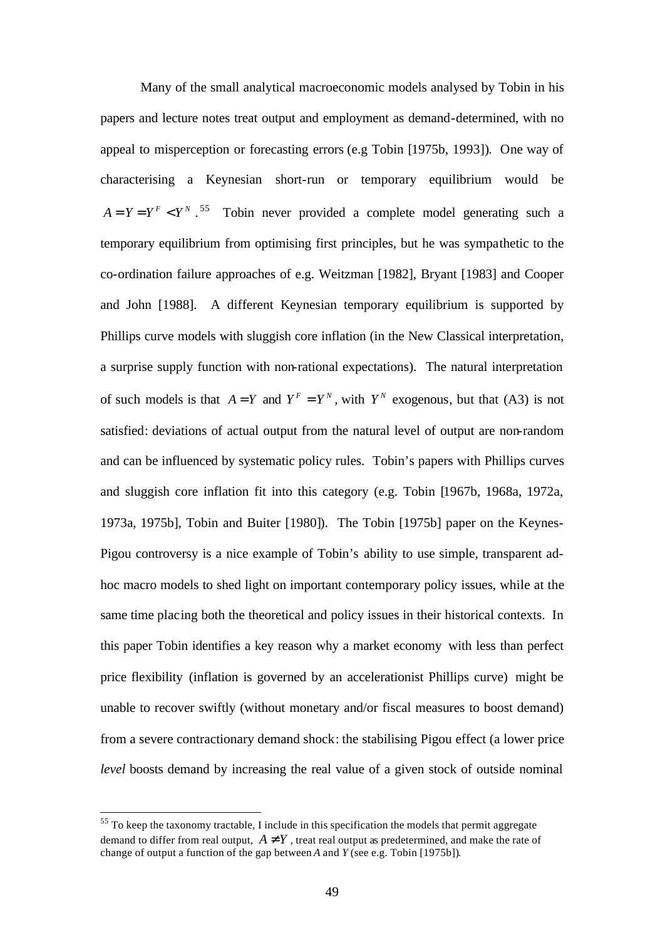Many of the small analytical macroeconomic models analysed by Tobin in his papers and lecture notes treat output and employment as demand-determined, with no appeal to misperception or forecasting errors (e.g Tobin [1975b, 1993]). One way of characterising a Keynesian short-run or temporary equilibrium would be  $A = Y = Y^F < Y^N$ .<sup>55</sup> Tobin never provided a complete model generating such a temporary equilibrium from optimising first principles, but he was sympathetic to the co-ordination failure approaches of e.g. Weitzman [1982], Bryant [1983] and Cooper and John [1988]. A different Keynesian temporary equilibrium is supported by Phillips curve models with sluggish core inflation (in the New Classical interpretation, a surprise supply function with non-rational expectations). The natural interpretation of such models is that  $A = Y$  and  $Y^F = Y^N$ , with  $Y^N$  exogenous, but that (A3) is not satisfied: deviations of actual output from the natural level of output are non-random and can be influenced by systematic policy rules. Tobin's papers with Phillips curves and sluggish core inflation fit into this category (e.g. Tobin [1967b, 1968a, 1972a, 1973a, 1975b], Tobin and Buiter [1980]). The Tobin [1975b] paper on the Keynes-Pigou controversy is a nice example of Tobin's ability to use simple, transparent adhoc macro models to shed light on important contemporary policy issues, while at the same time placing both the theoretical and policy issues in their historical contexts. In this paper Tobin identifies a key reason why a market economy with less than perfect price flexibility (inflation is governed by an accelerationist Phillips curve) might be unable to recover swiftly (without monetary and/or fiscal measures to boost demand) from a severe contractionary demand shock: the stabilising Pigou effect (a lower price *level* boosts demand by increasing the real value of a given stock of outside nominal

 $55$  To keep the taxonomy tractable, I include in this specification the models that permit aggregate demand to differ from real output,  $A \neq Y$ , treat real output as predetermined, and make the rate of change of output a function of the gap between *A* and *Y* (see e.g. Tobin [1975b])*.*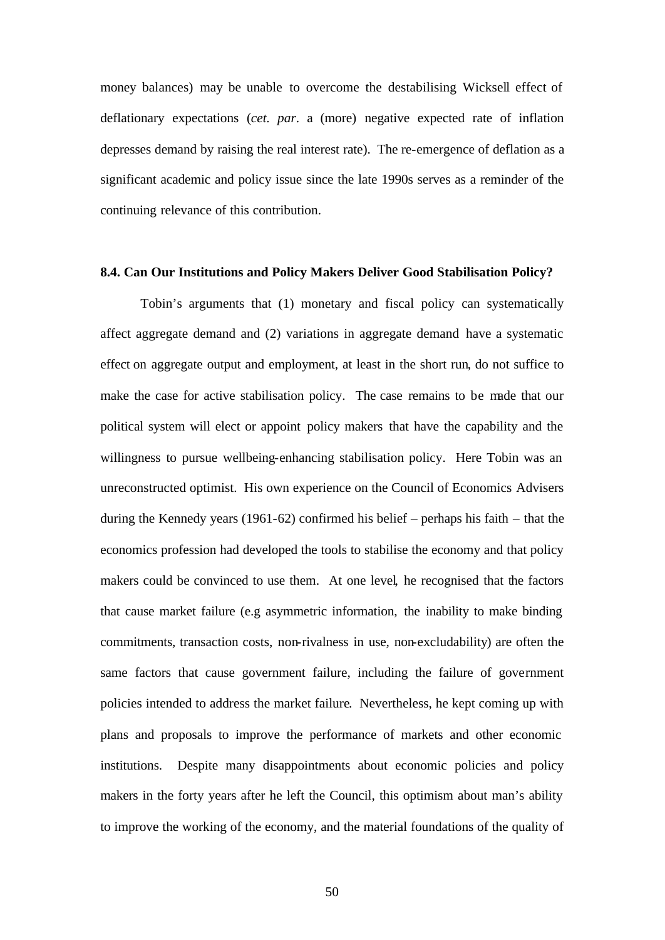money balances) may be unable to overcome the destabilising Wicksell effect of deflationary expectations (*cet. par*. a (more) negative expected rate of inflation depresses demand by raising the real interest rate). The re-emergence of deflation as a significant academic and policy issue since the late 1990s serves as a reminder of the continuing relevance of this contribution.

#### **8.4. Can Our Institutions and Policy Makers Deliver Good Stabilisation Policy?**

Tobin's arguments that (1) monetary and fiscal policy can systematically affect aggregate demand and (2) variations in aggregate demand have a systematic effect on aggregate output and employment, at least in the short run, do not suffice to make the case for active stabilisation policy. The case remains to be made that our political system will elect or appoint policy makers that have the capability and the willingness to pursue wellbeing-enhancing stabilisation policy. Here Tobin was an unreconstructed optimist. His own experience on the Council of Economics Advisers during the Kennedy years (1961-62) confirmed his belief – perhaps his faith – that the economics profession had developed the tools to stabilise the economy and that policy makers could be convinced to use them. At one level, he recognised that the factors that cause market failure (e.g asymmetric information, the inability to make binding commitments, transaction costs, non-rivalness in use, non-excludability) are often the same factors that cause government failure, including the failure of government policies intended to address the market failure. Nevertheless, he kept coming up with plans and proposals to improve the performance of markets and other economic institutions. Despite many disappointments about economic policies and policy makers in the forty years after he left the Council, this optimism about man's ability to improve the working of the economy, and the material foundations of the quality of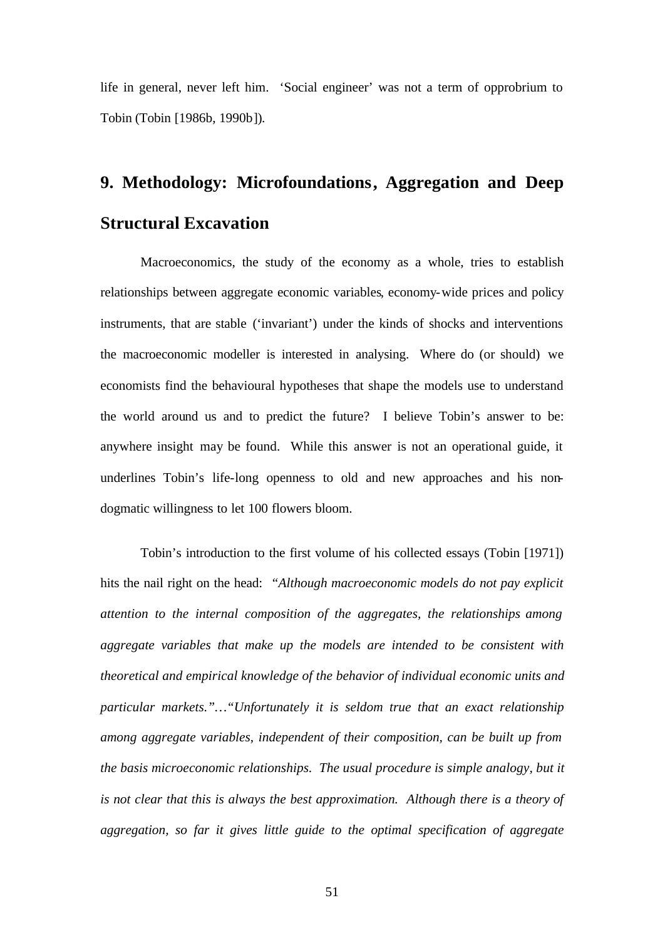life in general, never left him. 'Social engineer' was not a term of opprobrium to Tobin (Tobin [1986b, 1990b]).

# **9. Methodology: Microfoundations, Aggregation and Deep Structural Excavation**

Macroeconomics, the study of the economy as a whole, tries to establish relationships between aggregate economic variables, economy-wide prices and policy instruments, that are stable ('invariant') under the kinds of shocks and interventions the macroeconomic modeller is interested in analysing. Where do (or should) we economists find the behavioural hypotheses that shape the models use to understand the world around us and to predict the future? I believe Tobin's answer to be: anywhere insight may be found. While this answer is not an operational guide, it underlines Tobin's life-long openness to old and new approaches and his nondogmatic willingness to let 100 flowers bloom.

Tobin's introduction to the first volume of his collected essays (Tobin [1971]) hits the nail right on the head: *"Although macroeconomic models do not pay explicit attention to the internal composition of the aggregates, the relationships among aggregate variables that make up the models are intended to be consistent with theoretical and empirical knowledge of the behavior of individual economic units and particular markets."…"Unfortunately it is seldom true that an exact relationship among aggregate variables, independent of their composition, can be built up from the basis microeconomic relationships. The usual procedure is simple analogy, but it is not clear that this is always the best approximation. Although there is a theory of aggregation, so far it gives little guide to the optimal specification of aggregate*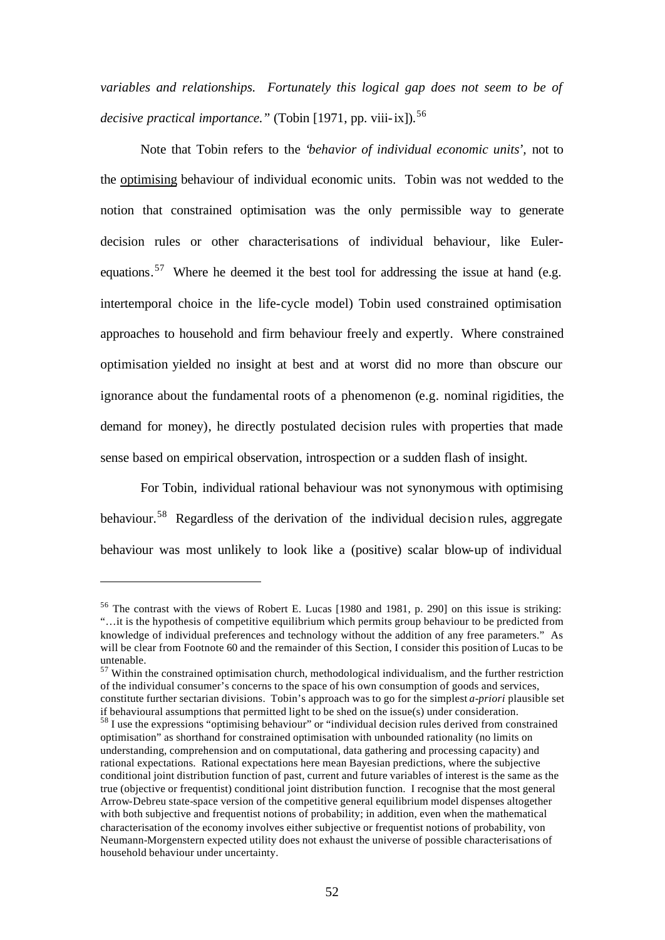*variables and relationships. Fortunately this logical gap does not seem to be of decisive practical importance.*" (Tobin [1971, pp. viii-ix]).<sup>56</sup>

Note that Tobin refers to the '*behavior of individual economic units',* not to the optimising behaviour of individual economic units. Tobin was not wedded to the notion that constrained optimisation was the only permissible way to generate decision rules or other characterisations of individual behaviour, like Eulerequations.<sup>57</sup> Where he deemed it the best tool for addressing the issue at hand (e.g. intertemporal choice in the life-cycle model) Tobin used constrained optimisation approaches to household and firm behaviour freely and expertly. Where constrained optimisation yielded no insight at best and at worst did no more than obscure our ignorance about the fundamental roots of a phenomenon (e.g. nominal rigidities, the demand for money), he directly postulated decision rules with properties that made sense based on empirical observation, introspection or a sudden flash of insight.

For Tobin, individual rational behaviour was not synonymous with optimising behaviour.<sup>58</sup> Regardless of the derivation of the individual decision rules, aggregate behaviour was most unlikely to look like a (positive) scalar blow-up of individual

j

<sup>56</sup> The contrast with the views of Robert E. Lucas [1980 and 1981, p. 290] on this issue is striking: "…it is the hypothesis of competitive equilibrium which permits group behaviour to be predicted from knowledge of individual preferences and technology without the addition of any free parameters." As will be clear from Footnote 60 and the remainder of this Section, I consider this position of Lucas to be untenable.

 $57$  Within the constrained optimisation church, methodological individualism, and the further restriction of the individual consumer's concerns to the space of his own consumption of goods and services, constitute further sectarian divisions. Tobin's approach was to go for the simplest *a-priori* plausible set if behavioural assumptions that permitted light to be shed on the issue(s) under consideration.

 $58$  I use the expressions "optimising behaviour" or "individual decision rules derived from constrained optimisation" as shorthand for constrained optimisation with unbounded rationality (no limits on understanding, comprehension and on computational, data gathering and processing capacity) and rational expectations. Rational expectations here mean Bayesian predictions, where the subjective conditional joint distribution function of past, current and future variables of interest is the same as the true (objective or frequentist) conditional joint distribution function. I recognise that the most general Arrow-Debreu state-space version of the competitive general equilibrium model dispenses altogether with both subjective and frequentist notions of probability; in addition, even when the mathematical characterisation of the economy involves either subjective or frequentist notions of probability, von Neumann-Morgenstern expected utility does not exhaust the universe of possible characterisations of household behaviour under uncertainty.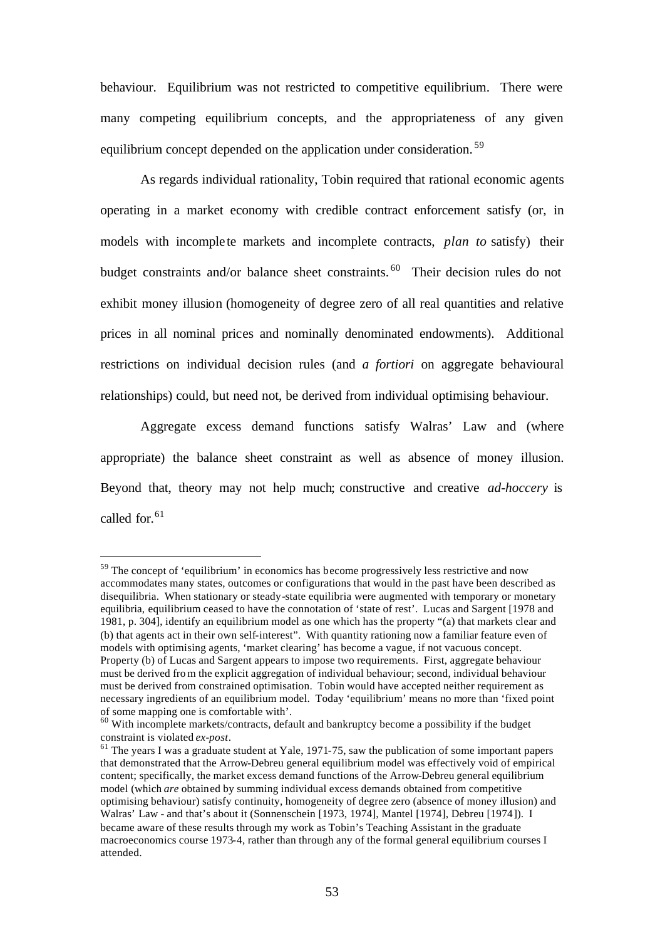behaviour. Equilibrium was not restricted to competitive equilibrium. There were many competing equilibrium concepts, and the appropriateness of any given equilibrium concept depended on the application under consideration.<sup>59</sup>

As regards individual rationality, Tobin required that rational economic agents operating in a market economy with credible contract enforcement satisfy (or, in models with incomplete markets and incomplete contracts, *plan to* satisfy) their budget constraints and/or balance sheet constraints.<sup>60</sup> Their decision rules do not exhibit money illusion (homogeneity of degree zero of all real quantities and relative prices in all nominal prices and nominally denominated endowments). Additional restrictions on individual decision rules (and *a fortiori* on aggregate behavioural relationships) could, but need not, be derived from individual optimising behaviour.

Aggregate excess demand functions satisfy Walras' Law and (where appropriate) the balance sheet constraint as well as absence of money illusion. Beyond that, theory may not help much; constructive and creative *ad-hoccery* is called for. $61$ 

j

<sup>&</sup>lt;sup>59</sup> The concept of 'equilibrium' in economics has become progressively less restrictive and now accommodates many states, outcomes or configurations that would in the past have been described as disequilibria. When stationary or steady-state equilibria were augmented with temporary or monetary equilibria, equilibrium ceased to have the connotation of 'state of rest'. Lucas and Sargent [1978 and 1981, p. 304], identify an equilibrium model as one which has the property "(a) that markets clear and (b) that agents act in their own self-interest". With quantity rationing now a familiar feature even of models with optimising agents, 'market clearing' has become a vague, if not vacuous concept. Property (b) of Lucas and Sargent appears to impose two requirements. First, aggregate behaviour must be derived fro m the explicit aggregation of individual behaviour; second, individual behaviour must be derived from constrained optimisation. Tobin would have accepted neither requirement as necessary ingredients of an equilibrium model. Today 'equilibrium' means no more than 'fixed point of some mapping one is comfortable with'.

<sup>&</sup>lt;sup>60</sup> With incomplete markets/contracts, default and bankruptcy become a possibility if the budget constraint is violated *ex-post*.

 $<sup>61</sup>$  The years I was a graduate student at Yale, 1971-75, saw the publication of some important papers</sup> that demonstrated that the Arrow-Debreu general equilibrium model was effectively void of empirical content; specifically, the market excess demand functions of the Arrow-Debreu general equilibrium model (which *are* obtained by summing individual excess demands obtained from competitive optimising behaviour) satisfy continuity, homogeneity of degree zero (absence of money illusion) and Walras' Law - and that's about it (Sonnenschein [1973, 1974], Mantel [1974], Debreu [1974]). I became aware of these results through my work as Tobin's Teaching Assistant in the graduate macroeconomics course 1973-4, rather than through any of the formal general equilibrium courses I attended.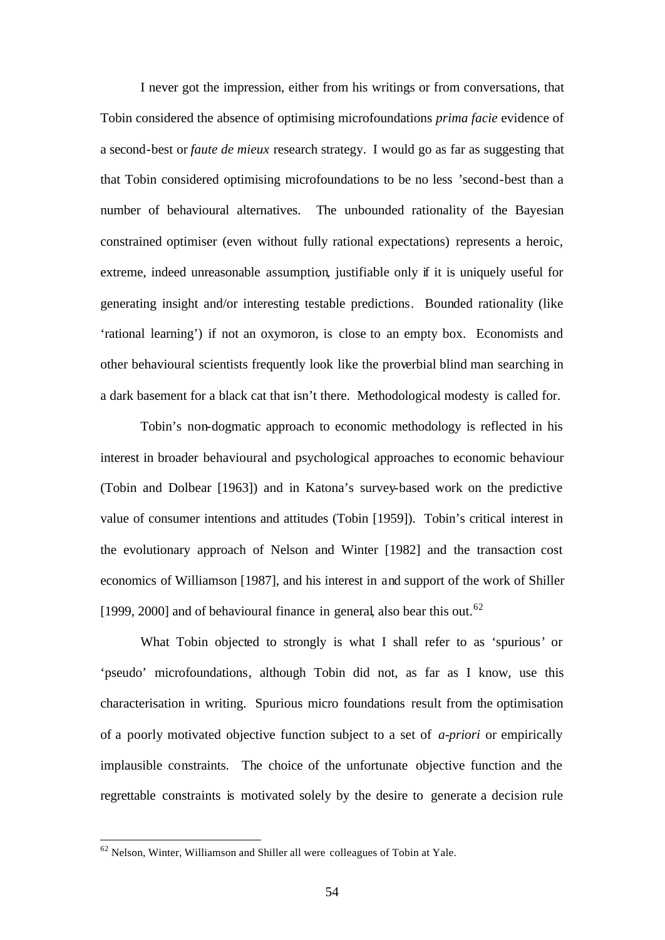I never got the impression, either from his writings or from conversations, that Tobin considered the absence of optimising microfoundations *prima facie* evidence of a second-best or *faute de mieux* research strategy. I would go as far as suggesting that that Tobin considered optimising microfoundations to be no less 'second-best than a number of behavioural alternatives. The unbounded rationality of the Bayesian constrained optimiser (even without fully rational expectations) represents a heroic, extreme, indeed unreasonable assumption, justifiable only if it is uniquely useful for generating insight and/or interesting testable predictions. Bounded rationality (like 'rational learning') if not an oxymoron, is close to an empty box. Economists and other behavioural scientists frequently look like the proverbial blind man searching in a dark basement for a black cat that isn't there. Methodological modesty is called for.

Tobin's non-dogmatic approach to economic methodology is reflected in his interest in broader behavioural and psychological approaches to economic behaviour (Tobin and Dolbear [1963]) and in Katona's survey-based work on the predictive value of consumer intentions and attitudes (Tobin [1959]). Tobin's critical interest in the evolutionary approach of Nelson and Winter [1982] and the transaction cost economics of Williamson [1987], and his interest in and support of the work of Shiller [1999, 2000] and of behavioural finance in general, also bear this out.<sup>62</sup>

What Tobin objected to strongly is what I shall refer to as 'spurious' or 'pseudo' microfoundations, although Tobin did not, as far as I know, use this characterisation in writing. Spurious micro foundations result from the optimisation of a poorly motivated objective function subject to a set of *a-priori* or empirically implausible constraints. The choice of the unfortunate objective function and the regrettable constraints is motivated solely by the desire to generate a decision rule

 $62$  Nelson, Winter, Williamson and Shiller all were colleagues of Tobin at Yale.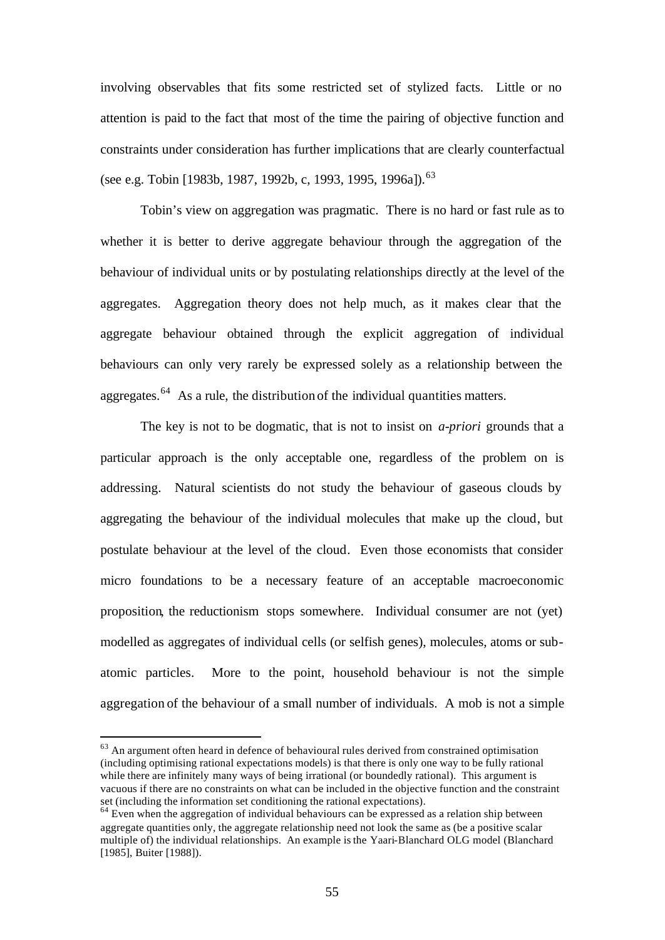involving observables that fits some restricted set of stylized facts. Little or no attention is paid to the fact that most of the time the pairing of objective function and constraints under consideration has further implications that are clearly counterfactual (see e.g. Tobin [1983b, 1987, 1992b, c, 1993, 1995, 1996a]).<sup>63</sup>

Tobin's view on aggregation was pragmatic. There is no hard or fast rule as to whether it is better to derive aggregate behaviour through the aggregation of the behaviour of individual units or by postulating relationships directly at the level of the aggregates. Aggregation theory does not help much, as it makes clear that the aggregate behaviour obtained through the explicit aggregation of individual behaviours can only very rarely be expressed solely as a relationship between the aggregates.<sup>64</sup> As a rule, the distribution of the individual quantities matters.

The key is not to be dogmatic, that is not to insist on *a-priori* grounds that a particular approach is the only acceptable one, regardless of the problem on is addressing. Natural scientists do not study the behaviour of gaseous clouds by aggregating the behaviour of the individual molecules that make up the cloud, but postulate behaviour at the level of the cloud. Even those economists that consider micro foundations to be a necessary feature of an acceptable macroeconomic proposition, the reductionism stops somewhere. Individual consumer are not (yet) modelled as aggregates of individual cells (or selfish genes), molecules, atoms or subatomic particles. More to the point, household behaviour is not the simple aggregation of the behaviour of a small number of individuals. A mob is not a simple

<sup>&</sup>lt;sup>63</sup> An argument often heard in defence of behavioural rules derived from constrained optimisation (including optimising rational expectations models) is that there is only one way to be fully rational while there are infinitely many ways of being irrational (or boundedly rational). This argument is vacuous if there are no constraints on what can be included in the objective function and the constraint set (including the information set conditioning the rational expectations).

 $64$  Even when the aggregation of individual behaviours can be expressed as a relation ship between aggregate quantities only, the aggregate relationship need not look the same as (be a positive scalar multiple of) the individual relationships. An example is the Yaari-Blanchard OLG model (Blanchard [1985], Buiter [1988]).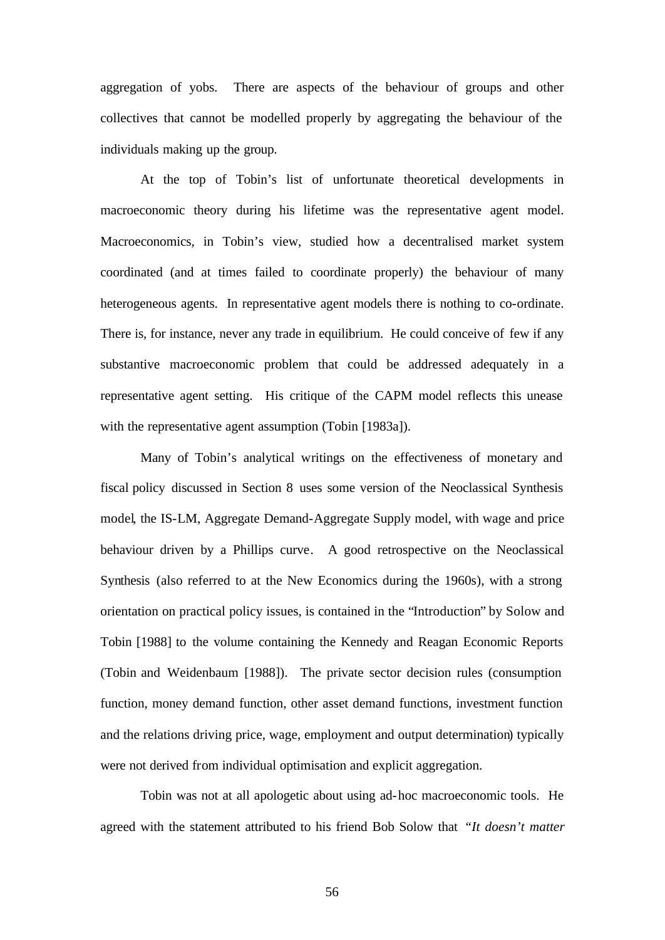aggregation of yobs. There are aspects of the behaviour of groups and other collectives that cannot be modelled properly by aggregating the behaviour of the individuals making up the group.

At the top of Tobin's list of unfortunate theoretical developments in macroeconomic theory during his lifetime was the representative agent model. Macroeconomics, in Tobin's view, studied how a decentralised market system coordinated (and at times failed to coordinate properly) the behaviour of many heterogeneous agents. In representative agent models there is nothing to co-ordinate. There is, for instance, never any trade in equilibrium. He could conceive of few if any substantive macroeconomic problem that could be addressed adequately in a representative agent setting. His critique of the CAPM model reflects this unease with the representative agent assumption (Tobin [1983a]).

Many of Tobin's analytical writings on the effectiveness of monetary and fiscal policy discussed in Section 8 uses some version of the Neoclassical Synthesis model, the IS-LM, Aggregate Demand-Aggregate Supply model, with wage and price behaviour driven by a Phillips curve. A good retrospective on the Neoclassical Synthesis (also referred to at the New Economics during the 1960s), with a strong orientation on practical policy issues, is contained in the "Introduction" by Solow and Tobin [1988] to the volume containing the Kennedy and Reagan Economic Reports (Tobin and Weidenbaum [1988]). The private sector decision rules (consumption function, money demand function, other asset demand functions, investment function and the relations driving price, wage, employment and output determination) typically were not derived from individual optimisation and explicit aggregation.

Tobin was not at all apologetic about using ad-hoc macroeconomic tools. He agreed with the statement attributed to his friend Bob Solow that *"It doesn't matter*

56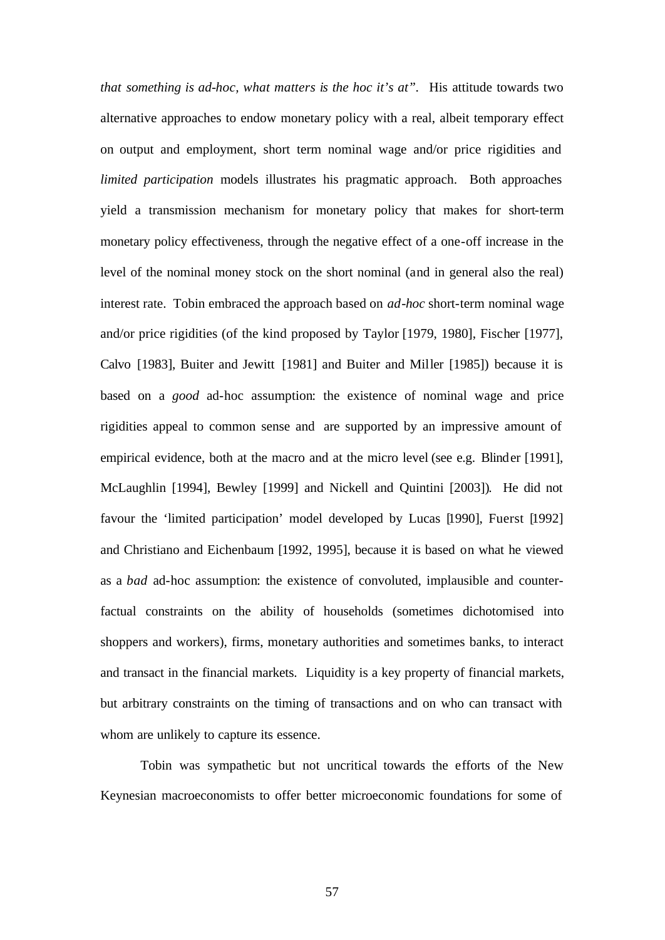*that something is ad-hoc, what matters is the hoc it's at".* His attitude towards two alternative approaches to endow monetary policy with a real, albeit temporary effect on output and employment, short term nominal wage and/or price rigidities and *limited participation* models illustrates his pragmatic approach. Both approaches yield a transmission mechanism for monetary policy that makes for short-term monetary policy effectiveness, through the negative effect of a one-off increase in the level of the nominal money stock on the short nominal (and in general also the real) interest rate. Tobin embraced the approach based on *ad-hoc* short-term nominal wage and/or price rigidities (of the kind proposed by Taylor [1979, 1980], Fischer [1977], Calvo [1983], Buiter and Jewitt [1981] and Buiter and Miller [1985]) because it is based on a *good* ad-hoc assumption: the existence of nominal wage and price rigidities appeal to common sense and are supported by an impressive amount of empirical evidence, both at the macro and at the micro level (see e.g. Blinder [1991], McLaughlin [1994], Bewley [1999] and Nickell and Quintini [2003]). He did not favour the 'limited participation' model developed by Lucas [1990], Fuerst [1992] and Christiano and Eichenbaum [1992, 1995], because it is based on what he viewed as a *bad* ad-hoc assumption: the existence of convoluted, implausible and counterfactual constraints on the ability of households (sometimes dichotomised into shoppers and workers), firms, monetary authorities and sometimes banks, to interact and transact in the financial markets. Liquidity is a key property of financial markets, but arbitrary constraints on the timing of transactions and on who can transact with whom are unlikely to capture its essence.

Tobin was sympathetic but not uncritical towards the efforts of the New Keynesian macroeconomists to offer better microeconomic foundations for some of

57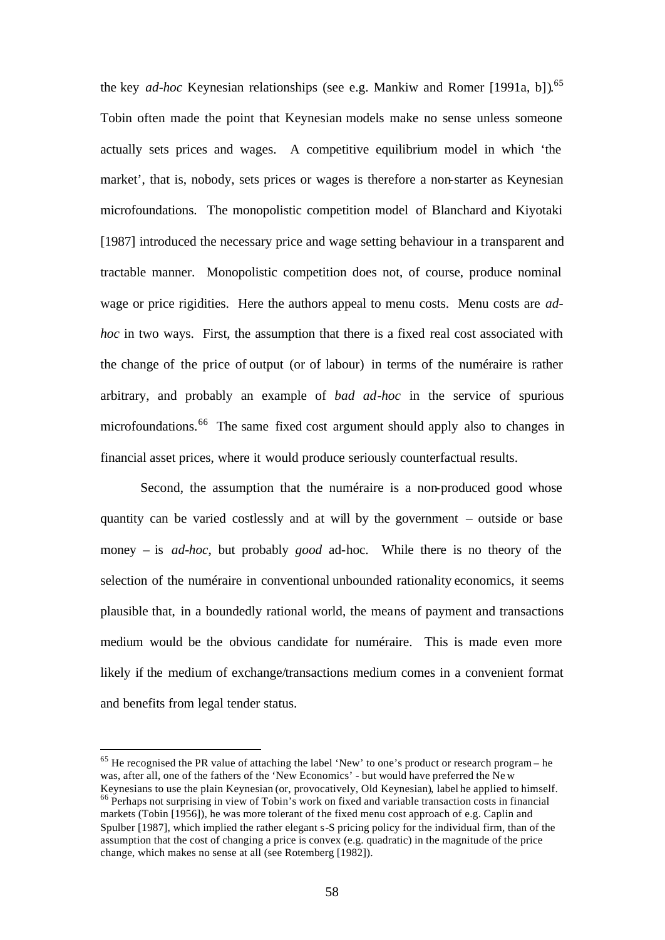the key *ad-hoc* Keynesian relationships (see e.g. Mankiw and Romer [1991a, b]). 65 Tobin often made the point that Keynesian models make no sense unless someone actually sets prices and wages. A competitive equilibrium model in which 'the market', that is, nobody, sets prices or wages is therefore a non-starter as Keynesian microfoundations. The monopolistic competition model of Blanchard and Kiyotaki [1987] introduced the necessary price and wage setting behaviour in a transparent and tractable manner. Monopolistic competition does not, of course, produce nominal wage or price rigidities. Here the authors appeal to menu costs. Menu costs are *adhoc* in two ways. First, the assumption that there is a fixed real cost associated with the change of the price of output (or of labour) in terms of the numéraire is rather arbitrary, and probably an example of *bad ad-hoc* in the service of spurious microfoundations.<sup>66</sup> The same fixed cost argument should apply also to changes in financial asset prices, where it would produce seriously counterfactual results.

Second, the assumption that the numéraire is a non-produced good whose quantity can be varied costlessly and at will by the government – outside or base money – is *ad-hoc*, but probably *good* ad-hoc. While there is no theory of the selection of the numéraire in conventional unbounded rationality economics, it seems plausible that, in a boundedly rational world, the means of payment and transactions medium would be the obvious candidate for numéraire. This is made even more likely if the medium of exchange/transactions medium comes in a convenient format and benefits from legal tender status.

<sup>&</sup>lt;sup>65</sup> He recognised the PR value of attaching the label 'New' to one's product or research program – he was, after all, one of the fathers of the 'New Economics' - but would have preferred the Ne w Keynesians to use the plain Keynesian (or, provocatively, Old Keynesian), label he applied to himself. <sup>66</sup> Perhaps not surprising in view of Tobin's work on fixed and variable transaction costs in financial markets (Tobin [1956]), he was more tolerant of the fixed menu cost approach of e.g. Caplin and Spulber [1987], which implied the rather elegant s-S pricing policy for the individual firm, than of the assumption that the cost of changing a price is convex (e.g. quadratic) in the magnitude of the price change, which makes no sense at all (see Rotemberg [1982]).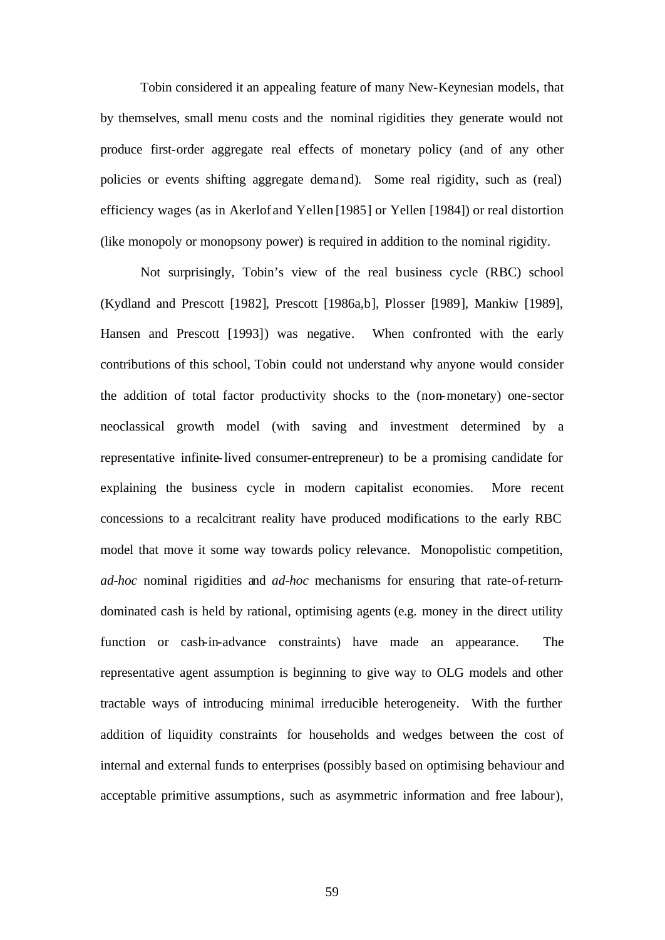Tobin considered it an appealing feature of many New-Keynesian models, that by themselves, small menu costs and the nominal rigidities they generate would not produce first-order aggregate real effects of monetary policy (and of any other policies or events shifting aggregate demand). Some real rigidity, such as (real) efficiency wages (as in Akerlof and Yellen [1985] or Yellen [1984]) or real distortion (like monopoly or monopsony power) is required in addition to the nominal rigidity.

Not surprisingly, Tobin's view of the real business cycle (RBC) school (Kydland and Prescott [1982], Prescott [1986a,b], Plosser [1989], Mankiw [1989], Hansen and Prescott [1993]) was negative. When confronted with the early contributions of this school, Tobin could not understand why anyone would consider the addition of total factor productivity shocks to the (non-monetary) one-sector neoclassical growth model (with saving and investment determined by a representative infinite-lived consumer-entrepreneur) to be a promising candidate for explaining the business cycle in modern capitalist economies. More recent concessions to a recalcitrant reality have produced modifications to the early RBC model that move it some way towards policy relevance. Monopolistic competition, *ad-hoc* nominal rigidities and *ad-hoc* mechanisms for ensuring that rate-of-returndominated cash is held by rational, optimising agents (e.g. money in the direct utility function or cash-in-advance constraints) have made an appearance. The representative agent assumption is beginning to give way to OLG models and other tractable ways of introducing minimal irreducible heterogeneity. With the further addition of liquidity constraints for households and wedges between the cost of internal and external funds to enterprises (possibly based on optimising behaviour and acceptable primitive assumptions, such as asymmetric information and free labour),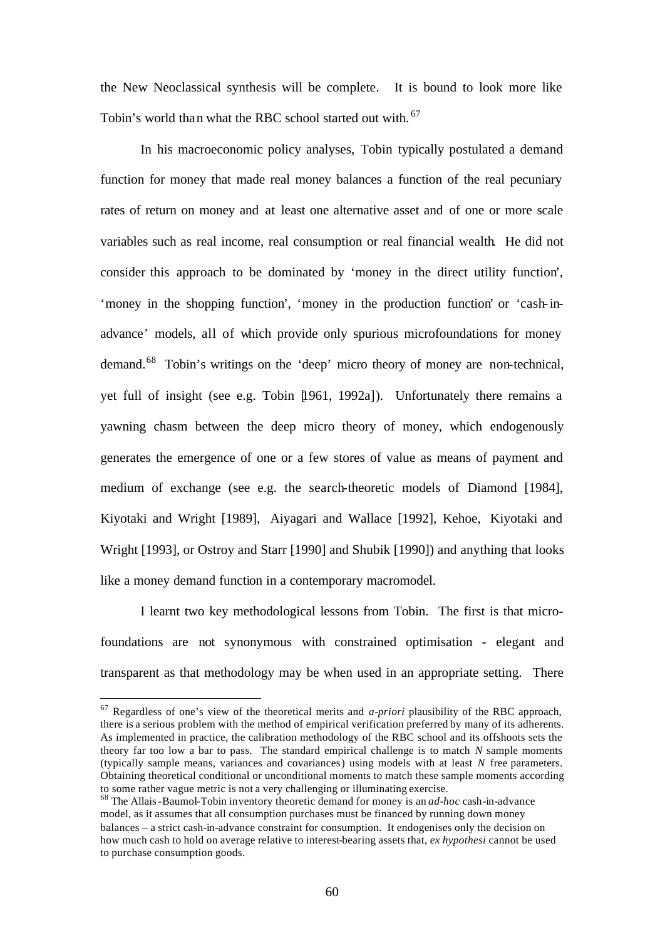the New Neoclassical synthesis will be complete. It is bound to look more like Tobin's world than what the RBC school started out with.<sup>67</sup>

In his macroeconomic policy analyses, Tobin typically postulated a demand function for money that made real money balances a function of the real pecuniary rates of return on money and at least one alternative asset and of one or more scale variables such as real income, real consumption or real financial wealth. He did not consider this approach to be dominated by 'money in the direct utility function', 'money in the shopping function', 'money in the production function' or 'cash-inadvance' models, all of which provide only spurious microfoundations for money demand.<sup>68</sup> Tobin's writings on the 'deep' micro theory of money are non-technical, yet full of insight (see e.g. Tobin [1961, 1992a]). Unfortunately there remains a yawning chasm between the deep micro theory of money, which endogenously generates the emergence of one or a few stores of value as means of payment and medium of exchange (see e.g. the search-theoretic models of Diamond [1984], Kiyotaki and Wright [1989], Aiyagari and Wallace [1992], Kehoe, Kiyotaki and Wright [1993], or Ostroy and Starr [1990] and Shubik [1990]) and anything that looks like a money demand function in a contemporary macromodel.

I learnt two key methodological lessons from Tobin. The first is that microfoundations are not synonymous with constrained optimisation - elegant and transparent as that methodology may be when used in an appropriate setting. There

<sup>67</sup> Regardless of one's view of the theoretical merits and *a-priori* plausibility of the RBC approach, there is a serious problem with the method of empirical verification preferred by many of its adherents. As implemented in practice, the calibration methodology of the RBC school and its offshoots sets the theory far too low a bar to pass. The standard empirical challenge is to match *N* sample moments (typically sample means, variances and covariances) using models with at least *N* free parameters. Obtaining theoretical conditional or unconditional moments to match these sample moments according to some rather vague metric is not a very challenging or illuminating exercise.

<sup>68</sup> The Allais-Baumol-Tobin inventory theoretic demand for money is an *ad-hoc* cash-in-advance model, as it assumes that all consumption purchases must be financed by running down money balances – a strict cash-in-advance constraint for consumption. It endogenises only the decision on how much cash to hold on average relative to interest-bearing assets that, *ex hypothesi* cannot be used to purchase consumption goods.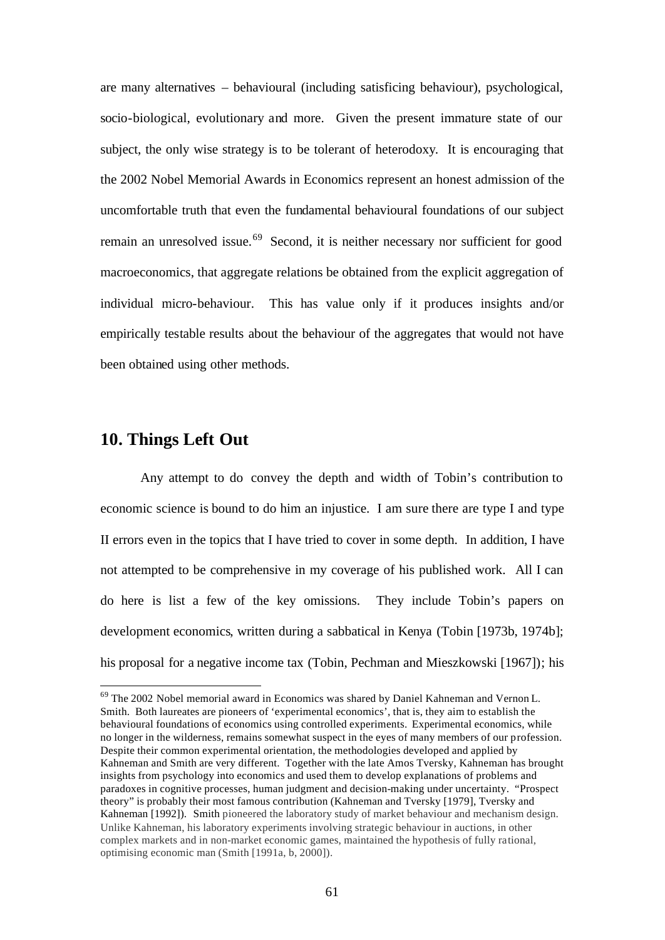are many alternatives – behavioural (including satisficing behaviour), psychological, socio-biological, evolutionary and more. Given the present immature state of our subject, the only wise strategy is to be tolerant of heterodoxy. It is encouraging that the 2002 Nobel Memorial Awards in Economics represent an honest admission of the uncomfortable truth that even the fundamental behavioural foundations of our subject remain an unresolved issue.<sup>69</sup> Second, it is neither necessary nor sufficient for good macroeconomics, that aggregate relations be obtained from the explicit aggregation of individual micro-behaviour. This has value only if it produces insights and/or empirically testable results about the behaviour of the aggregates that would not have been obtained using other methods.

# **10. Things Left Out**

l

Any attempt to do convey the depth and width of Tobin's contribution to economic science is bound to do him an injustice. I am sure there are type I and type II errors even in the topics that I have tried to cover in some depth. In addition, I have not attempted to be comprehensive in my coverage of his published work. All I can do here is list a few of the key omissions. They include Tobin's papers on development economics, written during a sabbatical in Kenya (Tobin [1973b, 1974b]; his proposal for a negative income tax (Tobin, Pechman and Mieszkowski [1967]); his

<sup>69</sup> The 2002 Nobel memorial award in Economics was shared by Daniel Kahneman and Vernon L. Smith. Both laureates are pioneers of 'experimental economics', that is, they aim to establish the behavioural foundations of economics using controlled experiments. Experimental economics, while no longer in the wilderness, remains somewhat suspect in the eyes of many members of our profession. Despite their common experimental orientation, the methodologies developed and applied by Kahneman and Smith are very different. Together with the late Amos Tversky, Kahneman has brought insights from psychology into economics and used them to develop explanations of problems and paradoxes in cognitive processes, human judgment and decision-making under uncertainty. "Prospect theory" is probably their most famous contribution (Kahneman and Tversky [1979], Tversky and Kahneman [1992]). Smith pioneered the laboratory study of market behaviour and mechanism design. Unlike Kahneman, his laboratory experiments involving strategic behaviour in auctions, in other complex markets and in non-market economic games, maintained the hypothesis of fully rational, optimising economic man (Smith [1991a, b, 2000]).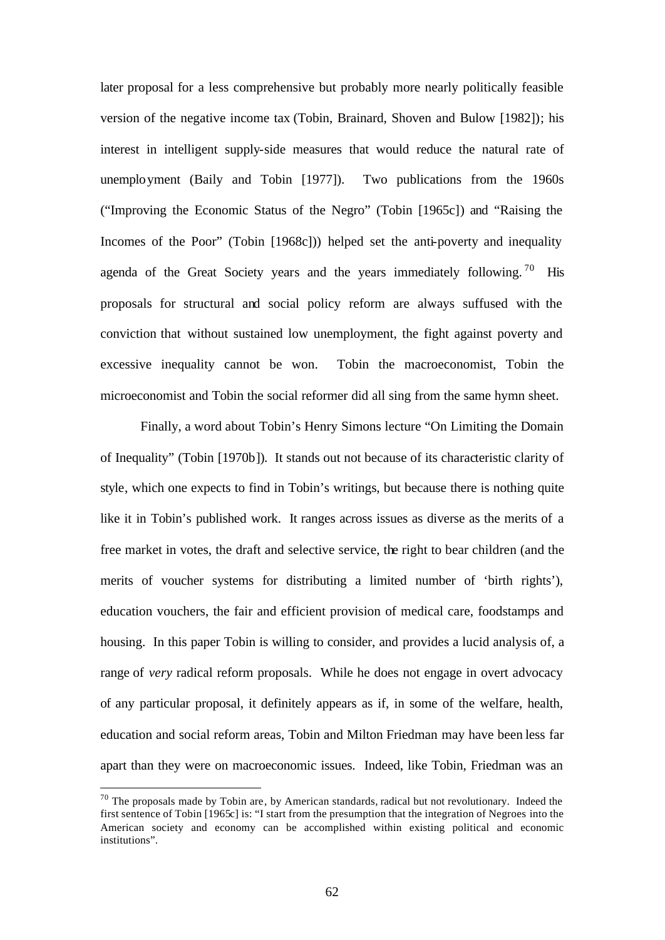later proposal for a less comprehensive but probably more nearly politically feasible version of the negative income tax (Tobin, Brainard, Shoven and Bulow [1982]); his interest in intelligent supply-side measures that would reduce the natural rate of unemployment (Baily and Tobin [1977]). Two publications from the 1960s ("Improving the Economic Status of the Negro" (Tobin [1965c]) and "Raising the Incomes of the Poor" (Tobin [1968c])) helped set the anti-poverty and inequality agenda of the Great Society years and the years immediately following. <sup>70</sup> His proposals for structural and social policy reform are always suffused with the conviction that without sustained low unemployment, the fight against poverty and excessive inequality cannot be won. Tobin the macroeconomist, Tobin the microeconomist and Tobin the social reformer did all sing from the same hymn sheet.

Finally, a word about Tobin's Henry Simons lecture "On Limiting the Domain of Inequality" (Tobin [1970b]). It stands out not because of its characteristic clarity of style, which one expects to find in Tobin's writings, but because there is nothing quite like it in Tobin's published work. It ranges across issues as diverse as the merits of a free market in votes, the draft and selective service, the right to bear children (and the merits of voucher systems for distributing a limited number of 'birth rights'), education vouchers, the fair and efficient provision of medical care, foodstamps and housing. In this paper Tobin is willing to consider, and provides a lucid analysis of, a range of *very* radical reform proposals. While he does not engage in overt advocacy of any particular proposal, it definitely appears as if, in some of the welfare, health, education and social reform areas, Tobin and Milton Friedman may have been less far apart than they were on macroeconomic issues. Indeed, like Tobin, Friedman was an

 $70$  The proposals made by Tobin are, by American standards, radical but not revolutionary. Indeed the first sentence of Tobin [1965c] is: "I start from the presumption that the integration of Negroes into the American society and economy can be accomplished within existing political and economic institutions".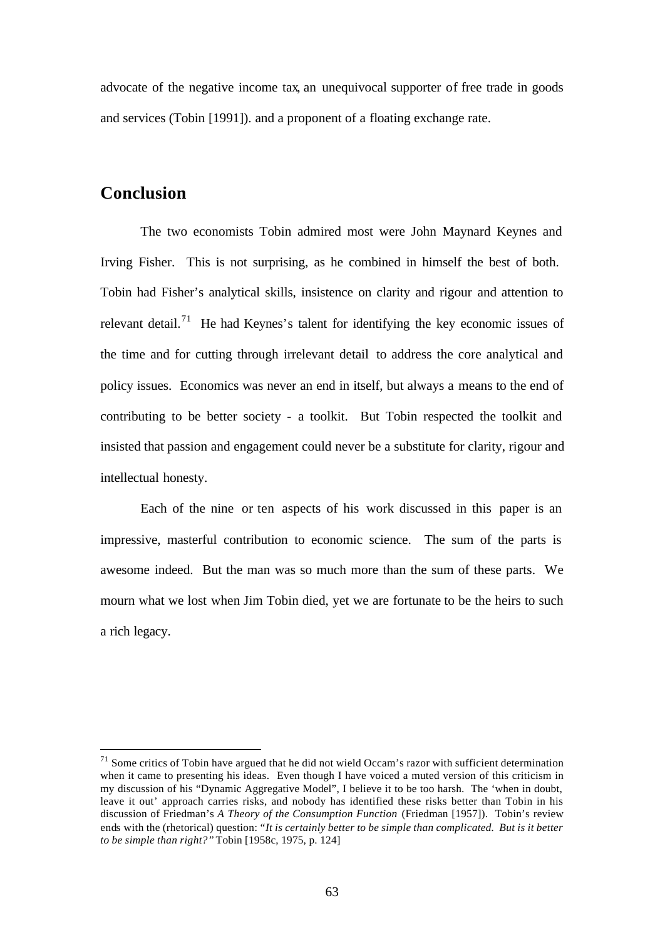advocate of the negative income tax, an unequivocal supporter of free trade in goods and services (Tobin [1991]). and a proponent of a floating exchange rate.

# **Conclusion**

l

The two economists Tobin admired most were John Maynard Keynes and Irving Fisher. This is not surprising, as he combined in himself the best of both. Tobin had Fisher's analytical skills, insistence on clarity and rigour and attention to relevant detail.<sup>71</sup> He had Keynes's talent for identifying the key economic issues of the time and for cutting through irrelevant detail to address the core analytical and policy issues. Economics was never an end in itself, but always a means to the end of contributing to be better society - a toolkit. But Tobin respected the toolkit and insisted that passion and engagement could never be a substitute for clarity, rigour and intellectual honesty.

Each of the nine or ten aspects of his work discussed in this paper is an impressive, masterful contribution to economic science. The sum of the parts is awesome indeed. But the man was so much more than the sum of these parts. We mourn what we lost when Jim Tobin died, yet we are fortunate to be the heirs to such a rich legacy.

 $71$  Some critics of Tobin have argued that he did not wield Occam's razor with sufficient determination when it came to presenting his ideas. Even though I have voiced a muted version of this criticism in my discussion of his "Dynamic Aggregative Model", I believe it to be too harsh. The 'when in doubt, leave it out' approach carries risks, and nobody has identified these risks better than Tobin in his discussion of Friedman's *A Theory of the Consumption Function* (Friedman [1957]). Tobin's review ends with the (rhetorical) question: *"It is certainly better to be simple than complicated. But is it better to be simple than right?"* Tobin [1958c, 1975, p. 124]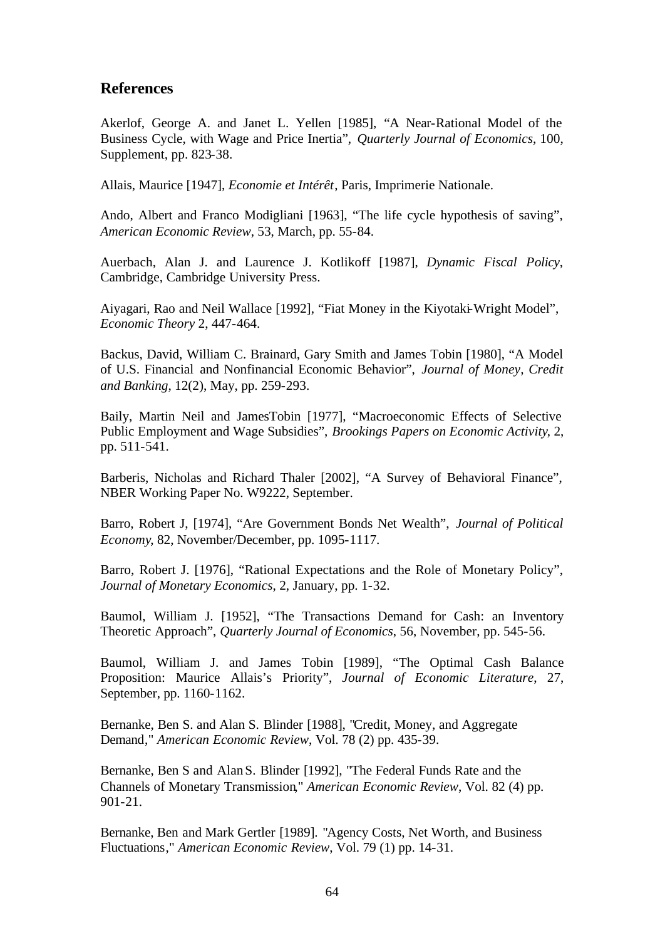# **References**

Akerlof, George A. and Janet L. Yellen [1985], "A Near-Rational Model of the Business Cycle, with Wage and Price Inertia", *Quarterly Journal of Economics*, 100, Supplement, pp. 823-38.

Allais, Maurice [1947], *Economie et Intérêt*, Paris, Imprimerie Nationale.

Ando, Albert and Franco Modigliani [1963], "The life cycle hypothesis of saving", *American Economic Review*, 53, March, pp. 55-84.

Auerbach, Alan J. and Laurence J. Kotlikoff [1987], *Dynamic Fiscal Policy*, Cambridge, Cambridge University Press.

Aiyagari, Rao and Neil Wallace [1992], "Fiat Money in the Kiyotaki-Wright Model", *Economic Theory* 2, 447-464.

Backus, David, William C. Brainard, Gary Smith and James Tobin [1980], "A Model of U.S. Financial and Nonfinancial Economic Behavior", *Journal of Money, Credit and Banking*, 12(2), May, pp. 259-293.

Baily, Martin Neil and JamesTobin [1977], "Macroeconomic Effects of Selective Public Employment and Wage Subsidies", *Brookings Papers on Economic Activity*, 2, pp. 511-541.

Barberis, Nicholas and Richard Thaler [2002], "A Survey of Behavioral Finance", NBER Working Paper No. W9222, September.

Barro, Robert J, [1974], "Are Government Bonds Net Wealth", *Journal of Political Economy*, 82, November/December, pp. 1095-1117.

Barro, Robert J. [1976], "Rational Expectations and the Role of Monetary Policy", *Journal of Monetary Economics*, 2, January, pp. 1-32.

Baumol, William J. [1952], "The Transactions Demand for Cash: an Inventory Theoretic Approach", *Quarterly Journal of Economics*, 56, November, pp. 545-56.

Baumol, William J. and James Tobin [1989], "The Optimal Cash Balance Proposition: Maurice Allais's Priority", *Journal of Economic Literature*, 27, September, pp. 1160-1162.

Bernanke, Ben S. and Alan S. Blinder [1988], "Credit, Money, and Aggregate Demand," *American Economic Review*, Vol. 78 (2) pp. 435-39.

Bernanke, Ben S and Alan S. Blinder [1992], "The Federal Funds Rate and the Channels of Monetary Transmission," *American Economic Review*, Vol. 82 (4) pp. 901-21.

Bernanke, Ben and Mark Gertler [1989]. "Agency Costs, Net Worth, and Business Fluctuations," *American Economic Review*, Vol. 79 (1) pp. 14-31.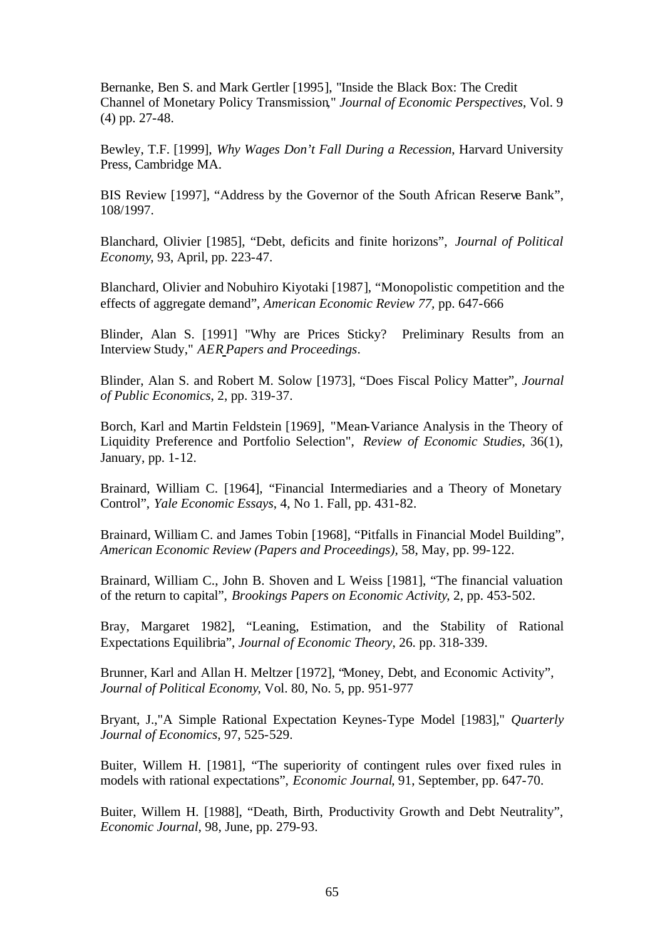Bernanke, Ben S. and Mark Gertler [1995], "Inside the Black Box: The Credit Channel of Monetary Policy Transmission," *Journal of Economic Perspectives*, Vol. 9 (4) pp. 27-48.

Bewley, T.F. [1999], *Why Wages Don't Fall During a Recession*, Harvard University Press, Cambridge MA.

BIS Review [1997], "Address by the Governor of the South African Reserve Bank", 108/1997.

Blanchard, Olivier [1985], "Debt, deficits and finite horizons", *Journal of Political Economy*, 93, April, pp. 223-47.

Blanchard, Olivier and Nobuhiro Kiyotaki [1987], "Monopolistic competition and the effects of aggregate demand", *American Economic Review 77,* pp. 647-666

Blinder, Alan S. [1991] "Why are Prices Sticky? Preliminary Results from an Interview Study," *AER Papers and Proceedings*.

Blinder, Alan S. and Robert M. Solow [1973], "Does Fiscal Policy Matter", *Journal of Public Economics*, 2, pp. 319-37.

Borch, Karl and Martin Feldstein [1969], "Mean-Variance Analysis in the Theory of Liquidity Preference and Portfolio Selection", *Review of Economic Studies*, 36(1), January, pp. 1-12.

Brainard, William C. [1964], "Financial Intermediaries and a Theory of Monetary Control", *Yale Economic Essays*, 4, No 1. Fall, pp. 431-82.

Brainard, William C. and James Tobin [1968], "Pitfalls in Financial Model Building", *American Economic Review (Papers and Proceedings),* 58, May, pp. 99-122.

Brainard, William C., John B. Shoven and L Weiss [1981], "The financial valuation of the return to capital", *Brookings Papers on Economic Activity*, 2, pp. 453-502.

Bray, Margaret 1982], "Leaning, Estimation, and the Stability of Rational Expectations Equilibria", *Journal of Economic Theory*, 26. pp. 318-339.

Brunner, Karl and Allan H. Meltzer [1972], "Money, Debt, and Economic Activity", *Journal of Political Economy*, Vol. 80, No. 5, pp. 951-977

Bryant, J.,"A Simple Rational Expectation Keynes-Type Model [1983]," *Quarterly Journal of Economics*, 97, 525-529.

Buiter, Willem H. [1981], "The superiority of contingent rules over fixed rules in models with rational expectations", *Economic Journal*, 91, September, pp. 647-70.

Buiter, Willem H. [1988], "Death, Birth, Productivity Growth and Debt Neutrality", *Economic Journal*, 98, June, pp. 279-93.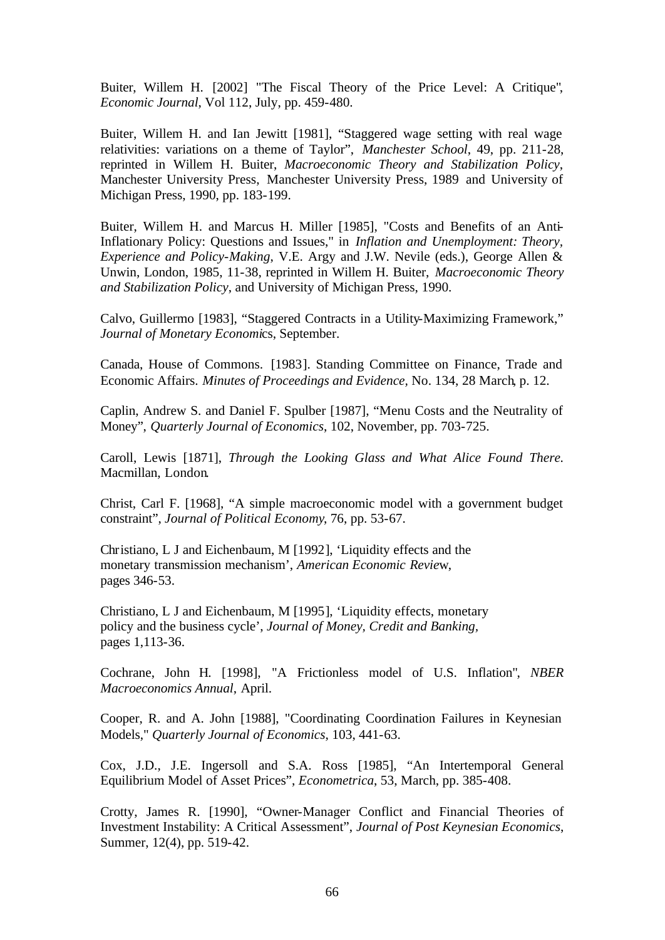Buiter, Willem H. [2002] "The Fiscal Theory of the Price Level: A Critique", *Economic Journal*, Vol 112, July, pp. 459-480.

Buiter, Willem H. and Ian Jewitt [1981], "Staggered wage setting with real wage relativities: variations on a theme of Taylor", *Manchester School*, 49, pp. 211-28, reprinted in Willem H. Buiter, *Macroeconomic Theory and Stabilization Policy*, Manchester University Press, Manchester University Press, 1989 and University of Michigan Press, 1990, pp. 183-199.

Buiter, Willem H. and Marcus H. Miller [1985], "Costs and Benefits of an Anti-Inflationary Policy: Questions and Issues," in *Inflation and Unemployment: Theory, Experience and Policy-Making*, V.E. Argy and J.W. Nevile (eds.), George Allen & Unwin, London, 1985, 11-38, reprinted in Willem H. Buiter, *Macroeconomic Theory and Stabilization Policy*, and University of Michigan Press, 1990.

Calvo, Guillermo [1983], "Staggered Contracts in a Utility-Maximizing Framework," *Journal of Monetary Economi*cs, September.

Canada, House of Commons. [1983]. Standing Committee on Finance, Trade and Economic Affairs. *Minutes of Proceedings and Evidence,* No. 134, 28 March, p. 12.

Caplin, Andrew S. and Daniel F. Spulber [1987], "Menu Costs and the Neutrality of Money", *Quarterly Journal of Economics*, 102, November, pp. 703-725.

Caroll, Lewis [1871], *Through the Looking Glass and What Alice Found There.* Macmillan, London.

Christ, Carl F. [1968], "A simple macroeconomic model with a government budget constraint", *Journal of Political Economy*, 76, pp. 53-67.

Christiano, L J and Eichenbaum, M [1992], 'Liquidity effects and the monetary transmission mechanism', *American Economic Revie*w, pages 346-53.

Christiano, L J and Eichenbaum, M [1995], 'Liquidity effects, monetary policy and the business cycle', *Journal of Money, Credit and Banking,* pages 1,113-36.

Cochrane, John H. [1998], "A Frictionless model of U.S. Inflation", *NBER Macroeconomics Annual*, April.

Cooper, R. and A. John [1988], "Coordinating Coordination Failures in Keynesian Models," *Quarterly Journal of Economics*, 103, 441-63.

Cox, J.D., J.E. Ingersoll and S.A. Ross [1985], "An Intertemporal General Equilibrium Model of Asset Prices", *Econometrica*, 53, March, pp. 385-408.

Crotty, James R. [1990], "Owner-Manager Conflict and Financial Theories of Investment Instability: A Critical Assessment", *Journal of Post Keynesian Economics*, Summer, 12(4), pp. 519-42.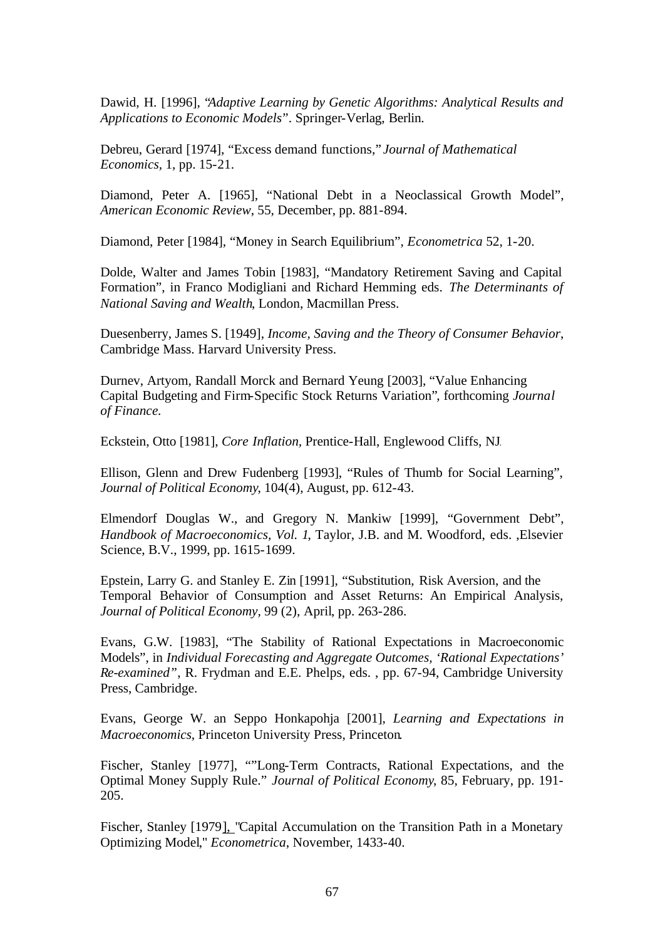Dawid, H. [1996], "*Adaptive Learning by Genetic Algorithms: Analytical Results and Applications to Economic Models"*. Springer-Verlag, Berlin.

Debreu, Gerard [1974], "Excess demand functions," *Journal of Mathematical Economics,* 1, pp. 15-21.

Diamond, Peter A. [1965], "National Debt in a Neoclassical Growth Model", *American Economic Review*, 55, December, pp. 881-894.

Diamond, Peter [1984], "Money in Search Equilibrium", *Econometrica* 52, 1-20.

Dolde, Walter and James Tobin [1983], "Mandatory Retirement Saving and Capital Formation", in Franco Modigliani and Richard Hemming eds. *The Determinants of National Saving and Wealth*, London, Macmillan Press.

Duesenberry, James S. [1949], *Income, Saving and the Theory of Consumer Behavior*, Cambridge Mass. Harvard University Press.

Durnev, Artyom, Randall Morck and Bernard Yeung [2003], "Value Enhancing Capital Budgeting and Firm-Specific Stock Returns Variation", forthcoming *Journal of Finance.*

Eckstein, Otto [1981], *Core Inflation,* Prentice-Hall, Englewood Cliffs, NJ.

Ellison, Glenn and Drew Fudenberg [1993], "Rules of Thumb for Social Learning", *Journal of Political Economy*, 104(4), August, pp. 612-43.

Elmendorf Douglas W., and Gregory N. Mankiw [1999], "Government Debt", *Handbook of Macroeconomics, Vol. 1*, Taylor, J.B. and M. Woodford, eds. ,Elsevier Science, B.V., 1999, pp. 1615-1699.

Epstein, Larry G. and Stanley E. Zin [1991], "Substitution, Risk Aversion, and the Temporal Behavior of Consumption and Asset Returns: An Empirical Analysis, *Journal of Political Economy,* 99 (2), April, pp. 263-286.

Evans, G.W. [1983], "The Stability of Rational Expectations in Macroeconomic Models", in *Individual Forecasting and Aggregate Outcomes, 'Rational Expectations' Re-examined"*, R. Frydman and E.E. Phelps, eds. , pp. 67-94, Cambridge University Press, Cambridge.

Evans, George W. an Seppo Honkapohja [2001], *Learning and Expectations in Macroeconomics*, Princeton University Press, Princeton.

Fischer, Stanley [1977], ""Long-Term Contracts, Rational Expectations, and the Optimal Money Supply Rule." *Journal of Political Economy*, 85, February, pp. 191- 205.

Fischer, Stanley [1979], "Capital Accumulation on the Transition Path in a Monetary Optimizing Model," *Econometrica*, November, 1433-40.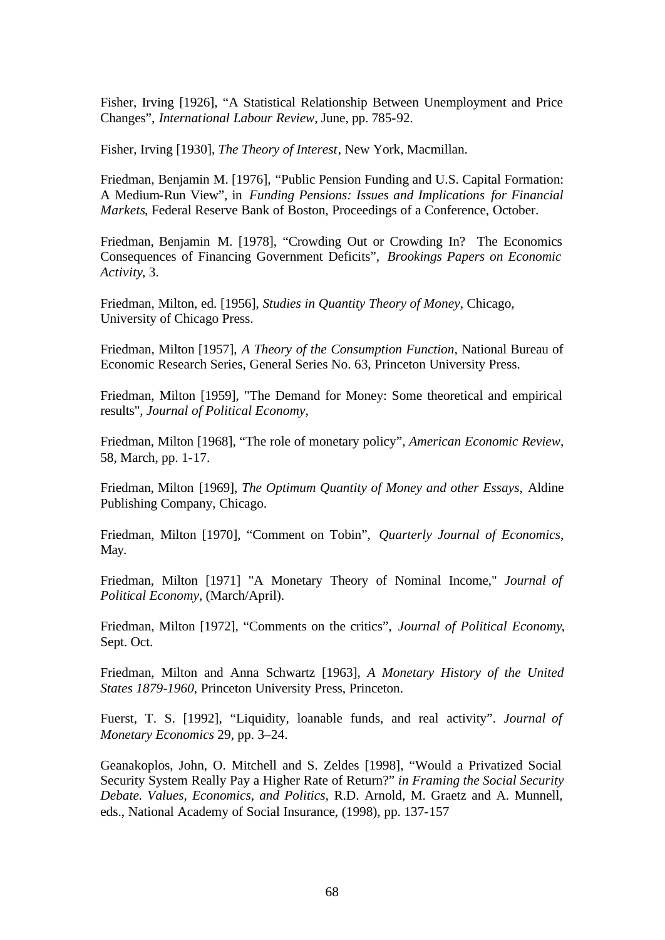Fisher, Irving [1926], "A Statistical Relationship Between Unemployment and Price Changes", *International Labour Review*, June, pp. 785-92.

Fisher, Irving [1930], *The Theory of Interest*, New York, Macmillan.

Friedman, Benjamin M. [1976], "Public Pension Funding and U.S. Capital Formation: A Medium-Run View", in *Funding Pensions: Issues and Implications for Financial Markets*, Federal Reserve Bank of Boston, Proceedings of a Conference, October.

Friedman, Benjamin M. [1978], "Crowding Out or Crowding In? The Economics Consequences of Financing Government Deficits", *Brookings Papers on Economic Activity*, 3.

Friedman, Milton, ed. [1956], *Studies in Quantity Theory of Money,* Chicago, University of Chicago Press.

Friedman, Milton [1957], *A Theory of the Consumption Function,* National Bureau of Economic Research Series, General Series No. 63, Princeton University Press.

Friedman, Milton [1959], "The Demand for Money: Some theoretical and empirical results", *Journal of Political Economy,* 

Friedman, Milton [1968], "The role of monetary policy", *American Economic Review*, 58, March, pp. 1-17.

Friedman, Milton [1969], *The Optimum Quantity of Money and other Essays,* Aldine Publishing Company, Chicago.

Friedman, Milton [1970], "Comment on Tobin", *Quarterly Journal of Economics*, May.

Friedman, Milton [1971] "A Monetary Theory of Nominal Income," *Journal of Political Economy,* (March/April).

Friedman, Milton [1972], "Comments on the critics", *Journal of Political Economy*, Sept. Oct.

Friedman, Milton and Anna Schwartz [1963], *A Monetary History of the United States 1879-1960*, Princeton University Press, Princeton.

Fuerst, T. S. [1992], "Liquidity, loanable funds, and real activity". *Journal of Monetary Economics* 29, pp. 3–24.

Geanakoplos, John, O. Mitchell and S. Zeldes [1998], "Would a Privatized Social Security System Really Pay a Higher Rate of Return?" *in Framing the Social Security Debate. Values, Economics, and Politics*, R.D. Arnold, M. Graetz and A. Munnell, eds., National Academy of Social Insurance, (1998), pp. 137-157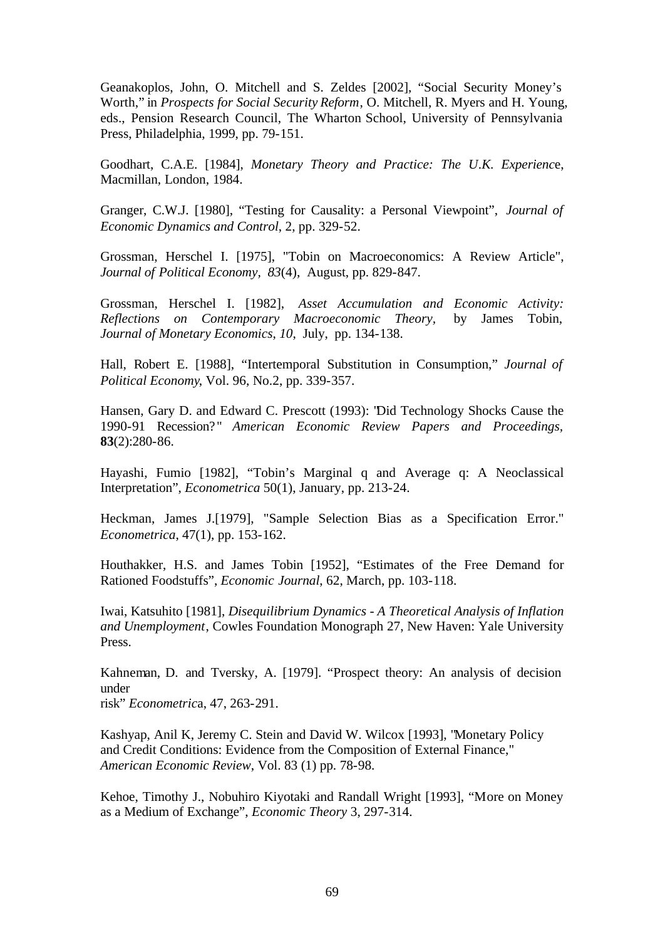Geanakoplos, John, O. Mitchell and S. Zeldes [2002], "Social Security Money's Worth," in *Prospects for Social Security Reform*, O. Mitchell, R. Myers and H. Young, eds., Pension Research Council, The Wharton School, University of Pennsylvania Press, Philadelphia, 1999, pp. 79-151.

Goodhart, C.A.E. [1984], *Monetary Theory and Practice: The U.K. Experienc*e, Macmillan, London, 1984.

Granger, C.W.J. [1980], "Testing for Causality: a Personal Viewpoint", *Journal of Economic Dynamics and Control*, 2, pp. 329-52.

Grossman, Herschel I. [1975], "Tobin on Macroeconomics: A Review Article", *Journal of Political Economy, 83*(4), August, pp. 829-847.

Grossman, Herschel I. [1982], *Asset Accumulation and Economic Activity: Reflections on Contemporary Macroeconomic Theory,* by James Tobin, *Journal of Monetary Economics*, *10*, July, pp. 134-138.

Hall, Robert E. [1988], "Intertemporal Substitution in Consumption," *Journal of Political Economy*, Vol. 96, No.2, pp. 339-357.

Hansen, Gary D. and Edward C. Prescott (1993): "Did Technology Shocks Cause the 1990-91 Recession?" *American Economic Review Papers and Proceedings,* **83**(2):280-86.

Hayashi, Fumio [1982], "Tobin's Marginal q and Average q: A Neoclassical Interpretation", *Econometrica* 50(1), January, pp. 213-24.

Heckman, James J.[1979], "Sample Selection Bias as a Specification Error." *Econometrica*, 47(1), pp. 153-162.

Houthakker, H.S. and James Tobin [1952], "Estimates of the Free Demand for Rationed Foodstuffs", *Economic Journal*, 62, March, pp. 103-118.

Iwai, Katsuhito [1981], *Disequilibrium Dynamics - A Theoretical Analysis of Inflation and Unemployment*, Cowles Foundation Monograph 27, New Haven: Yale University Press.

Kahneman, D. and Tversky, A. [1979]. "Prospect theory: An analysis of decision under

risk" *Econometric*a, 47, 263-291.

Kashyap, Anil K, Jeremy C. Stein and David W. Wilcox [1993], "Monetary Policy and Credit Conditions: Evidence from the Composition of External Finance," *American Economic Review*, Vol. 83 (1) pp. 78-98.

Kehoe, Timothy J., Nobuhiro Kiyotaki and Randall Wright [1993], "More on Money as a Medium of Exchange", *Economic Theory* 3, 297-314.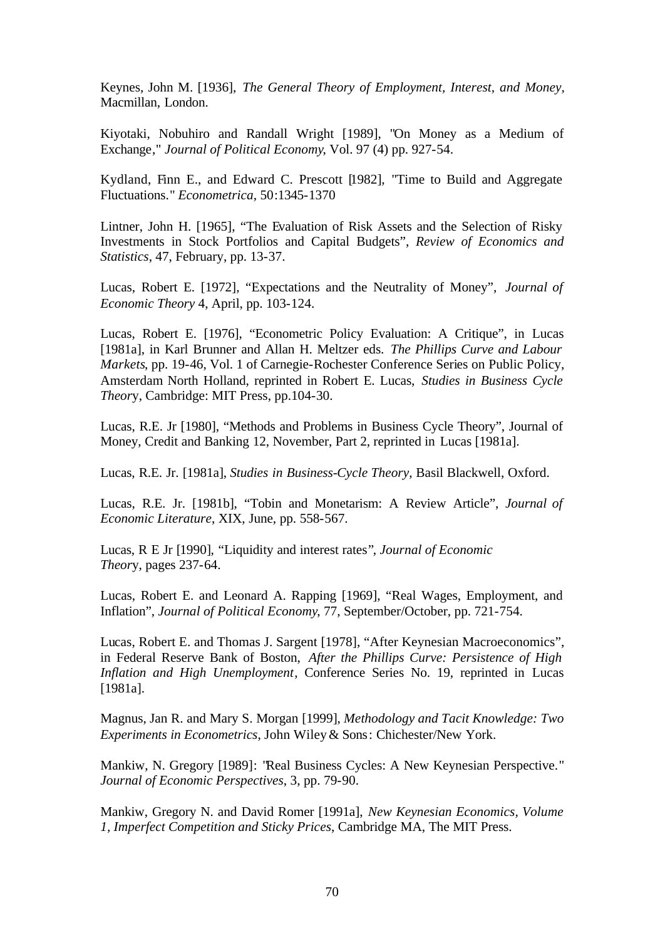Keynes, John M. [1936], *The General Theory of Employment, Interest, and Money,* Macmillan, London.

Kiyotaki, Nobuhiro and Randall Wright [1989], "On Money as a Medium of Exchange," *Journal of Political Economy*, Vol. 97 (4) pp. 927-54.

Kydland, Finn E., and Edward C. Prescott [1982], "Time to Build and Aggregate Fluctuations." *Econometrica*, 50:1345-1370

Lintner, John H. [1965], "The Evaluation of Risk Assets and the Selection of Risky Investments in Stock Portfolios and Capital Budgets", *Review of Economics and Statistics*, 47, February, pp. 13-37.

Lucas, Robert E. [1972], "Expectations and the Neutrality of Money", *Journal of Economic Theory* 4, April, pp. 103-124.

Lucas, Robert E. [1976], "Econometric Policy Evaluation: A Critique", in Lucas [1981a], in Karl Brunner and Allan H. Meltzer eds. *The Phillips Curve and Labour Markets*, pp. 19-46, Vol. 1 of Carnegie-Rochester Conference Series on Public Policy, Amsterdam North Holland, reprinted in Robert E. Lucas, *Studies in Business Cycle Theor*y, Cambridge: MIT Press, pp.104-30.

Lucas, R.E. Jr [1980], "Methods and Problems in Business Cycle Theory", Journal of Money, Credit and Banking 12, November, Part 2, reprinted in Lucas [1981a].

Lucas, R.E. Jr. [1981a], *Studies in Business-Cycle Theory*, Basil Blackwell, Oxford.

Lucas, R.E. Jr. [1981b], "Tobin and Monetarism: A Review Article", *Journal of Economic Literature*, XIX, June, pp. 558-567.

Lucas, R E Jr [1990], "Liquidity and interest rates", *Journal of Economic Theor*y, pages 237-64.

Lucas, Robert E. and Leonard A. Rapping [1969], "Real Wages, Employment, and Inflation", *Journal of Political Economy*, 77, September/October, pp. 721-754.

Lucas, Robert E. and Thomas J. Sargent [1978], "After Keynesian Macroeconomics", in Federal Reserve Bank of Boston, *After the Phillips Curve: Persistence of High Inflation and High Unemployment*, Conference Series No. 19, reprinted in Lucas [1981a].

Magnus, Jan R. and Mary S. Morgan [1999], *Methodology and Tacit Knowledge: Two Experiments in Econometrics*, John Wiley & Sons: Chichester/New York.

Mankiw, N. Gregory [1989]: "Real Business Cycles: A New Keynesian Perspective." *Journal of Economic Perspectives*, 3, pp. 79-90.

Mankiw, Gregory N. and David Romer [1991a], *New Keynesian Economics, Volume 1, Imperfect Competition and Sticky Prices*, Cambridge MA, The MIT Press.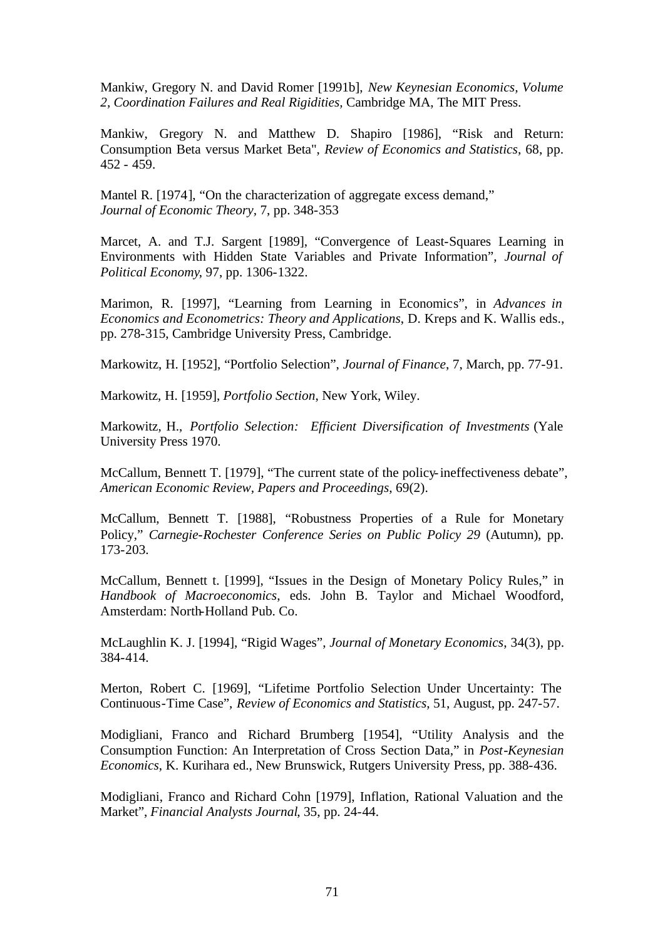Mankiw, Gregory N. and David Romer [1991b], *New Keynesian Economics, Volume 2, Coordination Failures and Real Rigidities,* Cambridge MA, The MIT Press.

Mankiw, Gregory N. and Matthew D. Shapiro [1986], "Risk and Return: Consumption Beta versus Market Beta", *Review of Economics and Statistics*, 68, pp. 452 - 459.

Mantel R. [1974], "On the characterization of aggregate excess demand," *Journal of Economic Theory,* 7, pp. 348-353

Marcet, A. and T.J. Sargent [1989], "Convergence of Least-Squares Learning in Environments with Hidden State Variables and Private Information", *Journal of Political Economy*, 97, pp. 1306-1322.

Marimon, R. [1997], "Learning from Learning in Economics", in *Advances in Economics and Econometrics: Theory and Applications*, D. Kreps and K. Wallis eds., pp. 278-315, Cambridge University Press, Cambridge.

Markowitz, H. [1952], "Portfolio Selection", *Journal of Finance*, 7, March, pp. 77-91.

Markowitz, H. [1959], *Portfolio Section*, New York, Wiley.

Markowitz, H., *Portfolio Selection: Efficient Diversification of Investments* (Yale University Press 1970.

McCallum, Bennett T. [1979], "The current state of the policy-ineffectiveness debate", *American Economic Review, Papers and Proceedings*, 69(2).

McCallum, Bennett T. [1988], "Robustness Properties of a Rule for Monetary Policy," *Carnegie-Rochester Conference Series on Public Policy 29* (Autumn), pp. 173-203.

McCallum, Bennett t. [1999], "Issues in the Design of Monetary Policy Rules," in *Handbook of Macroeconomics*, eds. John B. Taylor and Michael Woodford, Amsterdam: North-Holland Pub. Co.

McLaughlin K. J. [1994], "Rigid Wages", *Journal of Monetary Economics*, 34(3), pp. 384-414.

Merton, Robert C. [1969], "Lifetime Portfolio Selection Under Uncertainty: The Continuous-Time Case", *Review of Economics and Statistics*, 51, August, pp. 247-57.

Modigliani, Franco and Richard Brumberg [1954], "Utility Analysis and the Consumption Function: An Interpretation of Cross Section Data," in *Post-Keynesian Economics*, K. Kurihara ed., New Brunswick, Rutgers University Press, pp. 388-436.

Modigliani, Franco and Richard Cohn [1979], Inflation, Rational Valuation and the Market", *Financial Analysts Journal*, 35, pp. 24-44.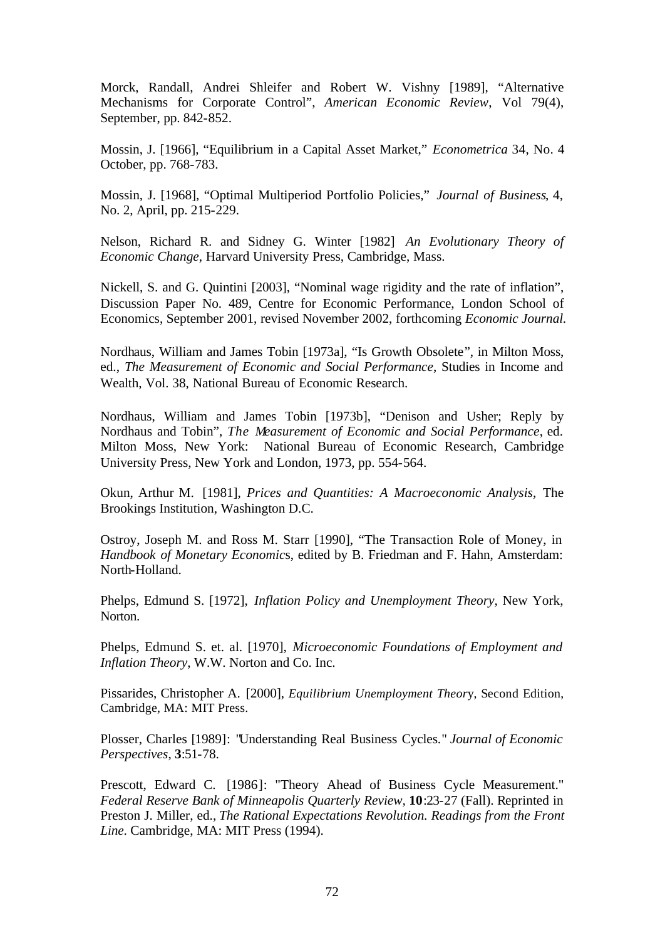Morck, Randall, Andrei Shleifer and Robert W. Vishny [1989], "Alternative Mechanisms for Corporate Control", *American Economic Review*, Vol 79(4), September, pp. 842-852.

Mossin, J. [1966], "Equilibrium in a Capital Asset Market," *Econometrica* 34, No. 4 October, pp. 768-783.

Mossin, J. [1968], "Optimal Multiperiod Portfolio Policies," *Journal of Business*, 4, No. 2, April, pp. 215-229.

Nelson, Richard R. and Sidney G. Winter [1982] *An Evolutionary Theory of Economic Change*, Harvard University Press, Cambridge, Mass.

Nickell, S. and G. Quintini [2003], "Nominal wage rigidity and the rate of inflation", Discussion Paper No. 489, Centre for Economic Performance, London School of Economics, September 2001, revised November 2002, forthcoming *Economic Journal.*

Nordhaus, William and James Tobin [1973a], "Is Growth Obsolete", in Milton Moss, ed., *The Measurement of Economic and Social Performance*, Studies in Income and Wealth, Vol. 38, National Bureau of Economic Research.

Nordhaus, William and James Tobin [1973b], "Denison and Usher; Reply by Nordhaus and Tobin", *The Measurement of Economic and Social Performance*, ed. Milton Moss, New York: National Bureau of Economic Research, Cambridge University Press, New York and London, 1973, pp. 554-564.

Okun, Arthur M. [1981], *Prices and Quantities: A Macroeconomic Analysis*, The Brookings Institution, Washington D.C.

Ostroy, Joseph M. and Ross M. Starr [1990], "The Transaction Role of Money, in *Handbook of Monetary Economic*s, edited by B. Friedman and F. Hahn, Amsterdam: North-Holland.

Phelps, Edmund S. [1972], *Inflation Policy and Unemployment Theory*, New York, Norton.

Phelps, Edmund S. et. al. [1970], *Microeconomic Foundations of Employment and Inflation Theory*, W.W. Norton and Co. Inc.

Pissarides, Christopher A. [2000], *Equilibrium Unemployment Theor*y, Second Edition, Cambridge, MA: MIT Press.

Plosser, Charles [1989]: "Understanding Real Business Cycles." *Journal of Economic Perspectives*, **3**:51-78.

Prescott, Edward C. [1986]: "Theory Ahead of Business Cycle Measurement." *Federal Reserve Bank of Minneapolis Quarterly Review,* **10**:23-27 (Fall). Reprinted in Preston J. Miller, ed., *The Rational Expectations Revolution. Readings from the Front Line*. Cambridge, MA: MIT Press (1994).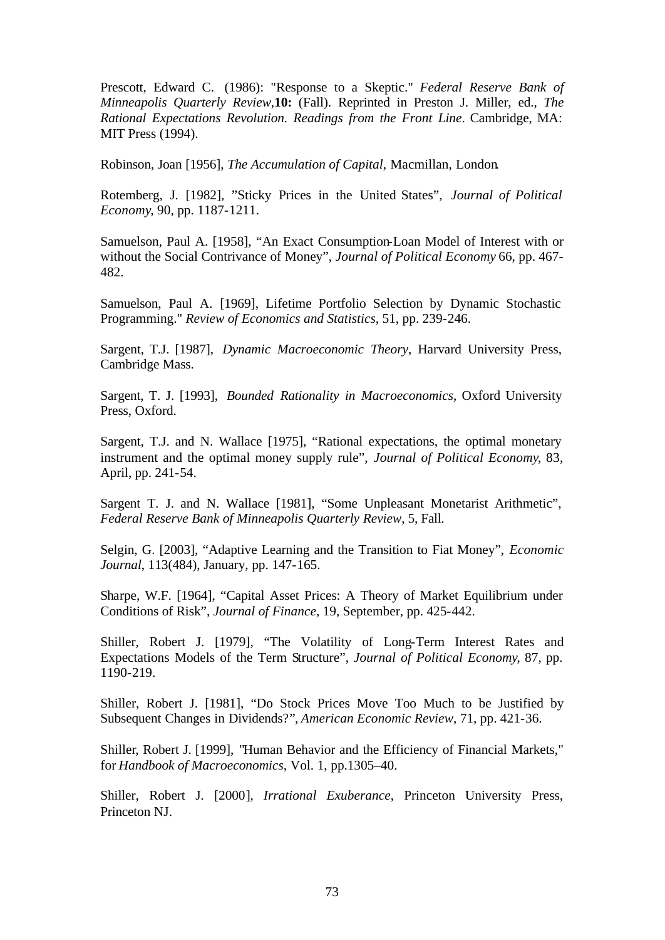Prescott, Edward C. (1986): "Response to a Skeptic." *Federal Reserve Bank of Minneapolis Quarterly Review,***10:** (Fall). Reprinted in Preston J. Miller, ed., *The Rational Expectations Revolution. Readings from the Front Line*. Cambridge, MA: MIT Press (1994).

Robinson, Joan [1956], *The Accumulation of Capital*, Macmillan, London*.*

Rotemberg, J. [1982], "Sticky Prices in the United States", *Journal of Political Economy*, 90, pp. 1187-1211.

Samuelson, Paul A. [1958], "An Exact Consumption-Loan Model of Interest with or without the Social Contrivance of Money", *Journal of Political Economy* 66, pp. 467- 482.

Samuelson, Paul A. [1969], Lifetime Portfolio Selection by Dynamic Stochastic Programming." *Review of Economics and Statistics*, 51, pp. 239-246.

Sargent, T.J. [1987], *Dynamic Macroeconomic Theory*, Harvard University Press, Cambridge Mass.

Sargent, T. J. [1993], *Bounded Rationality in Macroeconomics*, Oxford University Press, Oxford.

Sargent, T.J. and N. Wallace [1975], "Rational expectations, the optimal monetary instrument and the optimal money supply rule", *Journal of Political Economy*, 83, April, pp. 241-54.

Sargent T. J. and N. Wallace [1981], "Some Unpleasant Monetarist Arithmetic", *Federal Reserve Bank of Minneapolis Quarterly Review*, 5, Fall.

Selgin, G. [2003], "Adaptive Learning and the Transition to Fiat Money", *Economic Journal*, 113(484), January, pp. 147-165.

Sharpe, W.F. [1964], "Capital Asset Prices: A Theory of Market Equilibrium under Conditions of Risk", *Journal of Finance,* 19, September, pp. 425-442.

Shiller, Robert J. [1979], "The Volatility of Long-Term Interest Rates and Expectations Models of the Term Structure", *Journal of Political Economy*, 87, pp. 1190-219.

Shiller, Robert J. [1981], "Do Stock Prices Move Too Much to be Justified by Subsequent Changes in Dividends?", *American Economic Review*, 71, pp. 421-36.

Shiller, Robert J. [1999], "Human Behavior and the Efficiency of Financial Markets," for *Handbook of Macroeconomics*, Vol. 1, pp.1305–40.

Shiller, Robert J. [2000], *Irrational Exuberance*, Princeton University Press, Princeton NJ.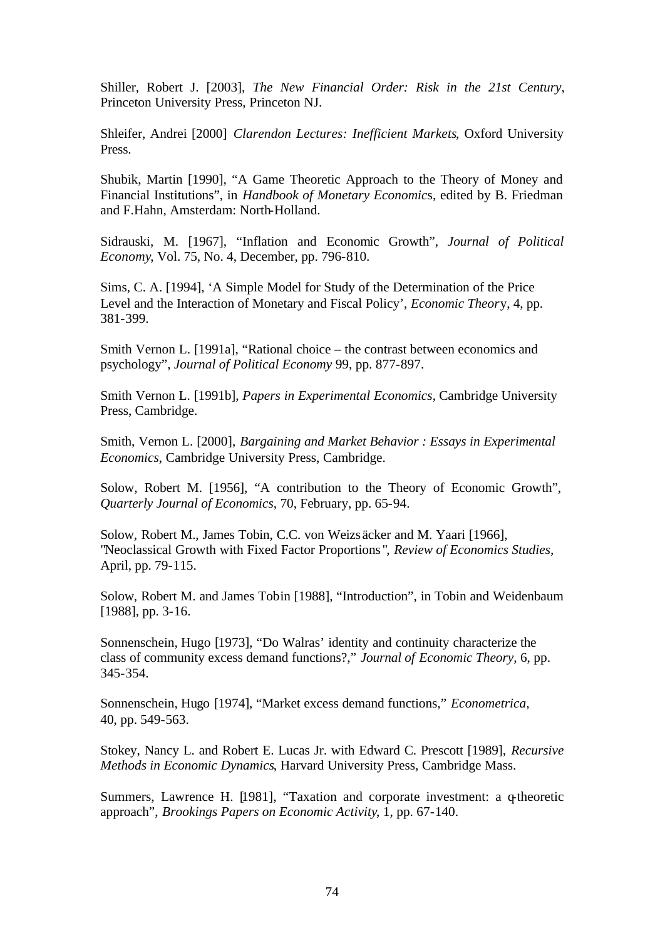Shiller, Robert J. [2003], *The New Financial Order: Risk in the 21st Century*, Princeton University Press, Princeton NJ.

Shleifer, Andrei [2000] *Clarendon Lectures: Inefficient Markets*, Oxford University Press.

Shubik, Martin [1990], "A Game Theoretic Approach to the Theory of Money and Financial Institutions", in *Handbook of Monetary Economic*s, edited by B. Friedman and F.Hahn, Amsterdam: North-Holland.

Sidrauski, M. [1967], "Inflation and Economic Growth", *Journal of Political Economy*, Vol. 75, No. 4, December, pp. 796-810.

Sims, C. A. [1994], 'A Simple Model for Study of the Determination of the Price Level and the Interaction of Monetary and Fiscal Policy', *Economic Theor*y, 4, pp. 381-399.

Smith Vernon L. [1991a], "Rational choice – the contrast between economics and psychology", *Journal of Political Economy* 99, pp. 877-897.

Smith Vernon L. [1991b], *Papers in Experimental Economics*, Cambridge University Press, Cambridge.

Smith, Vernon L. [2000], *Bargaining and Market Behavior : Essays in Experimental Economics*, Cambridge University Press, Cambridge.

Solow, Robert M. [1956], "A contribution to the Theory of Economic Growth", *Quarterly Journal of Economics*, 70, February, pp. 65-94.

Solow, Robert M., James Tobin, C.C. von Weizs äcker and M. Yaari [1966], "Neoclassical Growth with Fixed Factor Proportions ", *Review of Economics Studies,*  April, pp. 79-115.

Solow, Robert M. and James Tobin [1988], "Introduction", in Tobin and Weidenbaum [1988], pp. 3-16.

Sonnenschein, Hugo [1973], "Do Walras' identity and continuity characterize the class of community excess demand functions?," *Journal of Economic Theory,* 6, pp. 345-354.

Sonnenschein, Hugo [1974], "Market excess demand functions," *Econometrica,* 40, pp. 549-563.

Stokey, Nancy L. and Robert E. Lucas Jr. with Edward C. Prescott [1989], *Recursive Methods in Economic Dynamics*, Harvard University Press, Cambridge Mass.

Summers, Lawrence H. [1981], "Taxation and corporate investment: a q-theoretic approach", *Brookings Papers on Economic Activity*, 1, pp. 67-140.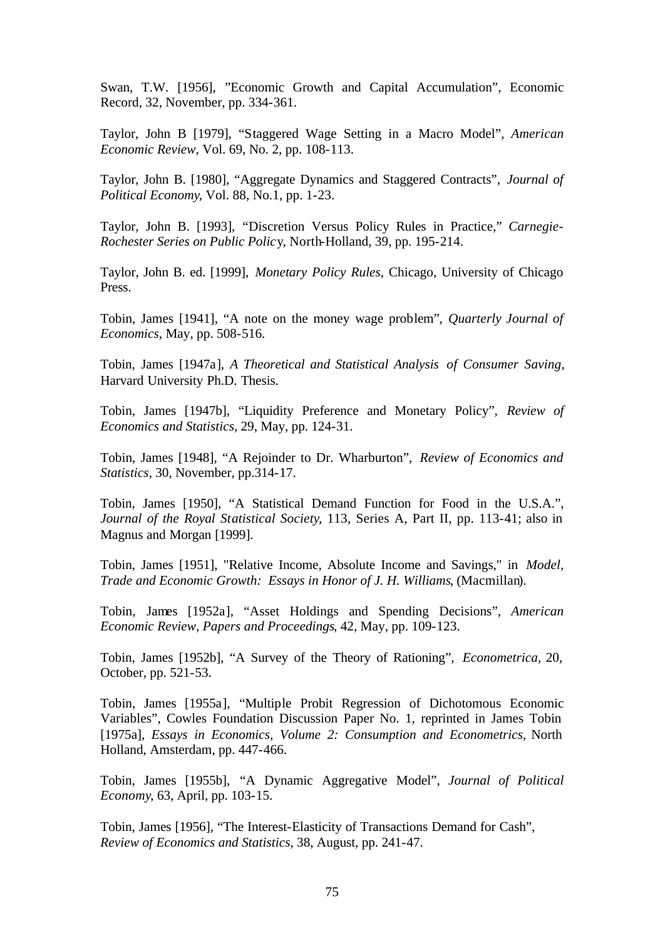Swan, T.W. [1956], "Economic Growth and Capital Accumulation", Economic Record, 32, November, pp. 334-361.

Taylor, John B [1979], "Staggered Wage Setting in a Macro Model", *American Economic Review*, Vol. 69, No. 2, pp. 108-113.

Taylor, John B. [1980], "Aggregate Dynamics and Staggered Contracts", *Journal of Political Economy*, Vol. 88, No.1, pp. 1-23.

Taylor, John B. [1993], "Discretion Versus Policy Rules in Practice," *Carnegie-Rochester Series on Public Polic*y, North-Holland, 39, pp. 195-214.

Taylor, John B. ed. [1999], *Monetary Policy Rules*, Chicago, University of Chicago Press.

Tobin, James [1941], "A note on the money wage problem", *Quarterly Journal of Economics*, May, pp. 508-516.

Tobin, James [1947a], *A Theoretical and Statistical Analysis of Consumer Saving*, Harvard University Ph.D. Thesis.

Tobin, James [1947b], "Liquidity Preference and Monetary Policy", *Review of Economics and Statistics*, 29, May, pp. 124-31.

Tobin, James [1948], "A Rejoinder to Dr. Wharburton", *Review of Economics and Statistics*, 30, November, pp.314-17.

Tobin, James [1950], "A Statistical Demand Function for Food in the U.S.A.", *Journal of the Royal Statistical Society*, 113, Series A, Part II, pp. 113-41; also in Magnus and Morgan [1999].

Tobin, James [1951], "Relative Income, Absolute Income and Savings," in *Model, Trade and Economic Growth: Essays in Honor of J. H. Williams*, (Macmillan).

Tobin, James [1952a], "Asset Holdings and Spending Decisions", *American Economic Review, Papers and Proceedings*, 42, May, pp. 109-123.

Tobin, James [1952b], "A Survey of the Theory of Rationing", *Econometrica*, 20, October, pp. 521-53.

Tobin, James [1955a], "Multiple Probit Regression of Dichotomous Economic Variables", Cowles Foundation Discussion Paper No. 1, reprinted in James Tobin [1975a], *Essays in Economics, Volume 2: Consumption and Econometrics*, North Holland, Amsterdam, pp. 447-466.

Tobin, James [1955b], "A Dynamic Aggregative Model", *Journal of Political Economy*, 63, April, pp. 103-15.

Tobin, James [1956], "The Interest-Elasticity of Transactions Demand for Cash", *Review of Economics and Statistics*, 38, August, pp. 241-47.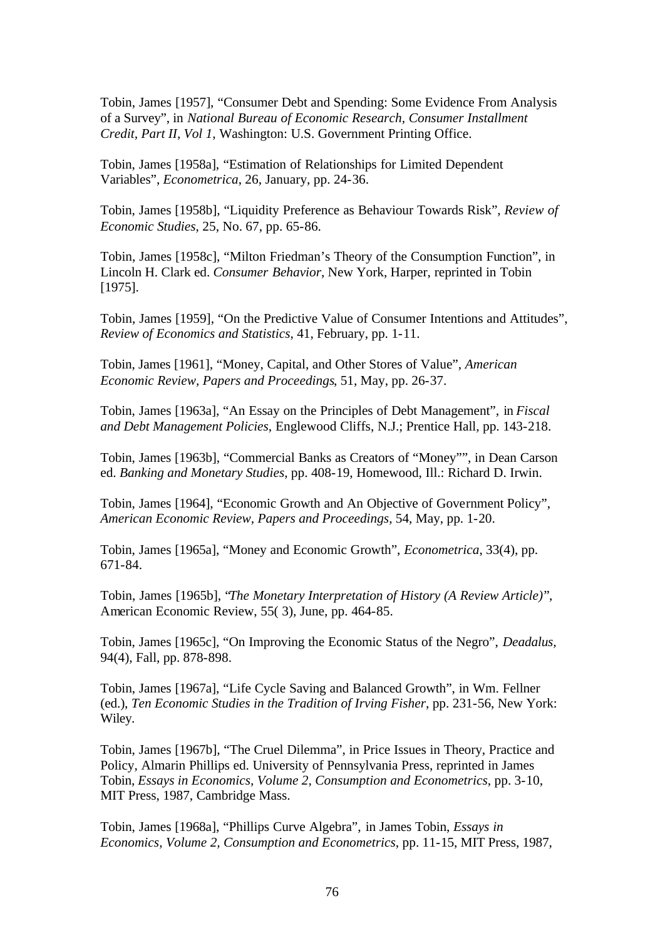Tobin, James [1957], "Consumer Debt and Spending: Some Evidence From Analysis of a Survey", in *National Bureau of Economic Research, Consumer Installment Credit, Part II, Vol 1*, Washington: U.S. Government Printing Office.

Tobin, James [1958a], "Estimation of Relationships for Limited Dependent Variables", *Econometrica*, 26, January, pp. 24-36.

Tobin, James [1958b], "Liquidity Preference as Behaviour Towards Risk", *Review of Economic Studies*, 25, No. 67, pp. 65-86.

Tobin, James [1958c], "Milton Friedman's Theory of the Consumption Function", in Lincoln H. Clark ed. *Consumer Behavior*, New York, Harper, reprinted in Tobin [1975].

Tobin, James [1959], "On the Predictive Value of Consumer Intentions and Attitudes", *Review of Economics and Statistics*, 41, February, pp. 1-11.

Tobin, James [1961], "Money, Capital, and Other Stores of Value", *American Economic Review, Papers and Proceedings*, 51, May, pp. 26-37.

Tobin, James [1963a], "An Essay on the Principles of Debt Management", in *Fiscal and Debt Management Policies*, Englewood Cliffs, N.J.; Prentice Hall, pp. 143-218.

Tobin, James [1963b], "Commercial Banks as Creators of "Money"", in Dean Carson ed. *Banking and Monetary Studies*, pp. 408-19, Homewood, Ill.: Richard D. Irwin.

Tobin, James [1964], "Economic Growth and An Objective of Government Policy", *American Economic Review, Papers and Proceedings*, 54, May, pp. 1-20.

Tobin, James [1965a], "Money and Economic Growth", *Econometrica*, 33(4), pp. 671-84.

Tobin, James [1965b], "*The Monetary Interpretation of History (A Review Article)*", American Economic Review, 55( 3), June, pp. 464-85.

Tobin, James [1965c], "On Improving the Economic Status of the Negro", *Deadalus,* 94(4), Fall, pp. 878-898.

Tobin, James [1967a], "Life Cycle Saving and Balanced Growth", in Wm. Fellner (ed.), *Ten Economic Studies in the Tradition of Irving Fisher*, pp. 231-56, New York: Wiley.

Tobin, James [1967b], "The Cruel Dilemma", in Price Issues in Theory, Practice and Policy, Almarin Phillips ed. University of Pennsylvania Press, reprinted in James Tobin, *Essays in Economics, Volume 2, Consumption and Econometrics*, pp. 3-10, MIT Press, 1987, Cambridge Mass.

Tobin, James [1968a], "Phillips Curve Algebra", in James Tobin, *Essays in Economics, Volume 2, Consumption and Econometrics*, pp. 11-15, MIT Press, 1987,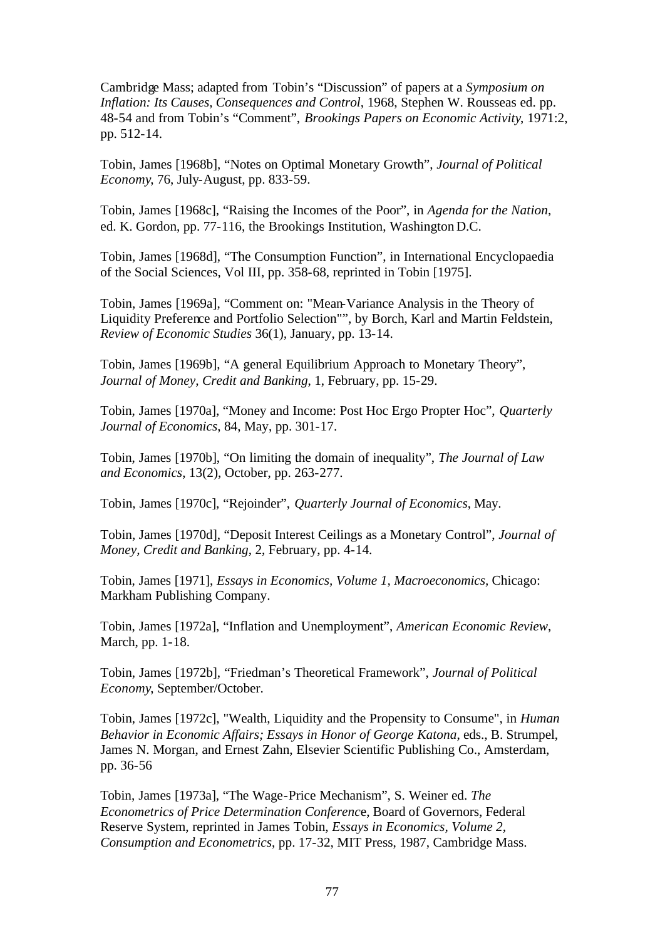Cambridge Mass; adapted from Tobin's "Discussion" of papers at a *Symposium on Inflation: Its Causes, Consequences and Control*, 1968, Stephen W. Rousseas ed. pp. 48-54 and from Tobin's "Comment", *Brookings Papers on Economic Activity*, 1971:2, pp. 512-14.

Tobin, James [1968b], "Notes on Optimal Monetary Growth", *Journal of Political Economy*, 76, July-August, pp. 833-59.

Tobin, James [1968c], "Raising the Incomes of the Poor", in *Agenda for the Nation*, ed. K. Gordon, pp. 77-116, the Brookings Institution, Washington D.C.

Tobin, James [1968d], "The Consumption Function", in International Encyclopaedia of the Social Sciences, Vol III, pp. 358-68, reprinted in Tobin [1975].

Tobin, James [1969a], "Comment on: "Mean-Variance Analysis in the Theory of Liquidity Preference and Portfolio Selection"", by Borch, Karl and Martin Feldstein, *Review of Economic Studies* 36(1)*,* January, pp. 13-14.

Tobin, James [1969b], "A general Equilibrium Approach to Monetary Theory", *Journal of Money, Credit and Banking*, 1, February, pp. 15-29.

Tobin, James [1970a], "Money and Income: Post Hoc Ergo Propter Hoc", *Quarterly Journal of Economics*, 84, May, pp. 301-17.

Tobin, James [1970b], "On limiting the domain of inequality", *The Journal of Law and Economics*, 13(2), October, pp. 263-277.

Tobin, James [1970c], "Rejoinder", *Quarterly Journal of Economics*, May.

Tobin, James [1970d], "Deposit Interest Ceilings as a Monetary Control", *Journal of Money, Credit and Banking*, 2, February, pp. 4-14.

Tobin, James [1971], *Essays in Economics, Volume 1, Macroeconomics,* Chicago: Markham Publishing Company.

Tobin, James [1972a], "Inflation and Unemployment", *American Economic Review*, March, pp. 1-18.

Tobin, James [1972b], "Friedman's Theoretical Framework", *Journal of Political Economy*, September/October.

Tobin, James [1972c], "Wealth, Liquidity and the Propensity to Consume", in *Human Behavior in Economic Affairs; Essays in Honor of George Katona*, eds., B. Strumpel, James N. Morgan, and Ernest Zahn, Elsevier Scientific Publishing Co., Amsterdam, pp. 36-56

Tobin, James [1973a], "The Wage-Price Mechanism", S. Weiner ed. *The Econometrics of Price Determination Conferenc*e, Board of Governors, Federal Reserve System, reprinted in James Tobin, *Essays in Economics, Volume 2, Consumption and Econometrics*, pp. 17-32, MIT Press, 1987, Cambridge Mass.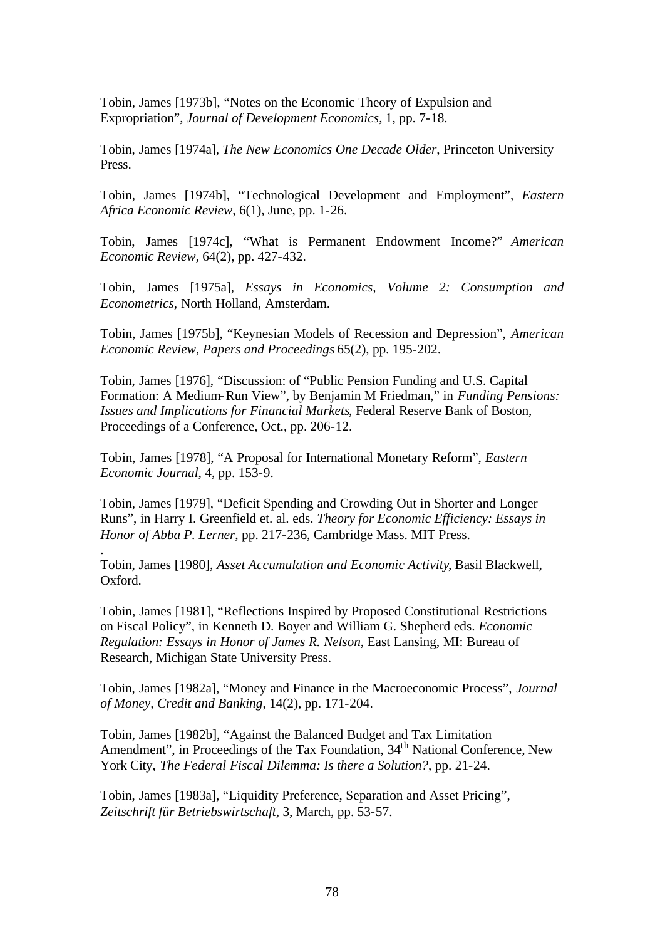Tobin, James [1973b], "Notes on the Economic Theory of Expulsion and Expropriation", *Journal of Development Economics*, 1, pp. 7-18.

Tobin, James [1974a], *The New Economics One Decade Older*, Princeton University Press.

Tobin, James [1974b], "Technological Development and Employment", *Eastern Africa Economic Review*, 6(1), June, pp. 1-26.

Tobin, James [1974c], "What is Permanent Endowment Income?" *American Economic Review,* 64(2), pp. 427-432.

Tobin, James [1975a], *Essays in Economics, Volume 2: Consumption and Econometrics*, North Holland, Amsterdam.

Tobin, James [1975b], "Keynesian Models of Recession and Depression", *American Economic Review, Papers and Proceedings* 65(2), pp. 195-202.

Tobin, James [1976], "Discussion: of "Public Pension Funding and U.S. Capital Formation: A Medium-Run View", by Benjamin M Friedman," in *Funding Pensions: Issues and Implications for Financial Markets*, Federal Reserve Bank of Boston, Proceedings of a Conference, Oct., pp. 206-12.

Tobin, James [1978], "A Proposal for International Monetary Reform", *Eastern Economic Journal*, 4, pp. 153-9.

Tobin, James [1979], "Deficit Spending and Crowding Out in Shorter and Longer Runs", in Harry I. Greenfield et. al. eds. *Theory for Economic Efficiency: Essays in Honor of Abba P. Lerner*, pp. 217-236, Cambridge Mass. MIT Press.

Tobin, James [1980], *Asset Accumulation and Economic Activity*, Basil Blackwell, Oxford.

.

Tobin, James [1981], "Reflections Inspired by Proposed Constitutional Restrictions on Fiscal Policy", in Kenneth D. Boyer and William G. Shepherd eds. *Economic Regulation: Essays in Honor of James R. Nelson*, East Lansing, MI: Bureau of Research, Michigan State University Press.

Tobin, James [1982a], "Money and Finance in the Macroeconomic Process", *Journal of Money, Credit and Banking*, 14(2), pp. 171-204.

Tobin, James [1982b], "Against the Balanced Budget and Tax Limitation Amendment", in Proceedings of the Tax Foundation, 34<sup>th</sup> National Conference, New York City, *The Federal Fiscal Dilemma: Is there a Solution?*, pp. 21-24.

Tobin, James [1983a], "Liquidity Preference, Separation and Asset Pricing", *Zeitschrift für Betriebswirtschaft*, 3, March, pp. 53-57.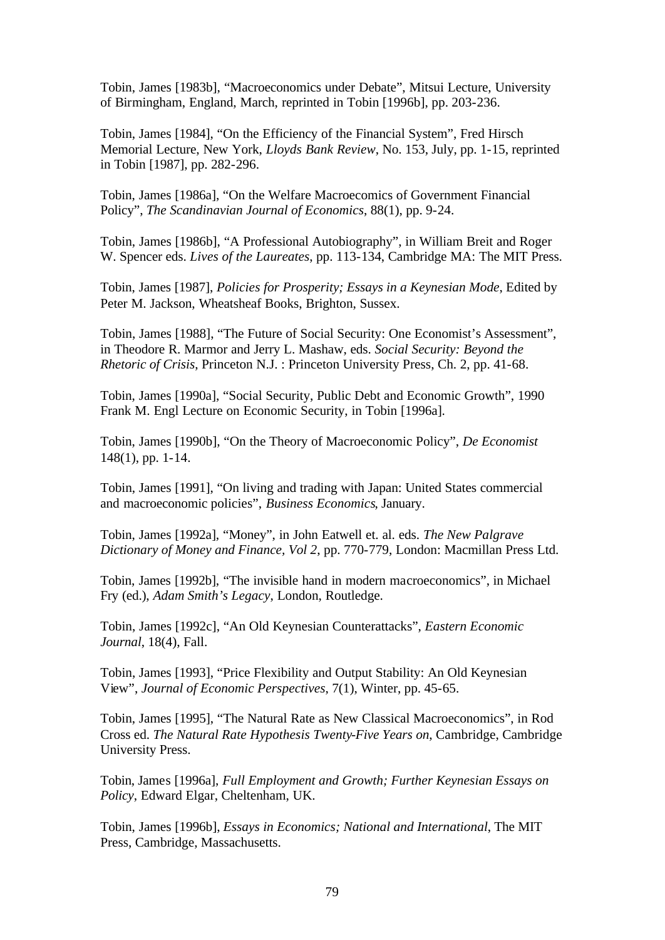Tobin, James [1983b], "Macroeconomics under Debate", Mitsui Lecture, University of Birmingham, England, March, reprinted in Tobin [1996b], pp. 203-236.

Tobin, James [1984], "On the Efficiency of the Financial System", Fred Hirsch Memorial Lecture, New York, *Lloyds Bank Review*, No. 153, July, pp. 1-15, reprinted in Tobin [1987], pp. 282-296.

Tobin, James [1986a], "On the Welfare Macroecomics of Government Financial Policy", *The Scandinavian Journal of Economics*, 88(1), pp. 9-24.

Tobin, James [1986b], "A Professional Autobiography", in William Breit and Roger W. Spencer eds. *Lives of the Laureates*, pp. 113-134, Cambridge MA: The MIT Press.

Tobin, James [1987], *Policies for Prosperity; Essays in a Keynesian Mode*, Edited by Peter M. Jackson, Wheatsheaf Books, Brighton, Sussex.

Tobin, James [1988], "The Future of Social Security: One Economist's Assessment", in Theodore R. Marmor and Jerry L. Mashaw, eds. *Social Security: Beyond the Rhetoric of Crisis*, Princeton N.J. : Princeton University Press, Ch. 2, pp. 41-68.

Tobin, James [1990a], "Social Security, Public Debt and Economic Growth", 1990 Frank M. Engl Lecture on Economic Security, in Tobin [1996a].

Tobin, James [1990b], "On the Theory of Macroeconomic Policy", *De Economist* 148(1), pp. 1-14.

Tobin, James [1991], "On living and trading with Japan: United States commercial and macroeconomic policies", *Business Economics*, January.

Tobin, James [1992a], "Money", in John Eatwell et. al. eds. *The New Palgrave Dictionary of Money and Finance, Vol 2*, pp. 770-779, London: Macmillan Press Ltd.

Tobin, James [1992b], "The invisible hand in modern macroeconomics", in Michael Fry (ed.), *Adam Smith's Legacy*, London, Routledge.

Tobin, James [1992c], "An Old Keynesian Counterattacks", *Eastern Economic Journal*, 18(4), Fall.

Tobin, James [1993], "Price Flexibility and Output Stability: An Old Keynesian View", *Journal of Economic Perspectives*, 7(1), Winter, pp. 45-65.

Tobin, James [1995], "The Natural Rate as New Classical Macroeconomics", in Rod Cross ed. *The Natural Rate Hypothesis Twenty-Five Years on*, Cambridge, Cambridge University Press.

Tobin, James [1996a], *Full Employment and Growth; Further Keynesian Essays on Policy*, Edward Elgar, Cheltenham, UK.

Tobin, James [1996b], *Essays in Economics; National and International*, The MIT Press, Cambridge, Massachusetts.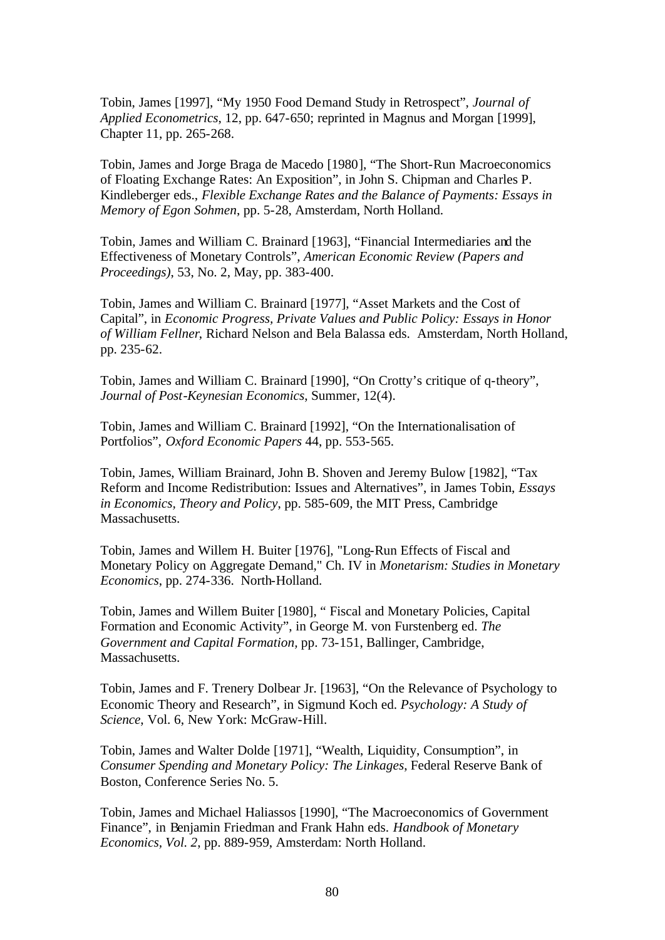Tobin, James [1997], "My 1950 Food Demand Study in Retrospect", *Journal of Applied Econometrics*, 12, pp. 647-650; reprinted in Magnus and Morgan [1999], Chapter 11, pp. 265-268.

Tobin, James and Jorge Braga de Macedo [1980], "The Short-Run Macroeconomics of Floating Exchange Rates: An Exposition", in John S. Chipman and Charles P. Kindleberger eds., *Flexible Exchange Rates and the Balance of Payments: Essays in Memory of Egon Sohmen*, pp. 5-28, Amsterdam, North Holland.

Tobin, James and William C. Brainard [1963], "Financial Intermediaries and the Effectiveness of Monetary Controls", *American Economic Review (Papers and Proceedings)*, 53, No. 2, May, pp. 383-400.

Tobin, James and William C. Brainard [1977], "Asset Markets and the Cost of Capital", in *Economic Progress, Private Values and Public Policy: Essays in Honor of William Fellner*, Richard Nelson and Bela Balassa eds. Amsterdam, North Holland, pp. 235-62.

Tobin, James and William C. Brainard [1990], "On Crotty's critique of q-theory", *Journal of Post-Keynesian Economics*, Summer, 12(4).

Tobin, James and William C. Brainard [1992], "On the Internationalisation of Portfolios", *Oxford Economic Papers* 44, pp. 553-565.

Tobin, James, William Brainard, John B. Shoven and Jeremy Bulow [1982], "Tax Reform and Income Redistribution: Issues and Alternatives", in James Tobin, *Essays in Economics, Theory and Policy*, pp. 585-609, the MIT Press, Cambridge Massachusetts.

Tobin, James and Willem H. Buiter [1976], "Long-Run Effects of Fiscal and Monetary Policy on Aggregate Demand," Ch. IV in *Monetarism: Studies in Monetary Economics*, pp. 274-336. North-Holland.

Tobin, James and Willem Buiter [1980], " Fiscal and Monetary Policies, Capital Formation and Economic Activity", in George M. von Furstenberg ed. *The Government and Capital Formation,* pp. 73-151, Ballinger, Cambridge, Massachusetts.

Tobin, James and F. Trenery Dolbear Jr. [1963], "On the Relevance of Psychology to Economic Theory and Research", in Sigmund Koch ed. *Psychology: A Study of Science*, Vol. 6, New York: McGraw-Hill.

Tobin, James and Walter Dolde [1971], "Wealth, Liquidity, Consumption", in *Consumer Spending and Monetary Policy: The Linkages*, Federal Reserve Bank of Boston, Conference Series No. 5.

Tobin, James and Michael Haliassos [1990], "The Macroeconomics of Government Finance", in Benjamin Friedman and Frank Hahn eds. *Handbook of Monetary Economics, Vol. 2*, pp. 889-959, Amsterdam: North Holland.